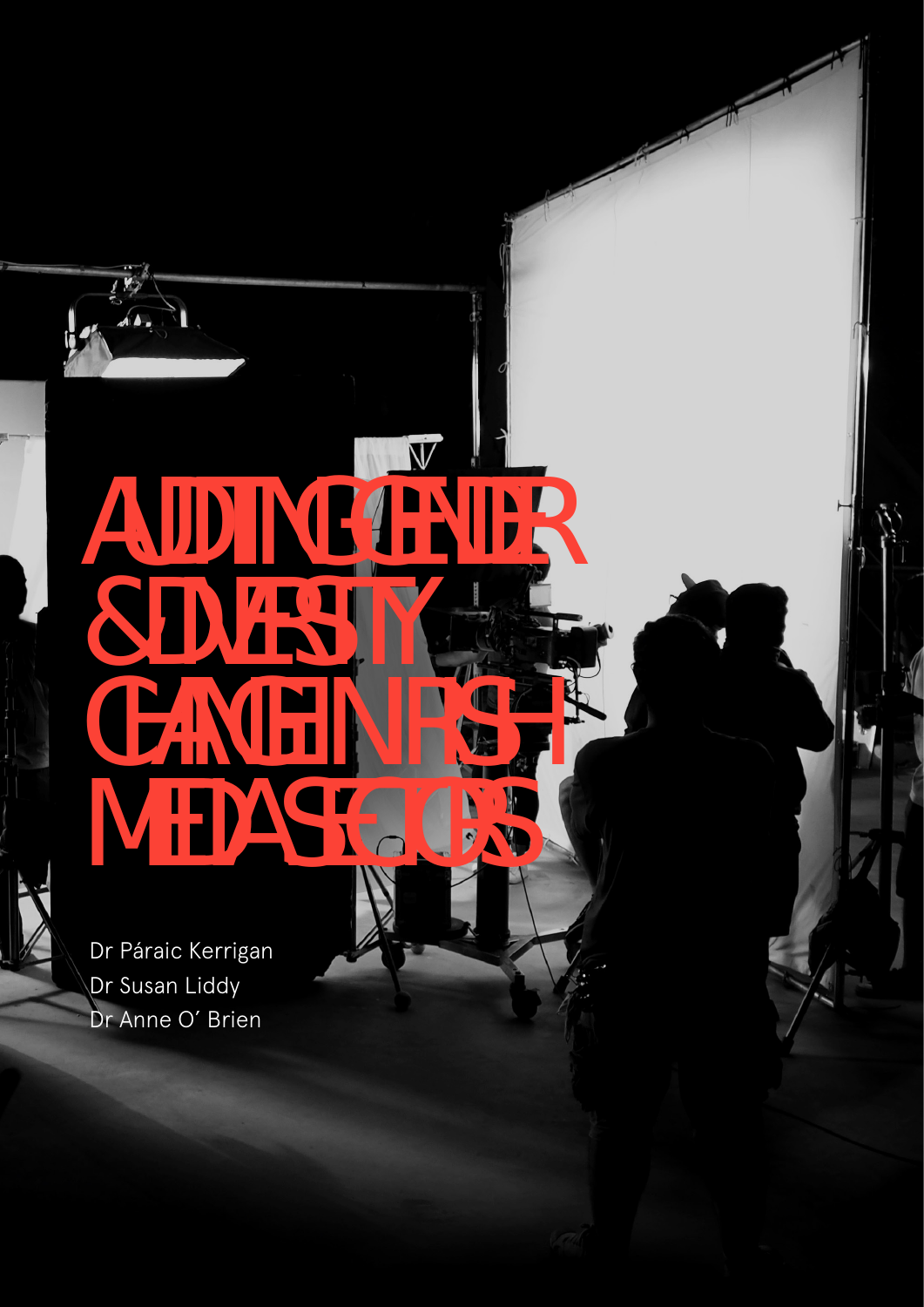# AUDITING GENDER & DIVERSITY CHANGE IN IRISH **MEDIA SE**

Dr Páraic Kerrigan Dr Susan Liddy Dr Anne O' Brien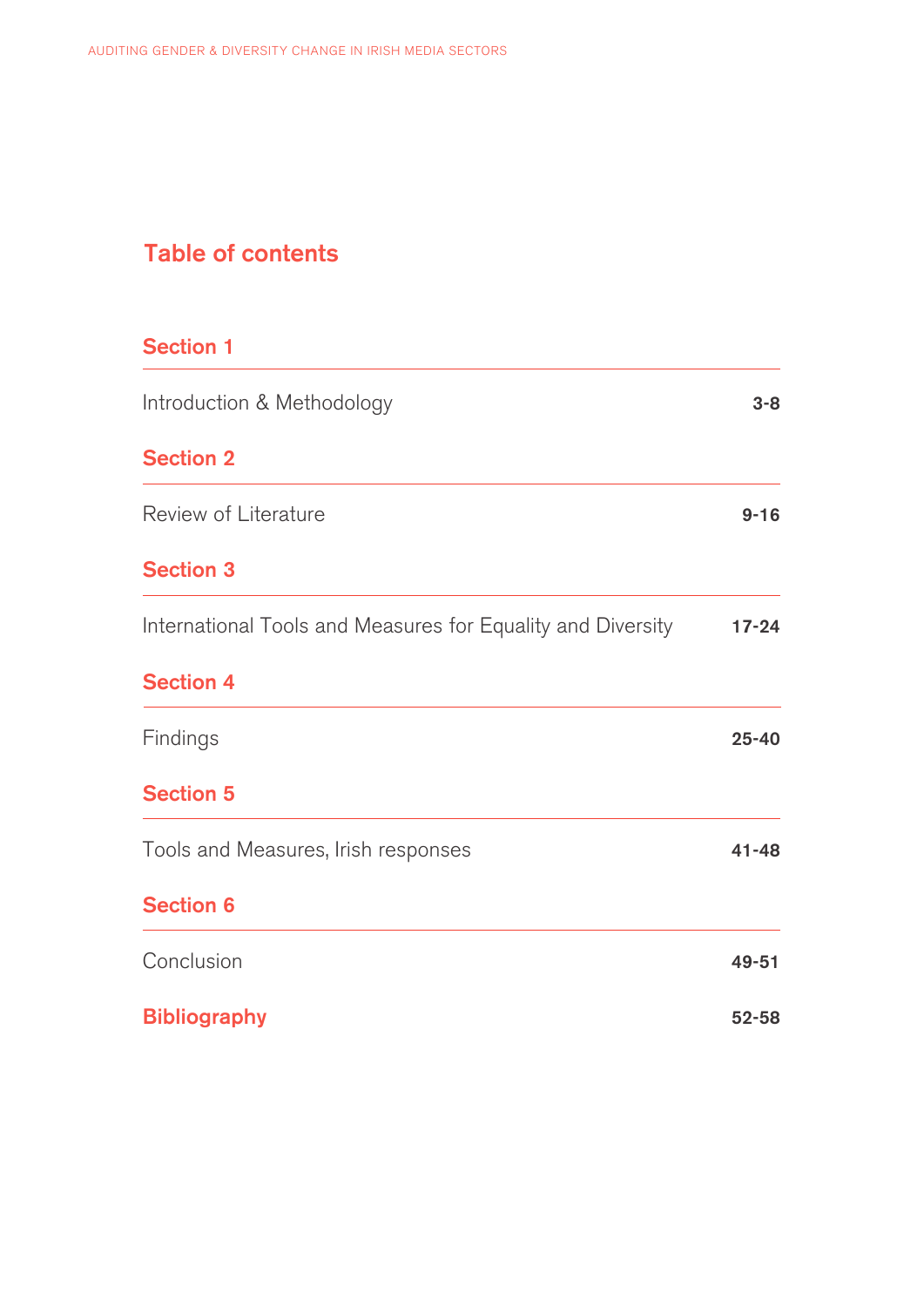### Table of contents

| <b>Section 1</b>                                            |           |
|-------------------------------------------------------------|-----------|
| Introduction & Methodology                                  | $3 - 8$   |
| <b>Section 2</b>                                            |           |
| Review of Literature                                        | $9 - 16$  |
| <b>Section 3</b>                                            |           |
| International Tools and Measures for Equality and Diversity | $17 - 24$ |
| <b>Section 4</b>                                            |           |
| Findings                                                    | $25 - 40$ |
| <b>Section 5</b>                                            |           |
| Tools and Measures, Irish responses                         | $41 - 48$ |
| <b>Section 6</b>                                            |           |
| Conclusion                                                  | 49-51     |
| <b>Bibliography</b>                                         | $52 - 58$ |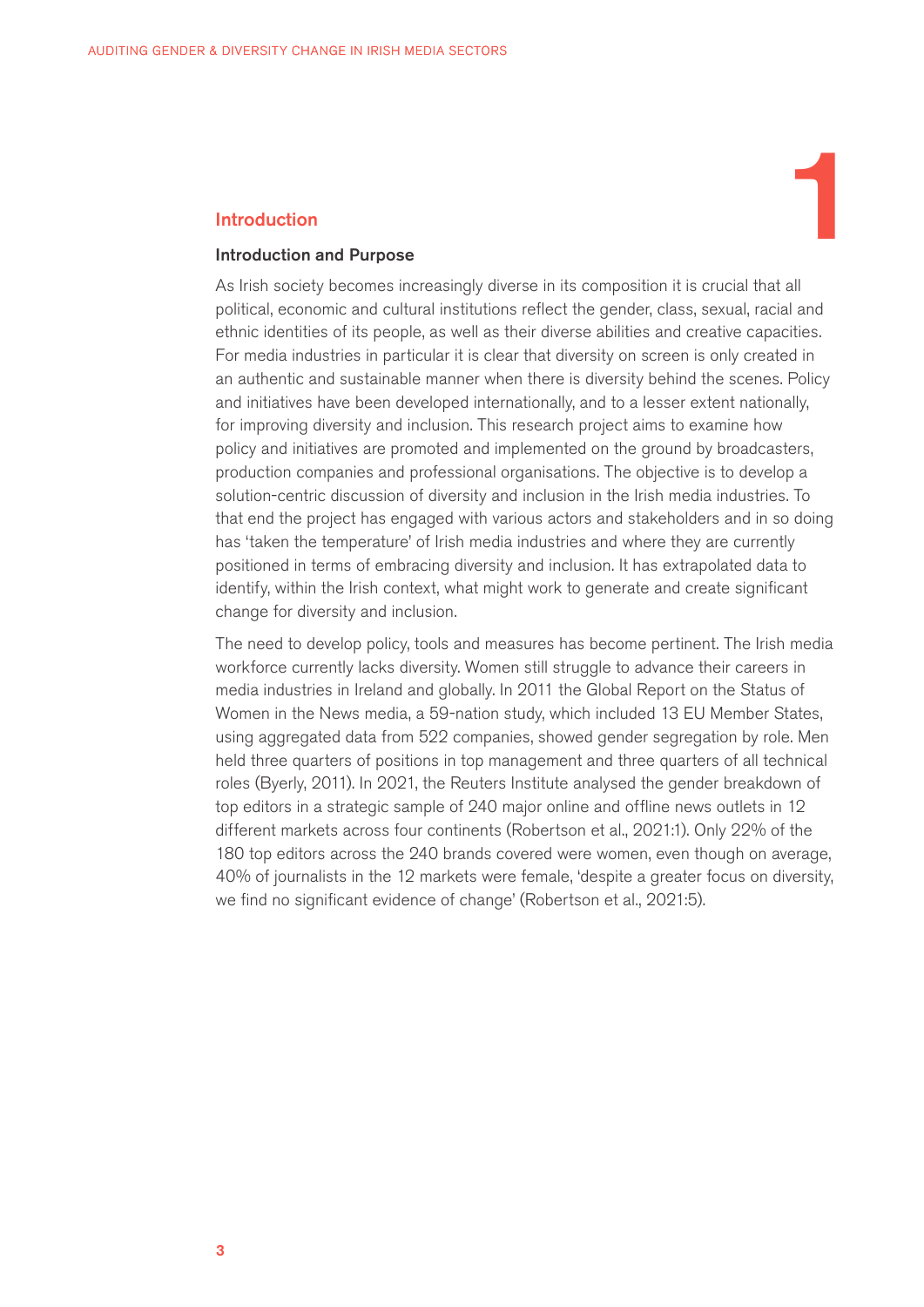## Introduction and Purpose **Introduction and Purpose Research 2008**<br>Introduction and Purpose

As Irish society becomes increasingly diverse in its composition it is crucial that all political, economic and cultural institutions reflect the gender, class, sexual, racial and ethnic identities of its people, as well as their diverse abilities and creative capacities. For media industries in particular it is clear that diversity on screen is only created in an authentic and sustainable manner when there is diversity behind the scenes. Policy and initiatives have been developed internationally, and to a lesser extent nationally, for improving diversity and inclusion. This research project aims to examine how policy and initiatives are promoted and implemented on the ground by broadcasters, production companies and professional organisations. The objective is to develop a solution-centric discussion of diversity and inclusion in the Irish media industries. To that end the project has engaged with various actors and stakeholders and in so doing has 'taken the temperature' of Irish media industries and where they are currently positioned in terms of embracing diversity and inclusion. It has extrapolated data to identify, within the Irish context, what might work to generate and create significant change for diversity and inclusion.

The need to develop policy, tools and measures has become pertinent. The Irish media workforce currently lacks diversity. Women still struggle to advance their careers in media industries in Ireland and globally. In 2011 the Global Report on the Status of Women in the News media, a 59-nation study, which included 13 EU Member States, using aggregated data from 522 companies, showed gender segregation by role. Men held three quarters of positions in top management and three quarters of all technical roles (Byerly, 2011). In 2021, the Reuters Institute analysed the gender breakdown of top editors in a strategic sample of 240 major online and offline news outlets in 12 different markets across four continents (Robertson et al., 2021:1). Only 22% of the 180 top editors across the 240 brands covered were women, even though on average, 40% of journalists in the 12 markets were female, 'despite a greater focus on diversity, we find no significant evidence of change' (Robertson et al., 2021:5).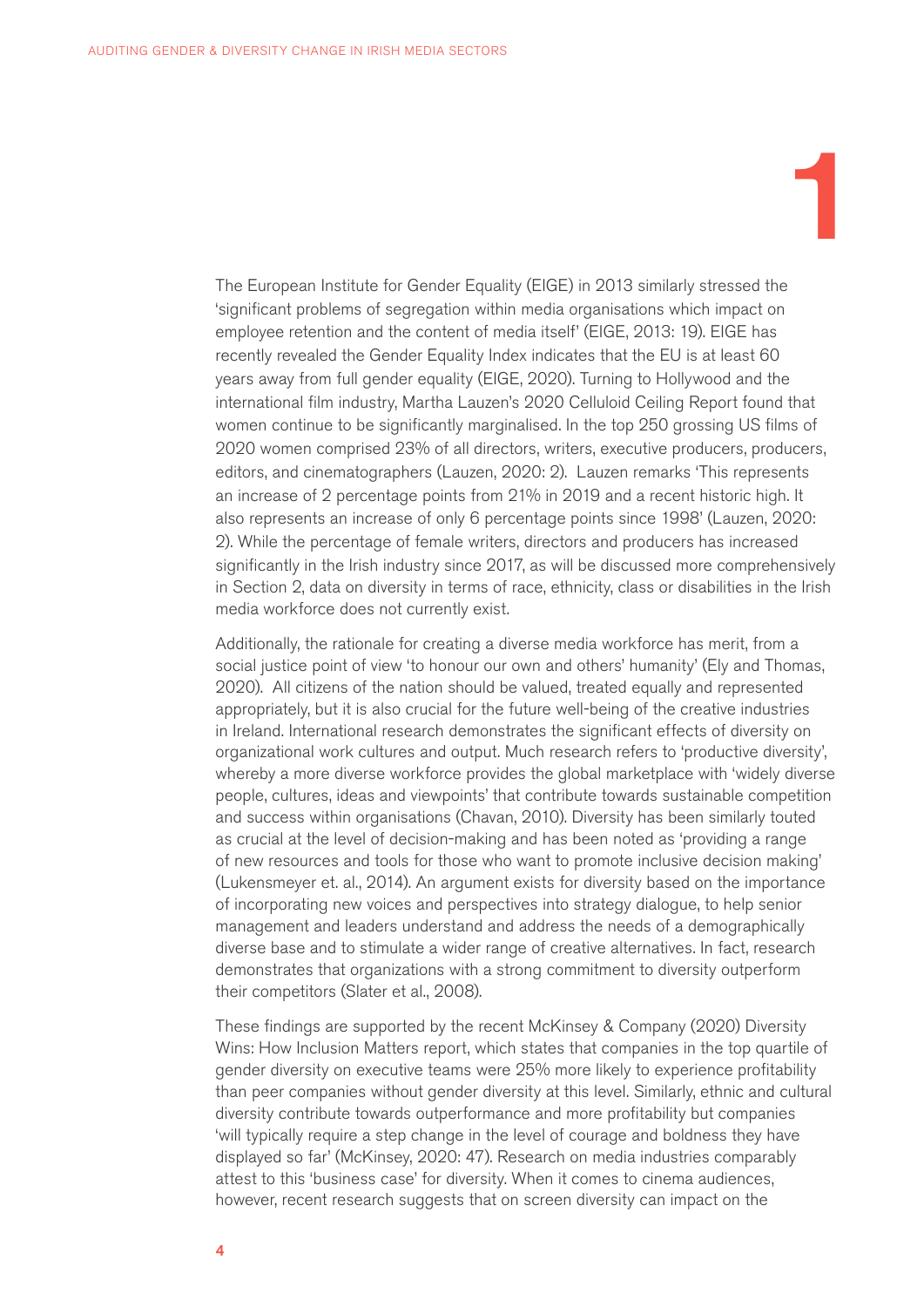The European Institute for Gender Equality (EIGE) in 2013 similarly stressed the 'significant problems of segregation within media organisations which impact on employee retention and the content of media itself' (EIGE, 2013: 19). EIGE has recently revealed the Gender Equality Index indicates that the EU is at least 60 years away from full gender equality (EIGE, 2020). Turning to Hollywood and the international film industry, Martha Lauzen's 2020 Celluloid Ceiling Report found that women continue to be significantly marginalised. In the top 250 grossing US films of 2020 women comprised 23% of all directors, writers, executive producers, producers, editors, and cinematographers (Lauzen, 2020: 2). Lauzen remarks 'This represents an increase of 2 percentage points from 21% in 2019 and a recent historic high. It also represents an increase of only 6 percentage points since 1998' (Lauzen, 2020: 2). While the percentage of female writers, directors and producers has increased significantly in the Irish industry since 2017, as will be discussed more comprehensively in Section 2, data on diversity in terms of race, ethnicity, class or disabilities in the Irish media workforce does not currently exist.

1

Additionally, the rationale for creating a diverse media workforce has merit, from a social justice point of view 'to honour our own and others' humanity' (Ely and Thomas, 2020). All citizens of the nation should be valued, treated equally and represented appropriately, but it is also crucial for the future well-being of the creative industries in Ireland. International research demonstrates the significant effects of diversity on organizational work cultures and output. Much research refers to 'productive diversity', whereby a more diverse workforce provides the global marketplace with 'widely diverse people, cultures, ideas and viewpoints' that contribute towards sustainable competition and success within organisations (Chavan, 2010). Diversity has been similarly touted as crucial at the level of decision-making and has been noted as 'providing a range of new resources and tools for those who want to promote inclusive decision making' (Lukensmeyer et. al., 2014). An argument exists for diversity based on the importance of incorporating new voices and perspectives into strategy dialogue, to help senior management and leaders understand and address the needs of a demographically diverse base and to stimulate a wider range of creative alternatives. In fact, research demonstrates that organizations with a strong commitment to diversity outperform their competitors (Slater et al., 2008).

These findings are supported by the recent McKinsey & Company (2020) Diversity Wins: How Inclusion Matters report, which states that companies in the top quartile of gender diversity on executive teams were 25% more likely to experience profitability than peer companies without gender diversity at this level. Similarly, ethnic and cultural diversity contribute towards outperformance and more profitability but companies 'will typically require a step change in the level of courage and boldness they have displayed so far' (McKinsey, 2020: 47). Research on media industries comparably attest to this 'business case' for diversity. When it comes to cinema audiences, however, recent research suggests that on screen diversity can impact on the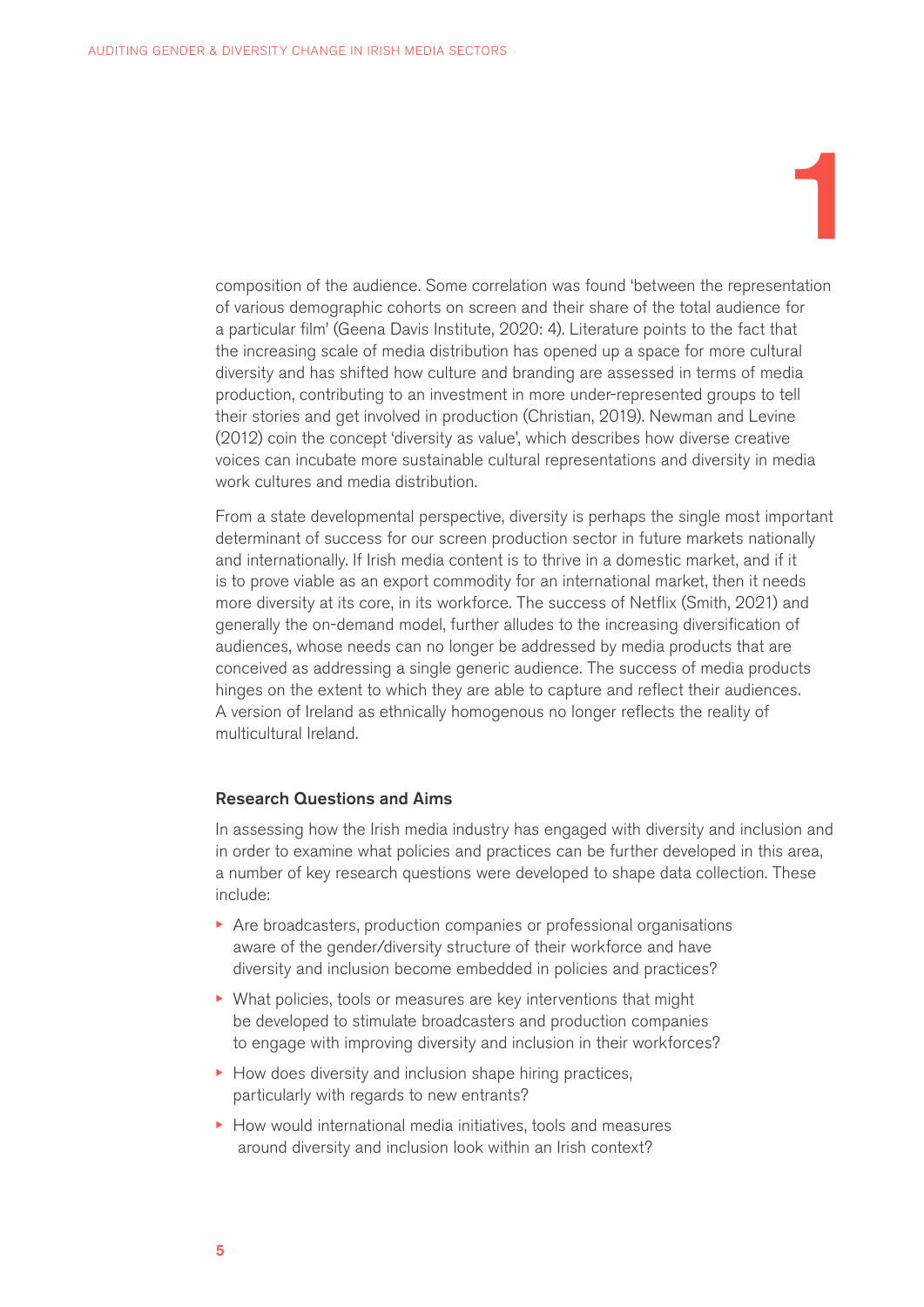composition of the audience. Some correlation was found 'between the representation of various demographic cohorts on screen and their share of the total audience for a particular film' (Geena Davis Institute, 2020: 4). Literature points to the fact that the increasing scale of media distribution has opened up a space for more cultural diversity and has shifted how culture and branding are assessed in terms of media production, contributing to an investment in more under-represented groups to tell their stories and get involved in production (Christian, 2019). Newman and Levine (2012) coin the concept 'diversity as value', which describes how diverse creative voices can incubate more sustainable cultural representations and diversity in media work cultures and media distribution.

1

From a state developmental perspective, diversity is perhaps the single most important determinant of success for our screen production sector in future markets nationally and internationally. If Irish media content is to thrive in a domestic market, and if it is to prove viable as an export commodity for an international market, then it needs more diversity at its core, in its workforce. The success of Netflix (Smith, 2021) and generally the on-demand model, further alludes to the increasing diversification of audiences, whose needs can no longer be addressed by media products that are conceived as addressing a single generic audience. The success of media products hinges on the extent to which they are able to capture and reflect their audiences. A version of Ireland as ethnically homogenous no longer reflects the reality of multicultural Ireland.

#### Research Questions and Aims

In assessing how the Irish media industry has engaged with diversity and inclusion and in order to examine what policies and practices can be further developed in this area, a number of key research questions were developed to shape data collection. These include:

- Are broadcasters, production companies or professional organisations aware of the gender/diversity structure of their workforce and have diversity and inclusion become embedded in policies and practices?
- What policies, tools or measures are key interventions that might be developed to stimulate broadcasters and production companies to engage with improving diversity and inclusion in their workforces?
- How does diversity and inclusion shape hiring practices, particularly with regards to new entrants?
- How would international media initiatives, tools and measures around diversity and inclusion look within an Irish context?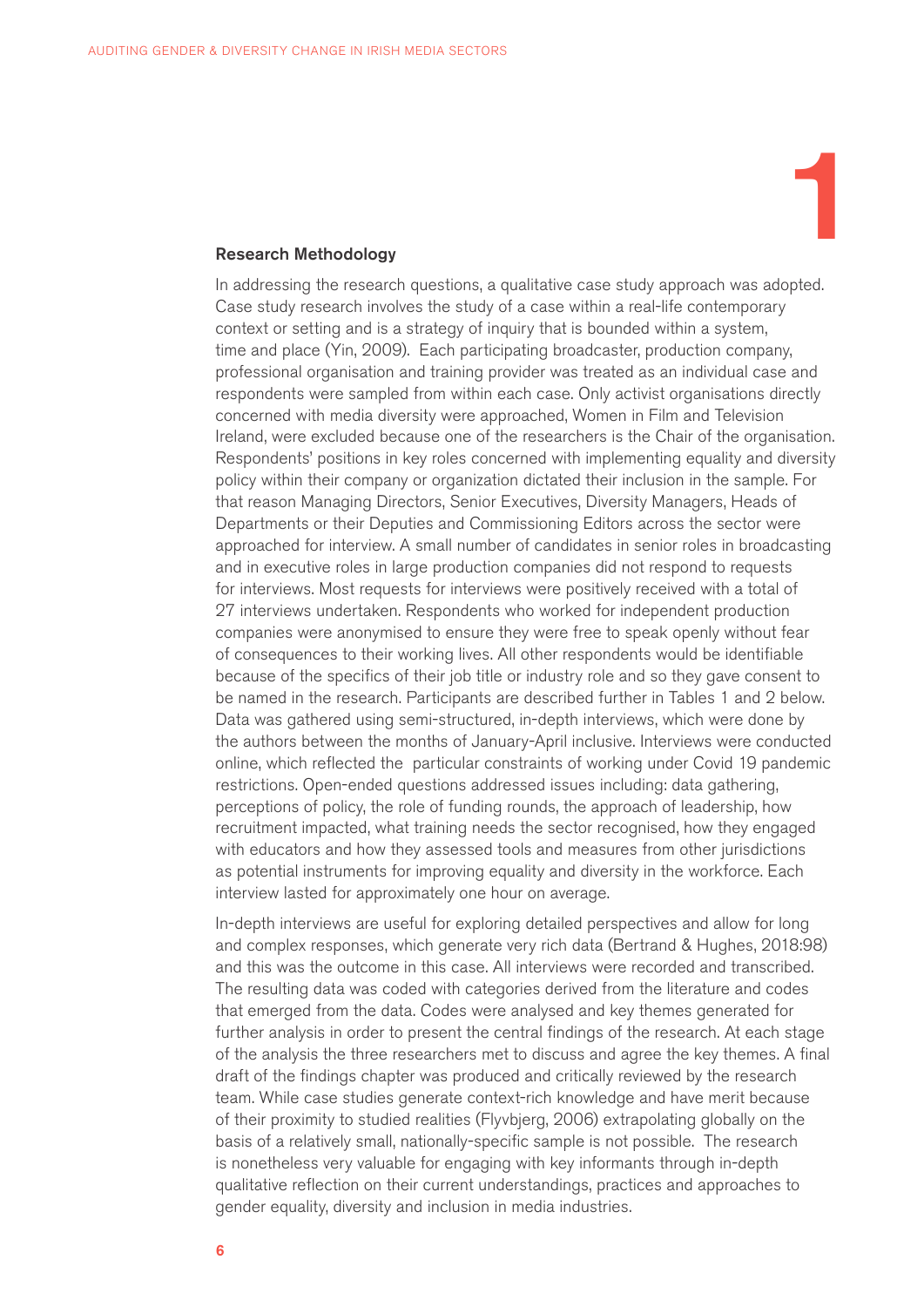# 1

#### Research Methodology

In addressing the research questions, a qualitative case study approach was adopted. Case study research involves the study of a case within a real-life contemporary context or setting and is a strategy of inquiry that is bounded within a system, time and place (Yin, 2009). Each participating broadcaster, production company, professional organisation and training provider was treated as an individual case and respondents were sampled from within each case. Only activist organisations directly concerned with media diversity were approached, Women in Film and Television Ireland, were excluded because one of the researchers is the Chair of the organisation. Respondents' positions in key roles concerned with implementing equality and diversity policy within their company or organization dictated their inclusion in the sample. For that reason Managing Directors, Senior Executives, Diversity Managers, Heads of Departments or their Deputies and Commissioning Editors across the sector were approached for interview. A small number of candidates in senior roles in broadcasting and in executive roles in large production companies did not respond to requests for interviews. Most requests for interviews were positively received with a total of 27 interviews undertaken. Respondents who worked for independent production companies were anonymised to ensure they were free to speak openly without fear of consequences to their working lives. All other respondents would be identifiable because of the specifics of their job title or industry role and so they gave consent to be named in the research. Participants are described further in Tables 1 and 2 below. Data was gathered using semi-structured, in-depth interviews, which were done by the authors between the months of January-April inclusive. Interviews were conducted online, which reflected the particular constraints of working under Covid 19 pandemic restrictions. Open-ended questions addressed issues including: data gathering, perceptions of policy, the role of funding rounds, the approach of leadership, how recruitment impacted, what training needs the sector recognised, how they engaged with educators and how they assessed tools and measures from other jurisdictions as potential instruments for improving equality and diversity in the workforce. Each interview lasted for approximately one hour on average.

In-depth interviews are useful for exploring detailed perspectives and allow for long and complex responses, which generate very rich data (Bertrand & Hughes, 2018:98) and this was the outcome in this case. All interviews were recorded and transcribed. The resulting data was coded with categories derived from the literature and codes that emerged from the data. Codes were analysed and key themes generated for further analysis in order to present the central findings of the research. At each stage of the analysis the three researchers met to discuss and agree the key themes. A final draft of the findings chapter was produced and critically reviewed by the research team. While case studies generate context-rich knowledge and have merit because of their proximity to studied realities (Flyvbjerg, 2006) extrapolating globally on the basis of a relatively small, nationally-specific sample is not possible. The research is nonetheless very valuable for engaging with key informants through in-depth qualitative reflection on their current understandings, practices and approaches to gender equality, diversity and inclusion in media industries.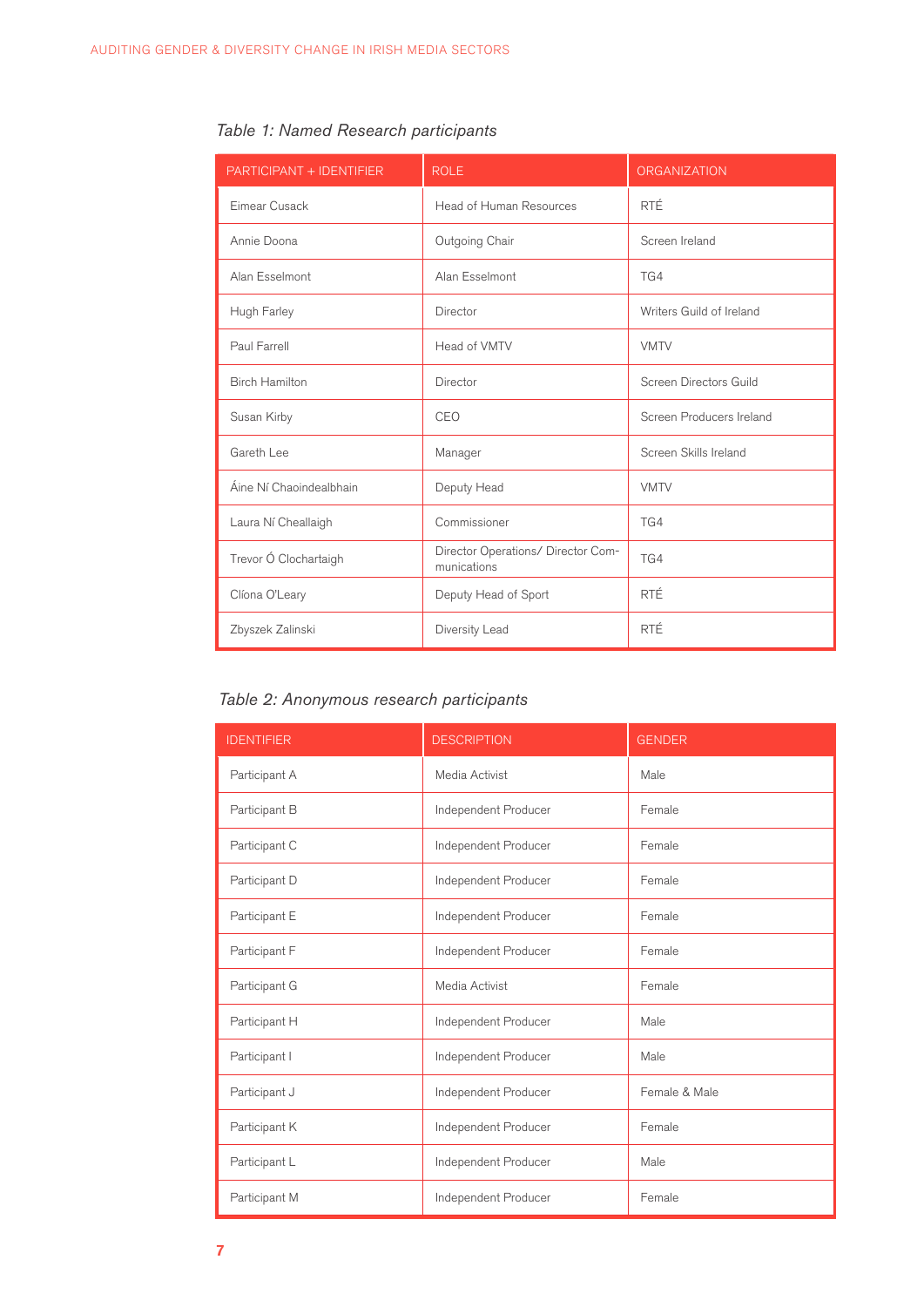| PARTICIPANT + IDENTIFIER | <b>ROLE</b>                                       | <b>ORGANIZATION</b>      |
|--------------------------|---------------------------------------------------|--------------------------|
| Eimear Cusack            | Head of Human Resources                           | <b>RTÉ</b>               |
| Annie Doona              | Outgoing Chair                                    | Screen Ireland           |
| Alan Esselmont           | Alan Esselmont                                    | TG4                      |
| Hugh Farley              | Director                                          | Writers Guild of Ireland |
| Paul Farrell             | Head of VMTV                                      | <b>VMTV</b>              |
| <b>Birch Hamilton</b>    | Director                                          | Screen Directors Guild   |
| Susan Kirby              | CEO                                               | Screen Producers Ireland |
| Gareth Lee               | Manager                                           | Screen Skills Ireland    |
| Áine Ní Chaoindealbhain  | Deputy Head                                       | <b>VMTV</b>              |
| Laura Ní Cheallaigh      | Commissioner                                      | TG4                      |
| Trevor Ó Clochartaigh    | Director Operations/ Director Com-<br>munications | TG4                      |
| Clíona O'Leary           | Deputy Head of Sport                              | <b>RTÉ</b>               |
| Zbyszek Zalinski         | Diversity Lead                                    | <b>RTÉ</b>               |

*Table 1: Named Research participants*

*Table 2: Anonymous research participants*

| <b>IDENTIFIER</b> | <b>DESCRIPTION</b>   | <b>GENDER</b> |
|-------------------|----------------------|---------------|
| Participant A     | Media Activist       | Male          |
| Participant B     | Independent Producer | Female        |
| Participant C     | Independent Producer | Female        |
| Participant D     | Independent Producer | Female        |
| Participant E     | Independent Producer | Female        |
| Participant F     | Independent Producer | Female        |
| Participant G     | Media Activist       | Female        |
| Participant H     | Independent Producer | Male          |
| Participant I     | Independent Producer | Male          |
| Participant J     | Independent Producer | Female & Male |
| Participant K     | Independent Producer | Female        |
| Participant L     | Independent Producer | Male          |
| Participant M     | Independent Producer | Female        |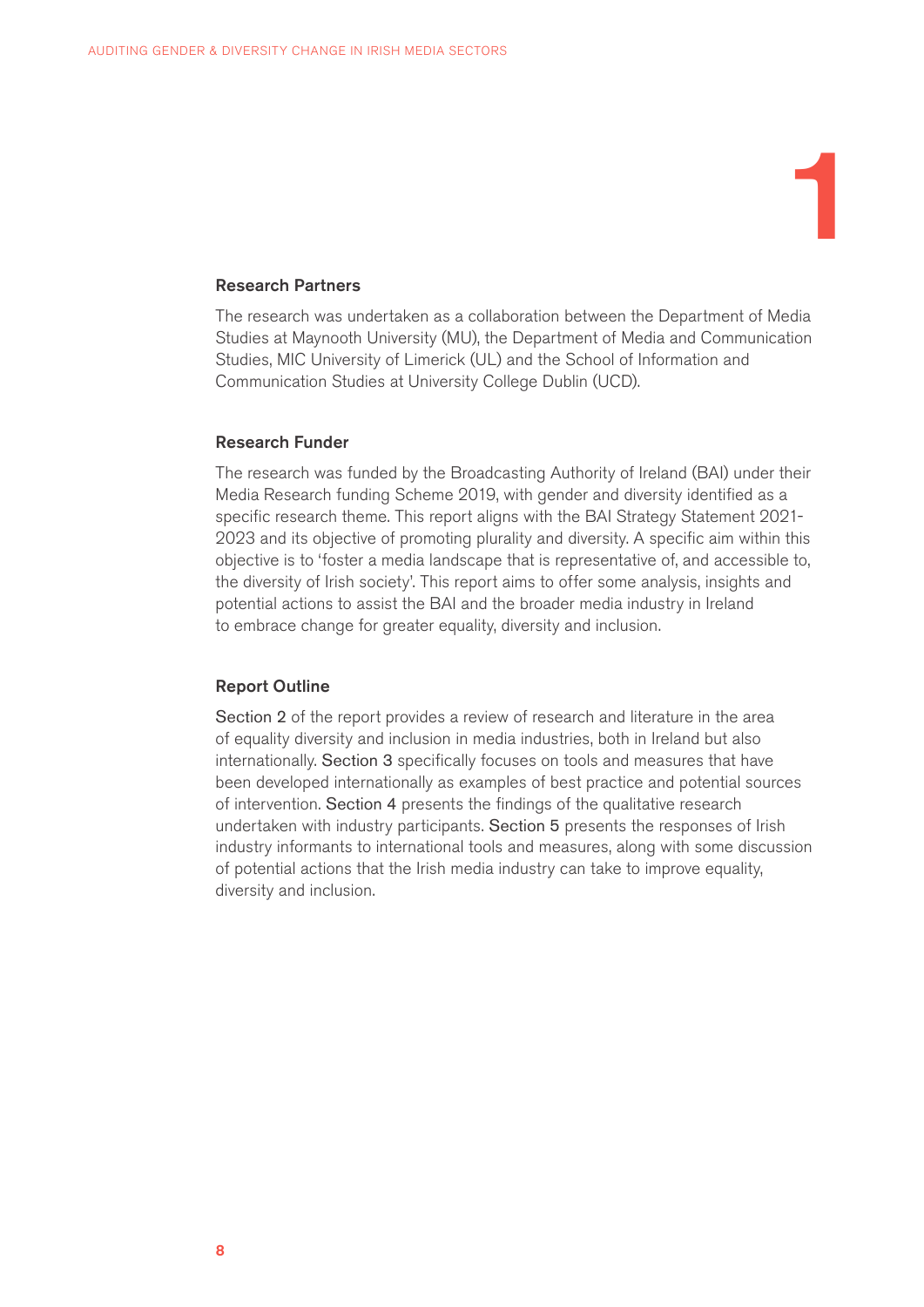# 1

### Research Partners

The research was undertaken as a collaboration between the Department of Media Studies at Maynooth University (MU), the Department of Media and Communication Studies, MIC University of Limerick (UL) and the School of Information and Communication Studies at University College Dublin (UCD).

#### Research Funder

The research was funded by the Broadcasting Authority of Ireland (BAI) under their Media Research funding Scheme 2019, with gender and diversity identified as a specific research theme. This report aligns with the BAI Strategy Statement 2021- 2023 and its objective of promoting plurality and diversity. A specific aim within this objective is to 'foster a media landscape that is representative of, and accessible to, the diversity of Irish society'. This report aims to offer some analysis, insights and potential actions to assist the BAI and the broader media industry in Ireland to embrace change for greater equality, diversity and inclusion.

#### Report Outline

Section 2 of the report provides a review of research and literature in the area of equality diversity and inclusion in media industries, both in Ireland but also internationally. Section 3 specifically focuses on tools and measures that have been developed internationally as examples of best practice and potential sources of intervention. Section 4 presents the findings of the qualitative research undertaken with industry participants. Section 5 presents the responses of Irish industry informants to international tools and measures, along with some discussion of potential actions that the Irish media industry can take to improve equality, diversity and inclusion.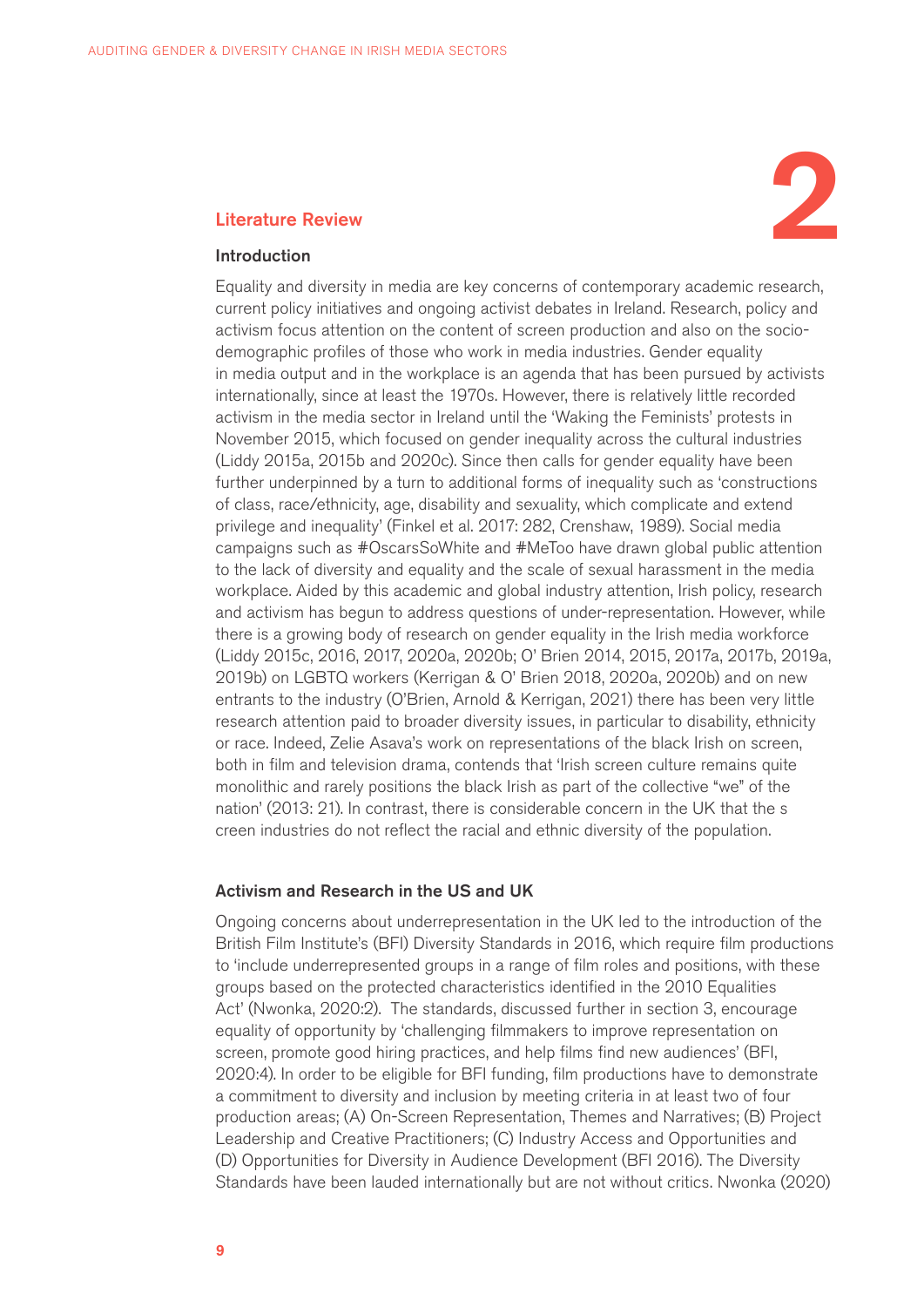

#### Introduction

Equality and diversity in media are key concerns of contemporary academic research, current policy initiatives and ongoing activist debates in Ireland. Research, policy and activism focus attention on the content of screen production and also on the sociodemographic profiles of those who work in media industries. Gender equality in media output and in the workplace is an agenda that has been pursued by activists internationally, since at least the 1970s. However, there is relatively little recorded activism in the media sector in Ireland until the 'Waking the Feminists' protests in November 2015, which focused on gender inequality across the cultural industries (Liddy 2015a, 2015b and 2020c). Since then calls for gender equality have been further underpinned by a turn to additional forms of inequality such as 'constructions of class, race/ethnicity, age, disability and sexuality, which complicate and extend privilege and inequality' (Finkel et al. 2017: 282, Crenshaw, 1989). Social media campaigns such as #OscarsSoWhite and #MeToo have drawn global public attention to the lack of diversity and equality and the scale of sexual harassment in the media workplace. Aided by this academic and global industry attention, Irish policy, research and activism has begun to address questions of under-representation. However, while there is a growing body of research on gender equality in the Irish media workforce (Liddy 2015c, 2016, 2017, 2020a, 2020b; O' Brien 2014, 2015, 2017a, 2017b, 2019a, 2019b) on LGBTQ workers (Kerrigan & O' Brien 2018, 2020a, 2020b) and on new entrants to the industry (O'Brien, Arnold & Kerrigan, 2021) there has been very little research attention paid to broader diversity issues, in particular to disability, ethnicity or race. Indeed, Zelie Asava's work on representations of the black Irish on screen, both in film and television drama, contends that 'Irish screen culture remains quite monolithic and rarely positions the black Irish as part of the collective "we" of the nation' (2013: 21). In contrast, there is considerable concern in the UK that the s creen industries do not reflect the racial and ethnic diversity of the population.

#### Activism and Research in the US and UK

Ongoing concerns about underrepresentation in the UK led to the introduction of the British Film Institute's (BFI) Diversity Standards in 2016, which require film productions to 'include underrepresented groups in a range of film roles and positions, with these groups based on the protected characteristics identified in the 2010 Equalities Act' (Nwonka, 2020:2). The standards, discussed further in section 3, encourage equality of opportunity by 'challenging filmmakers to improve representation on screen, promote good hiring practices, and help films find new audiences' (BFI, 2020:4). In order to be eligible for BFI funding, film productions have to demonstrate a commitment to diversity and inclusion by meeting criteria in at least two of four production areas; (A) On-Screen Representation, Themes and Narratives; (B) Project Leadership and Creative Practitioners; (C) Industry Access and Opportunities and (D) Opportunities for Diversity in Audience Development (BFI 2016). The Diversity Standards have been lauded internationally but are not without critics. Nwonka (2020)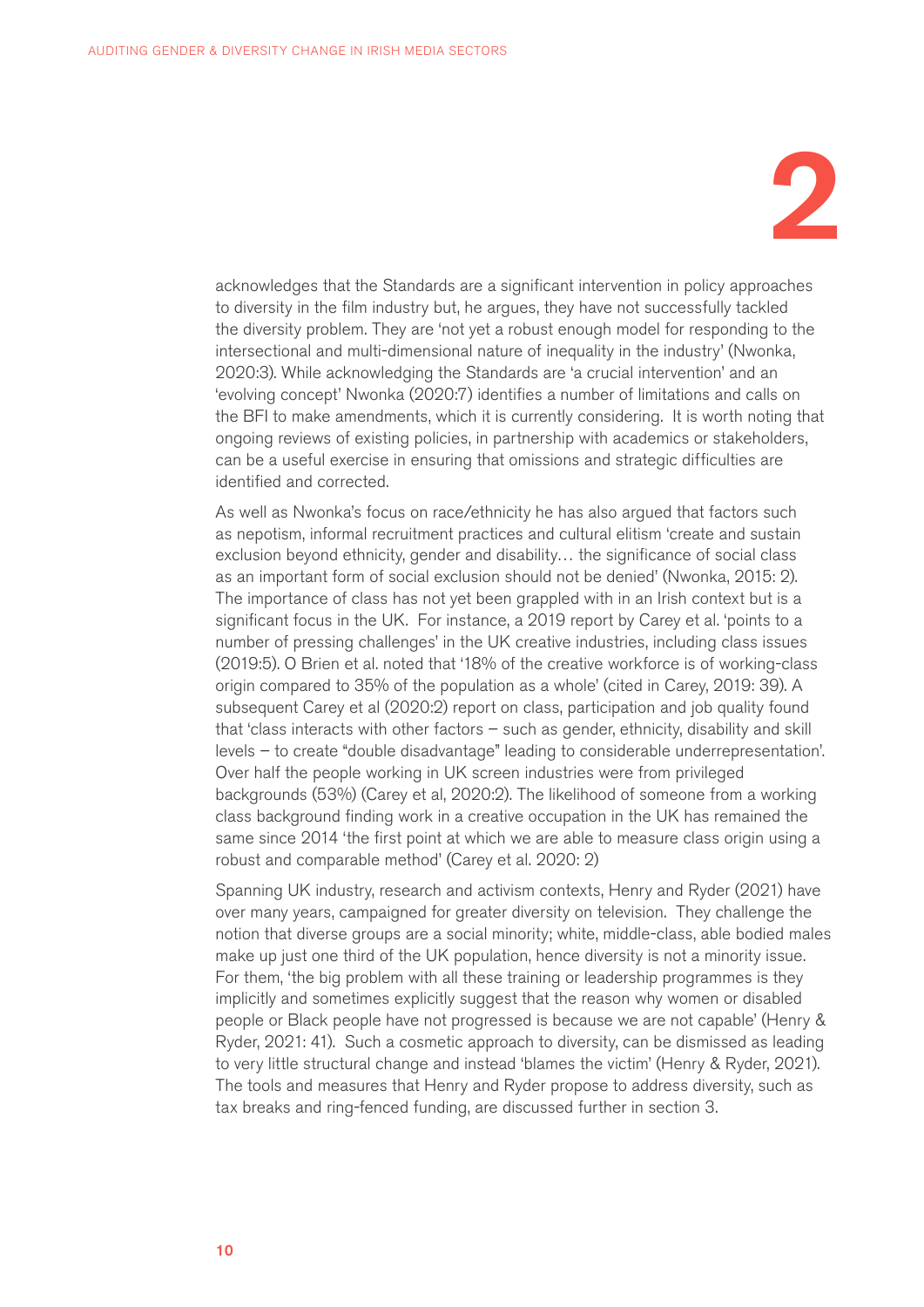## 2

acknowledges that the Standards are a significant intervention in policy approaches to diversity in the film industry but, he argues, they have not successfully tackled the diversity problem. They are 'not yet a robust enough model for responding to the intersectional and multi-dimensional nature of inequality in the industry' (Nwonka, 2020:3). While acknowledging the Standards are 'a crucial intervention' and an 'evolving concept' Nwonka (2020:7) identifies a number of limitations and calls on the BFI to make amendments, which it is currently considering. It is worth noting that ongoing reviews of existing policies, in partnership with academics or stakeholders, can be a useful exercise in ensuring that omissions and strategic difficulties are identified and corrected.

As well as Nwonka's focus on race/ethnicity he has also argued that factors such as nepotism, informal recruitment practices and cultural elitism 'create and sustain exclusion beyond ethnicity, gender and disability… the significance of social class as an important form of social exclusion should not be denied' (Nwonka, 2015: 2). The importance of class has not yet been grappled with in an Irish context but is a significant focus in the UK. For instance, a 2019 report by Carey et al. 'points to a number of pressing challenges' in the UK creative industries, including class issues (2019:5). O Brien et al. noted that '18% of the creative workforce is of working-class origin compared to 35% of the population as a whole' (cited in Carey, 2019: 39). A subsequent Carey et al (2020:2) report on class, participation and job quality found that 'class interacts with other factors – such as gender, ethnicity, disability and skill levels – to create "double disadvantage" leading to considerable underrepresentation'. Over half the people working in UK screen industries were from privileged backgrounds (53%) (Carey et al, 2020:2). The likelihood of someone from a working class background finding work in a creative occupation in the UK has remained the same since 2014 'the first point at which we are able to measure class origin using a robust and comparable method' (Carey et al. 2020: 2)

Spanning UK industry, research and activism contexts, Henry and Ryder (2021) have over many years, campaigned for greater diversity on television. They challenge the notion that diverse groups are a social minority; white, middle-class, able bodied males make up just one third of the UK population, hence diversity is not a minority issue. For them, 'the big problem with all these training or leadership programmes is they implicitly and sometimes explicitly suggest that the reason why women or disabled people or Black people have not progressed is because we are not capable' (Henry & Ryder, 2021: 41). Such a cosmetic approach to diversity, can be dismissed as leading to very little structural change and instead 'blames the victim' (Henry & Ryder, 2021). The tools and measures that Henry and Ryder propose to address diversity, such as tax breaks and ring-fenced funding, are discussed further in section 3.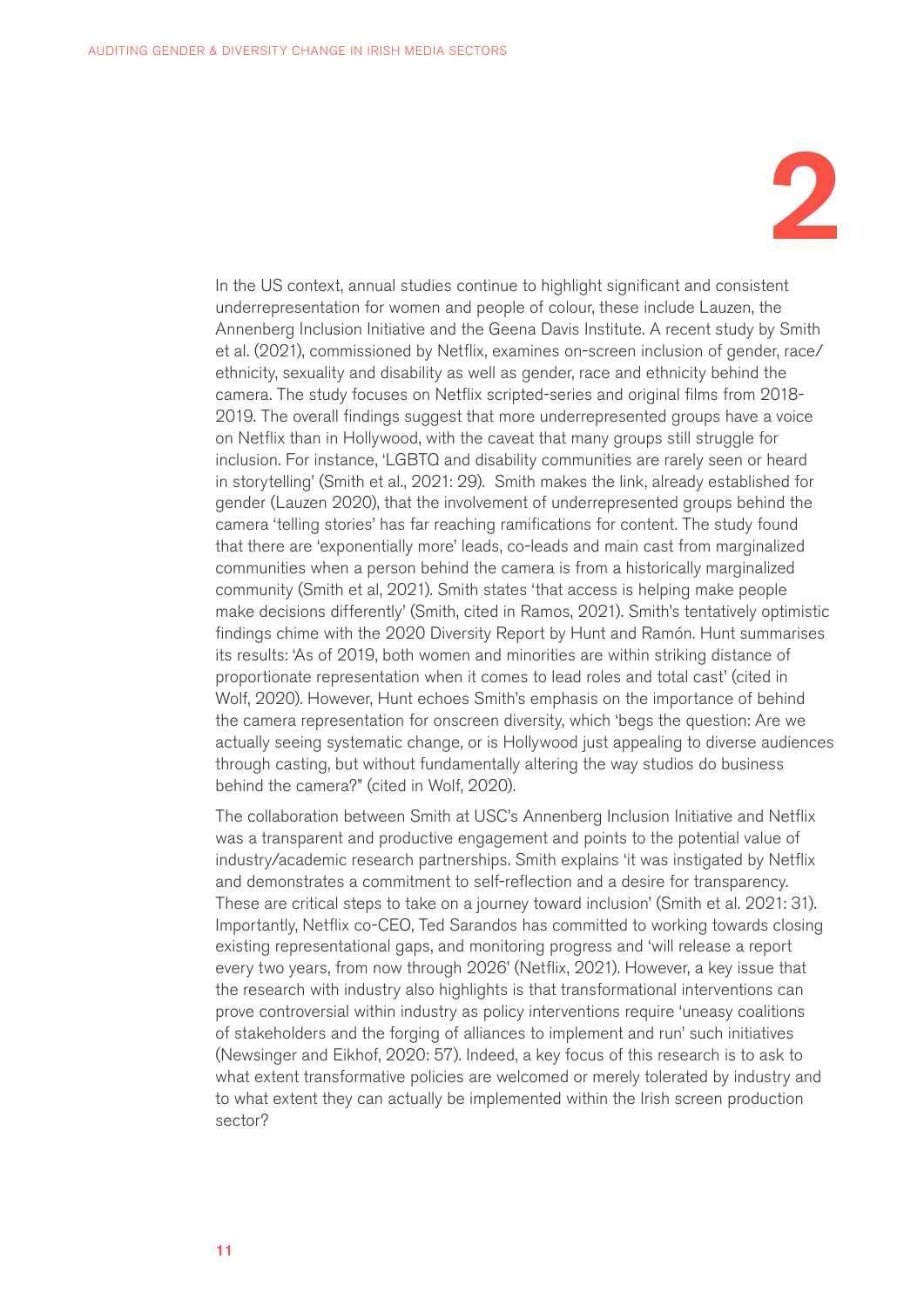

In the US context, annual studies continue to highlight significant and consistent underrepresentation for women and people of colour, these include Lauzen, the Annenberg Inclusion Initiative and the Geena Davis Institute. A recent study by Smith et al. (2021), commissioned by Netflix, examines on-screen inclusion of gender, race/ ethnicity, sexuality and disability as well as gender, race and ethnicity behind the camera. The study focuses on Netflix scripted-series and original films from 2018- 2019. The overall findings suggest that more underrepresented groups have a voice on Netflix than in Hollywood, with the caveat that many groups still struggle for inclusion. For instance, 'LGBTQ and disability communities are rarely seen or heard in storytelling' (Smith et al., 2021: 29). Smith makes the link, already established for gender (Lauzen 2020), that the involvement of underrepresented groups behind the camera 'telling stories' has far reaching ramifications for content. The study found that there are 'exponentially more' leads, co-leads and main cast from marginalized communities when a person behind the camera is from a historically marginalized community (Smith et al, 2021). Smith states 'that access is helping make people make decisions differently' (Smith, cited in Ramos, 2021). Smith's tentatively optimistic findings chime with the 2020 Diversity Report by Hunt and Ramón. Hunt summarises its results: 'As of 2019, both women and minorities are within striking distance of proportionate representation when it comes to lead roles and total cast' (cited in Wolf, 2020). However, Hunt echoes Smith's emphasis on the importance of behind the camera representation for onscreen diversity, which 'begs the question: Are we actually seeing systematic change, or is Hollywood just appealing to diverse audiences through casting, but without fundamentally altering the way studios do business behind the camera?" (cited in Wolf, 2020).

The collaboration between Smith at USC's Annenberg Inclusion Initiative and Netflix was a transparent and productive engagement and points to the potential value of industry/academic research partnerships. Smith explains 'it was instigated by Netflix and demonstrates a commitment to self-reflection and a desire for transparency. These are critical steps to take on a journey toward inclusion' (Smith et al. 2021: 31). Importantly, Netflix co-CEO, Ted Sarandos has committed to working towards closing existing representational gaps, and monitoring progress and 'will release a report every two years, from now through 2026' (Netflix, 2021). However, a key issue that the research with industry also highlights is that transformational interventions can prove controversial within industry as policy interventions require 'uneasy coalitions of stakeholders and the forging of alliances to implement and run' such initiatives (Newsinger and Eikhof, 2020: 57). Indeed, a key focus of this research is to ask to what extent transformative policies are welcomed or merely tolerated by industry and to what extent they can actually be implemented within the Irish screen production sector?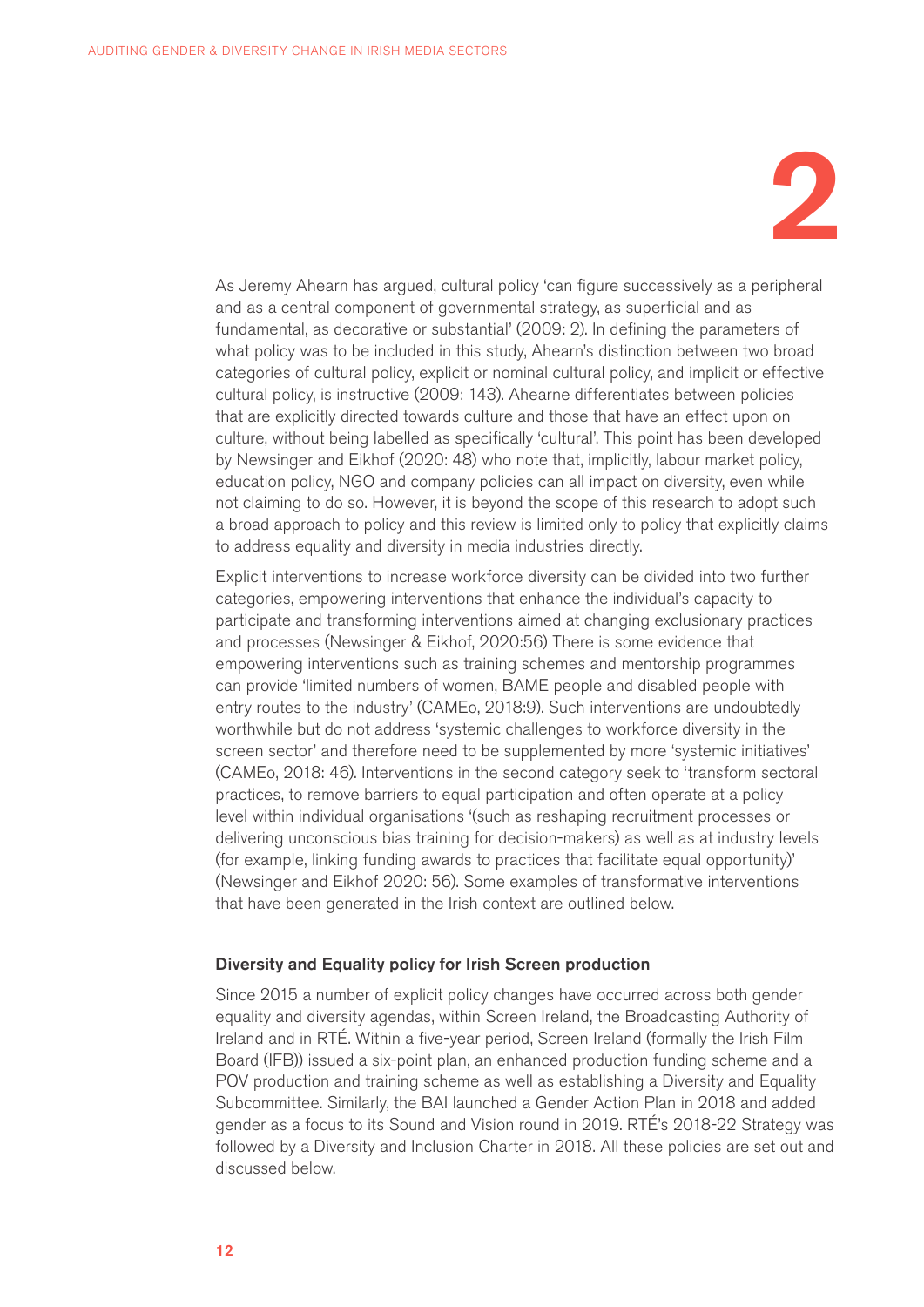# 2

As Jeremy Ahearn has argued, cultural policy 'can figure successively as a peripheral and as a central component of governmental strategy, as superficial and as fundamental, as decorative or substantial' (2009: 2). In defining the parameters of what policy was to be included in this study, Ahearn's distinction between two broad categories of cultural policy, explicit or nominal cultural policy, and implicit or effective cultural policy, is instructive (2009: 143). Ahearne differentiates between policies that are explicitly directed towards culture and those that have an effect upon on culture, without being labelled as specifically 'cultural'. This point has been developed by Newsinger and Eikhof (2020: 48) who note that, implicitly, labour market policy, education policy, NGO and company policies can all impact on diversity, even while not claiming to do so. However, it is beyond the scope of this research to adopt such a broad approach to policy and this review is limited only to policy that explicitly claims to address equality and diversity in media industries directly.

Explicit interventions to increase workforce diversity can be divided into two further categories, empowering interventions that enhance the individual's capacity to participate and transforming interventions aimed at changing exclusionary practices and processes (Newsinger & Eikhof, 2020:56) There is some evidence that empowering interventions such as training schemes and mentorship programmes can provide 'limited numbers of women, BAME people and disabled people with entry routes to the industry' (CAMEo, 2018:9). Such interventions are undoubtedly worthwhile but do not address 'systemic challenges to workforce diversity in the screen sector' and therefore need to be supplemented by more 'systemic initiatives' (CAMEo, 2018: 46). Interventions in the second category seek to 'transform sectoral practices, to remove barriers to equal participation and often operate at a policy level within individual organisations '(such as reshaping recruitment processes or delivering unconscious bias training for decision-makers) as well as at industry levels (for example, linking funding awards to practices that facilitate equal opportunity)' (Newsinger and Eikhof 2020: 56). Some examples of transformative interventions that have been generated in the Irish context are outlined below.

#### Diversity and Equality policy for Irish Screen production

Since 2015 a number of explicit policy changes have occurred across both gender equality and diversity agendas, within Screen Ireland, the Broadcasting Authority of Ireland and in RTÉ. Within a five-year period, Screen Ireland (formally the Irish Film Board (IFB)) issued a six-point plan, an enhanced production funding scheme and a POV production and training scheme as well as establishing a Diversity and Equality Subcommittee. Similarly, the BAI launched a Gender Action Plan in 2018 and added gender as a focus to its Sound and Vision round in 2019. RTÉ's 2018-22 Strategy was followed by a Diversity and Inclusion Charter in 2018. All these policies are set out and discussed below.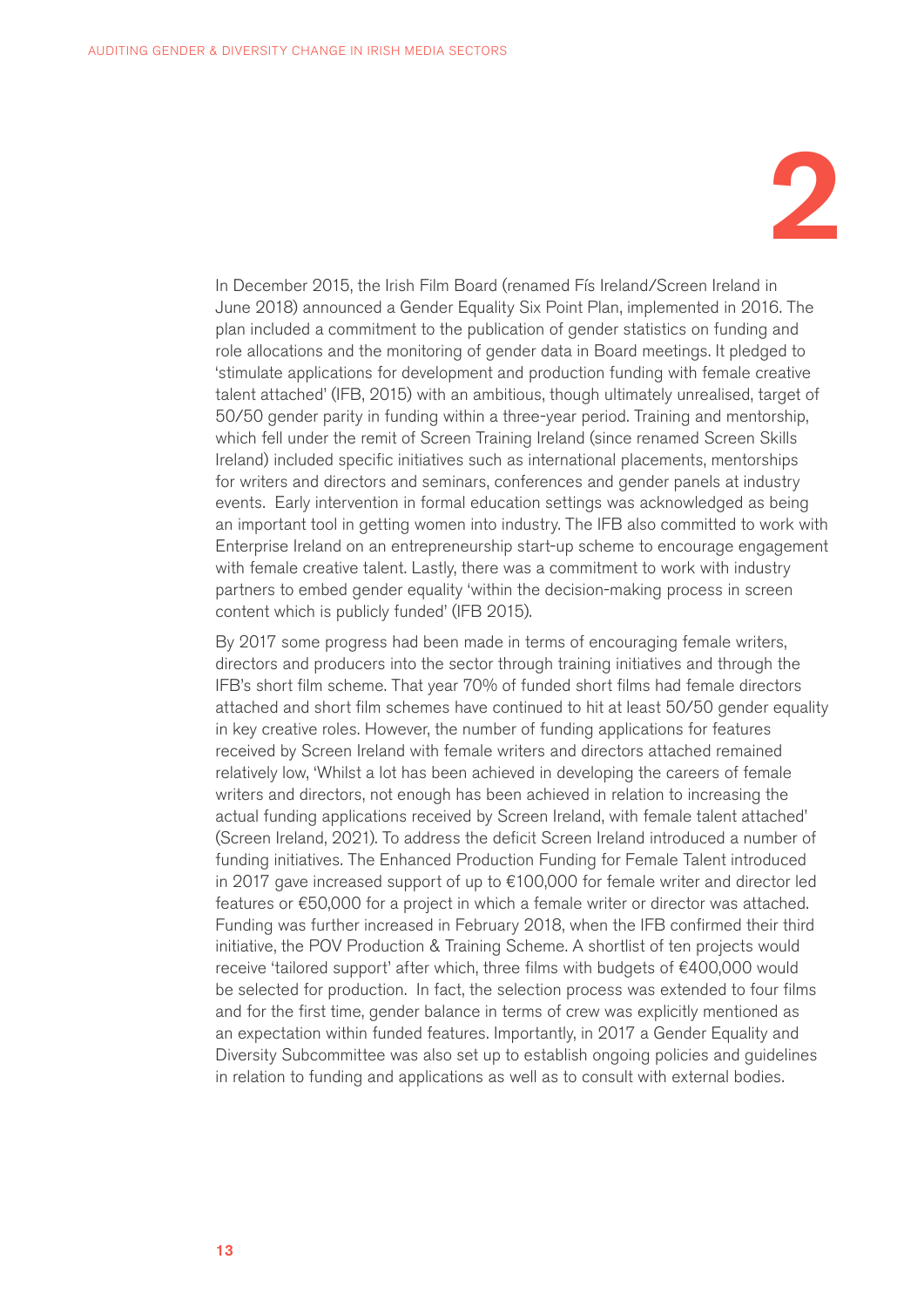

In December 2015, the Irish Film Board (renamed Fís Ireland/Screen Ireland in June 2018) announced a Gender Equality Six Point Plan, implemented in 2016. The plan included a commitment to the publication of gender statistics on funding and role allocations and the monitoring of gender data in Board meetings. It pledged to 'stimulate applications for development and production funding with female creative talent attached' (IFB, 2015) with an ambitious, though ultimately unrealised, target of 50/50 gender parity in funding within a three-year period. Training and mentorship, which fell under the remit of Screen Training Ireland (since renamed Screen Skills Ireland) included specific initiatives such as international placements, mentorships for writers and directors and seminars, conferences and gender panels at industry events. Early intervention in formal education settings was acknowledged as being an important tool in getting women into industry. The IFB also committed to work with Enterprise Ireland on an entrepreneurship start-up scheme to encourage engagement with female creative talent. Lastly, there was a commitment to work with industry partners to embed gender equality 'within the decision-making process in screen content which is publicly funded' (IFB 2015).

By 2017 some progress had been made in terms of encouraging female writers, directors and producers into the sector through training initiatives and through the IFB's short film scheme. That year 70% of funded short films had female directors attached and short film schemes have continued to hit at least 50/50 gender equality in key creative roles. However, the number of funding applications for features received by Screen Ireland with female writers and directors attached remained relatively low, 'Whilst a lot has been achieved in developing the careers of female writers and directors, not enough has been achieved in relation to increasing the actual funding applications received by Screen Ireland, with female talent attached' (Screen Ireland, 2021). To address the deficit Screen Ireland introduced a number of funding initiatives. The Enhanced Production Funding for Female Talent introduced in 2017 gave increased support of up to €100,000 for female writer and director led features or €50,000 for a project in which a female writer or director was attached. Funding was further increased in February 2018, when the IFB confirmed their third initiative, the POV Production & Training Scheme. A shortlist of ten projects would receive 'tailored support' after which, three films with budgets of €400,000 would be selected for production. In fact, the selection process was extended to four films and for the first time, gender balance in terms of crew was explicitly mentioned as an expectation within funded features. Importantly, in 2017 a Gender Equality and Diversity Subcommittee was also set up to establish ongoing policies and guidelines in relation to funding and applications as well as to consult with external bodies.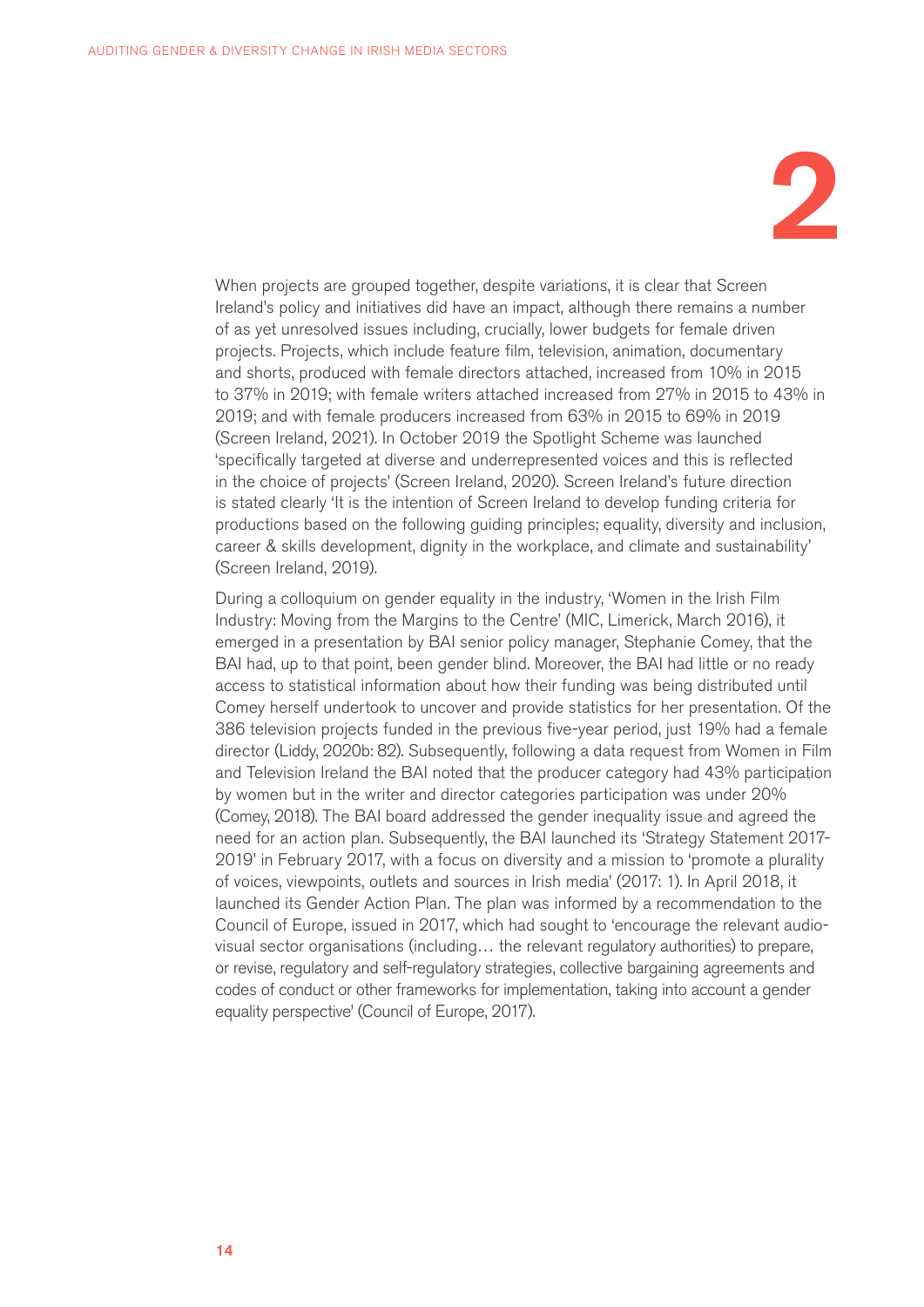

When projects are grouped together, despite variations, it is clear that Screen Ireland's policy and initiatives did have an impact, although there remains a number of as yet unresolved issues including, crucially, lower budgets for female driven projects. Projects, which include feature film, television, animation, documentary and shorts, produced with female directors attached, increased from 10% in 2015 to 37% in 2019; with female writers attached increased from 27% in 2015 to 43% in 2019; and with female producers increased from 63% in 2015 to 69% in 2019 (Screen Ireland, 2021). In October 2019 the Spotlight Scheme was launched 'specifically targeted at diverse and underrepresented voices and this is reflected in the choice of projects' (Screen Ireland, 2020). Screen Ireland's future direction is stated clearly 'It is the intention of Screen Ireland to develop funding criteria for productions based on the following guiding principles; equality, diversity and inclusion, career & skills development, dignity in the workplace, and climate and sustainability' (Screen Ireland, 2019).

During a colloquium on gender equality in the industry, 'Women in the Irish Film Industry: Moving from the Margins to the Centre' (MIC, Limerick, March 2016), it emerged in a presentation by BAI senior policy manager, Stephanie Comey, that the BAI had, up to that point, been gender blind. Moreover, the BAI had little or no ready access to statistical information about how their funding was being distributed until Comey herself undertook to uncover and provide statistics for her presentation. Of the 386 television projects funded in the previous five-year period, just 19% had a female director (Liddy, 2020b: 82). Subsequently, following a data request from Women in Film and Television Ireland the BAI noted that the producer category had 43% participation by women but in the writer and director categories participation was under 20% (Comey, 2018). The BAI board addressed the gender inequality issue and agreed the need for an action plan. Subsequently, the BAI launched its 'Strategy Statement 2017- 2019' in February 2017, with a focus on diversity and a mission to 'promote a plurality of voices, viewpoints, outlets and sources in Irish media' (2017: 1). In April 2018, it launched its Gender Action Plan. The plan was informed by a recommendation to the Council of Europe, issued in 2017, which had sought to 'encourage the relevant audiovisual sector organisations (including… the relevant regulatory authorities) to prepare, or revise, regulatory and self-regulatory strategies, collective bargaining agreements and codes of conduct or other frameworks for implementation, taking into account a gender equality perspective' (Council of Europe, 2017).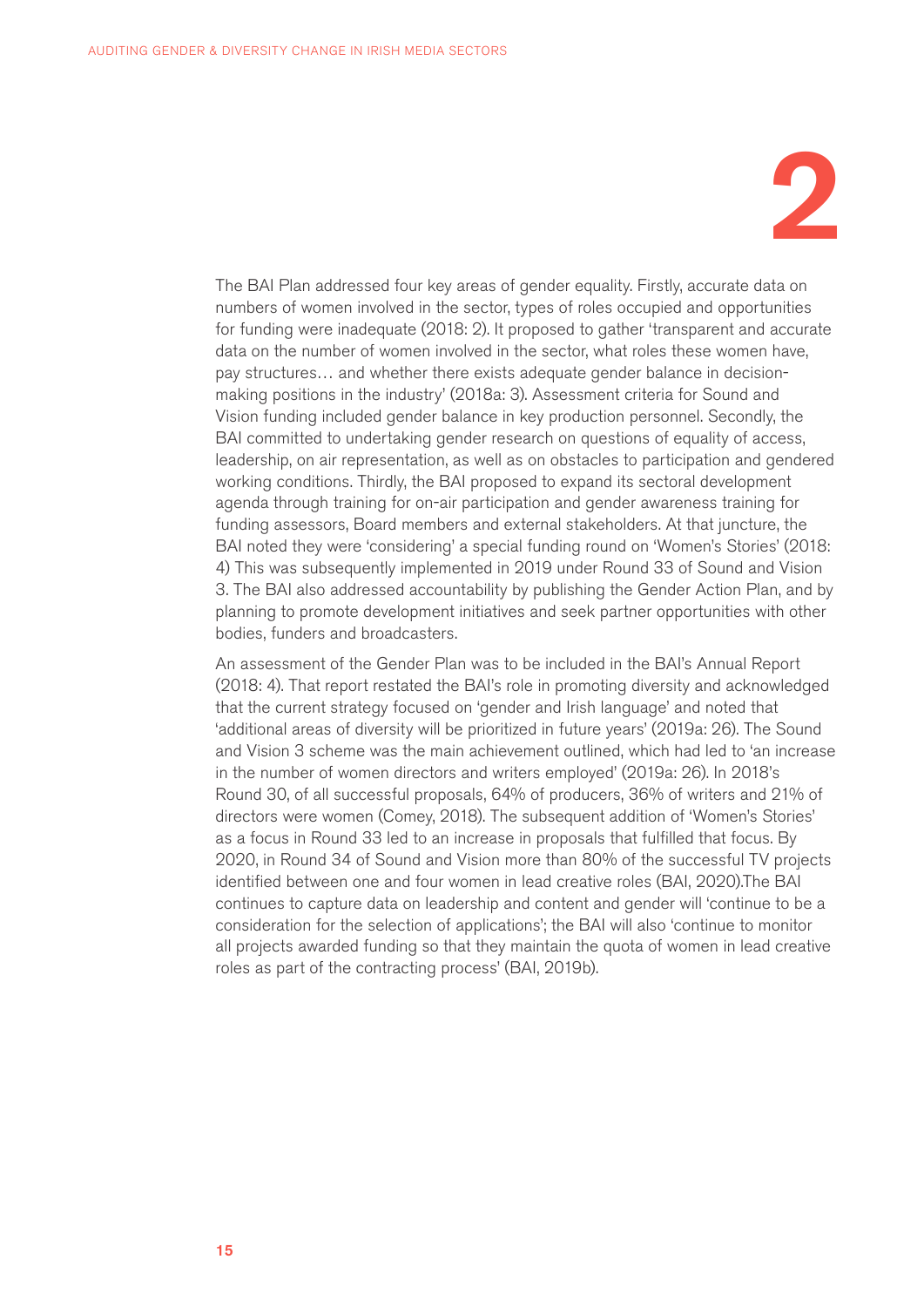

The BAI Plan addressed four key areas of gender equality. Firstly, accurate data on numbers of women involved in the sector, types of roles occupied and opportunities for funding were inadequate (2018: 2). It proposed to gather 'transparent and accurate data on the number of women involved in the sector, what roles these women have, pay structures… and whether there exists adequate gender balance in decisionmaking positions in the industry' (2018a: 3). Assessment criteria for Sound and Vision funding included gender balance in key production personnel. Secondly, the BAI committed to undertaking gender research on questions of equality of access, leadership, on air representation, as well as on obstacles to participation and gendered working conditions. Thirdly, the BAI proposed to expand its sectoral development agenda through training for on-air participation and gender awareness training for funding assessors, Board members and external stakeholders. At that juncture, the BAI noted they were 'considering' a special funding round on 'Women's Stories' (2018: 4) This was subsequently implemented in 2019 under Round 33 of Sound and Vision 3. The BAI also addressed accountability by publishing the Gender Action Plan, and by planning to promote development initiatives and seek partner opportunities with other bodies, funders and broadcasters.

An assessment of the Gender Plan was to be included in the BAI's Annual Report (2018: 4). That report restated the BAI's role in promoting diversity and acknowledged that the current strategy focused on 'gender and Irish language' and noted that 'additional areas of diversity will be prioritized in future years' (2019a: 26). The Sound and Vision 3 scheme was the main achievement outlined, which had led to 'an increase in the number of women directors and writers employed' (2019a: 26). In 2018's Round 30, of all successful proposals, 64% of producers, 36% of writers and 21% of directors were women (Comey, 2018). The subsequent addition of 'Women's Stories' as a focus in Round 33 led to an increase in proposals that fulfilled that focus. By 2020, in Round 34 of Sound and Vision more than 80% of the successful TV projects identified between one and four women in lead creative roles (BAI, 2020).The BAI continues to capture data on leadership and content and gender will 'continue to be a consideration for the selection of applications'; the BAI will also 'continue to monitor all projects awarded funding so that they maintain the quota of women in lead creative roles as part of the contracting process' (BAI, 2019b).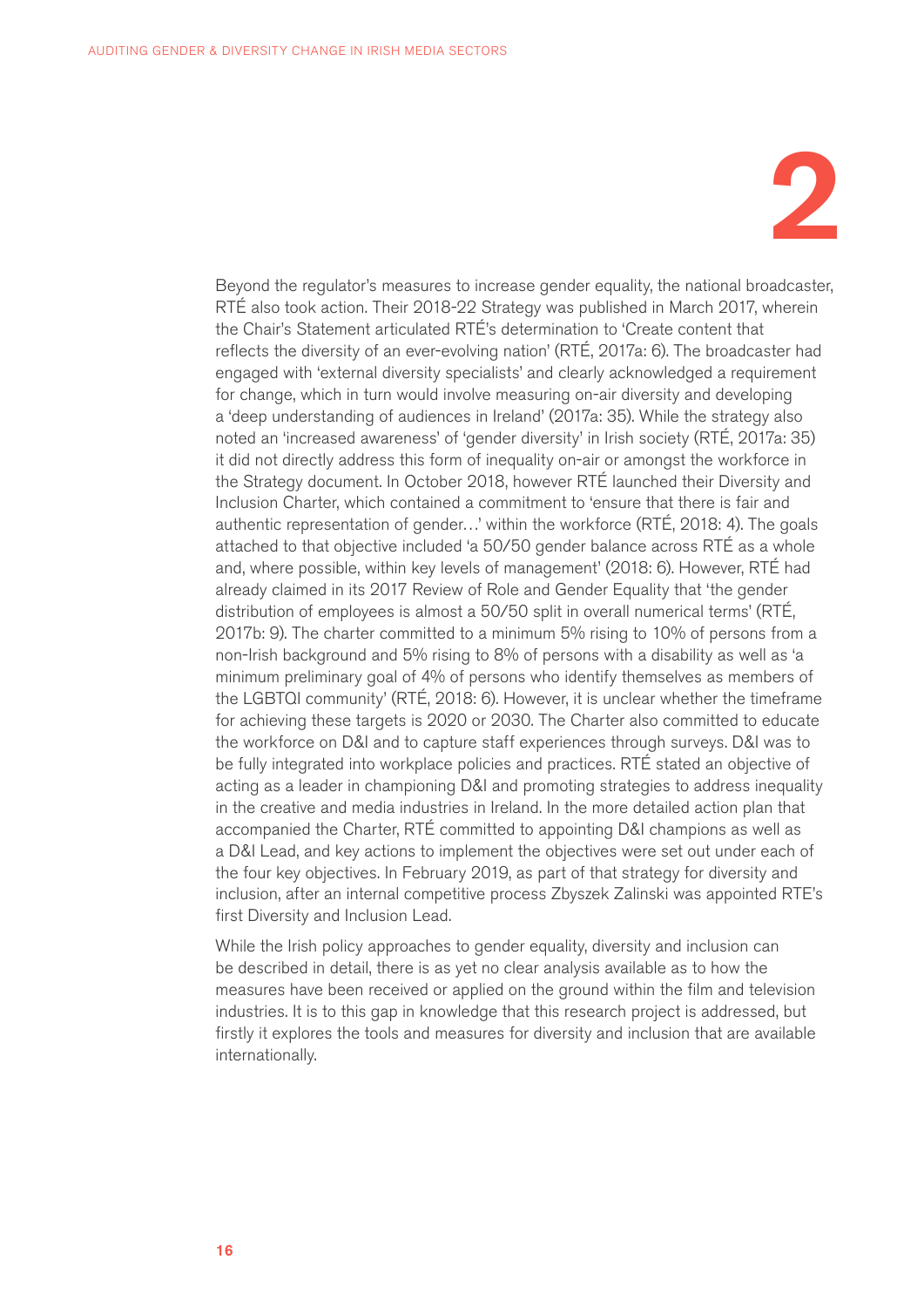

Beyond the regulator's measures to increase gender equality, the national broadcaster, RTÉ also took action. Their 2018-22 Strategy was published in March 2017, wherein the Chair's Statement articulated RTÉ's determination to 'Create content that reflects the diversity of an ever-evolving nation' (RTÉ, 2017a: 6). The broadcaster had engaged with 'external diversity specialists' and clearly acknowledged a requirement for change, which in turn would involve measuring on-air diversity and developing a 'deep understanding of audiences in Ireland' (2017a: 35). While the strategy also noted an 'increased awareness' of 'gender diversity' in Irish society (RTÉ, 2017a: 35) it did not directly address this form of inequality on-air or amongst the workforce in the Strategy document. In October 2018, however RTÉ launched their Diversity and Inclusion Charter, which contained a commitment to 'ensure that there is fair and authentic representation of gender…' within the workforce (RTÉ, 2018: 4). The goals attached to that objective included 'a 50/50 gender balance across RTÉ as a whole and, where possible, within key levels of management' (2018: 6). However, RTÉ had already claimed in its 2017 Review of Role and Gender Equality that 'the gender distribution of employees is almost a 50/50 split in overall numerical terms' (RTÉ, 2017b: 9). The charter committed to a minimum 5% rising to 10% of persons from a non-Irish background and 5% rising to 8% of persons with a disability as well as 'a minimum preliminary goal of 4% of persons who identify themselves as members of the LGBTQI community' (RTÉ, 2018: 6). However, it is unclear whether the timeframe for achieving these targets is 2020 or 2030. The Charter also committed to educate the workforce on D&I and to capture staff experiences through surveys. D&I was to be fully integrated into workplace policies and practices. RTÉ stated an objective of acting as a leader in championing D&I and promoting strategies to address inequality in the creative and media industries in Ireland. In the more detailed action plan that accompanied the Charter, RTÉ committed to appointing D&I champions as well as a D&I Lead, and key actions to implement the objectives were set out under each of the four key objectives. In February 2019, as part of that strategy for diversity and inclusion, after an internal competitive process Zbyszek Zalinski was appointed RTE's first Diversity and Inclusion Lead.

While the Irish policy approaches to gender equality, diversity and inclusion can be described in detail, there is as yet no clear analysis available as to how the measures have been received or applied on the ground within the film and television industries. It is to this gap in knowledge that this research project is addressed, but firstly it explores the tools and measures for diversity and inclusion that are available internationally.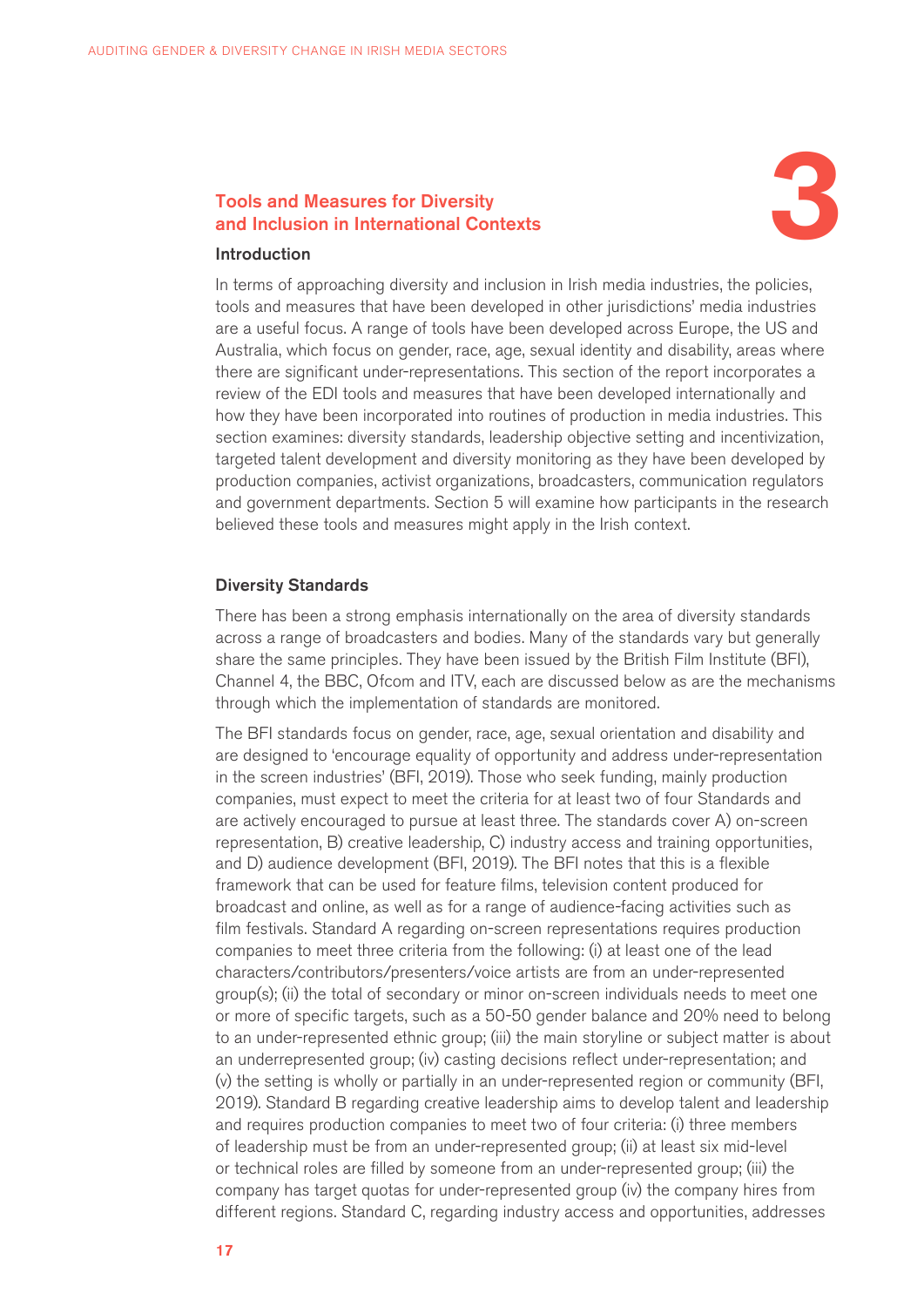## Tools and Measures for Diversity **Tools and Measures for Diversity<br>and Inclusion in International Contexts<br>3 Introduction**

#### Introduction

In terms of approaching diversity and inclusion in Irish media industries, the policies, tools and measures that have been developed in other jurisdictions' media industries are a useful focus. A range of tools have been developed across Europe, the US and Australia, which focus on gender, race, age, sexual identity and disability, areas where there are significant under-representations. This section of the report incorporates a review of the EDI tools and measures that have been developed internationally and how they have been incorporated into routines of production in media industries. This section examines: diversity standards, leadership objective setting and incentivization, targeted talent development and diversity monitoring as they have been developed by production companies, activist organizations, broadcasters, communication regulators and government departments. Section 5 will examine how participants in the research believed these tools and measures might apply in the Irish context.

#### Diversity Standards

There has been a strong emphasis internationally on the area of diversity standards across a range of broadcasters and bodies. Many of the standards vary but generally share the same principles. They have been issued by the British Film Institute (BFI), Channel 4, the BBC, Ofcom and ITV, each are discussed below as are the mechanisms through which the implementation of standards are monitored.

The BFI standards focus on gender, race, age, sexual orientation and disability and are designed to 'encourage equality of opportunity and address under-representation in the screen industries' (BFI, 2019). Those who seek funding, mainly production companies, must expect to meet the criteria for at least two of four Standards and are actively encouraged to pursue at least three. The standards cover A) on-screen representation, B) creative leadership, C) industry access and training opportunities, and D) audience development (BFI, 2019). The BFI notes that this is a flexible framework that can be used for feature films, television content produced for broadcast and online, as well as for a range of audience-facing activities such as film festivals. Standard A regarding on-screen representations requires production companies to meet three criteria from the following: (i) at least one of the lead characters/contributors/presenters/voice artists are from an under-represented group(s); (ii) the total of secondary or minor on-screen individuals needs to meet one or more of specific targets, such as a 50-50 gender balance and 20% need to belong to an under-represented ethnic group; (iii) the main storyline or subject matter is about an underrepresented group; (iv) casting decisions reflect under-representation; and (v) the setting is wholly or partially in an under-represented region or community (BFI, 2019). Standard B regarding creative leadership aims to develop talent and leadership and requires production companies to meet two of four criteria: (i) three members of leadership must be from an under-represented group; (ii) at least six mid-level or technical roles are filled by someone from an under-represented group; (iii) the company has target quotas for under-represented group (iv) the company hires from different regions. Standard C, regarding industry access and opportunities, addresses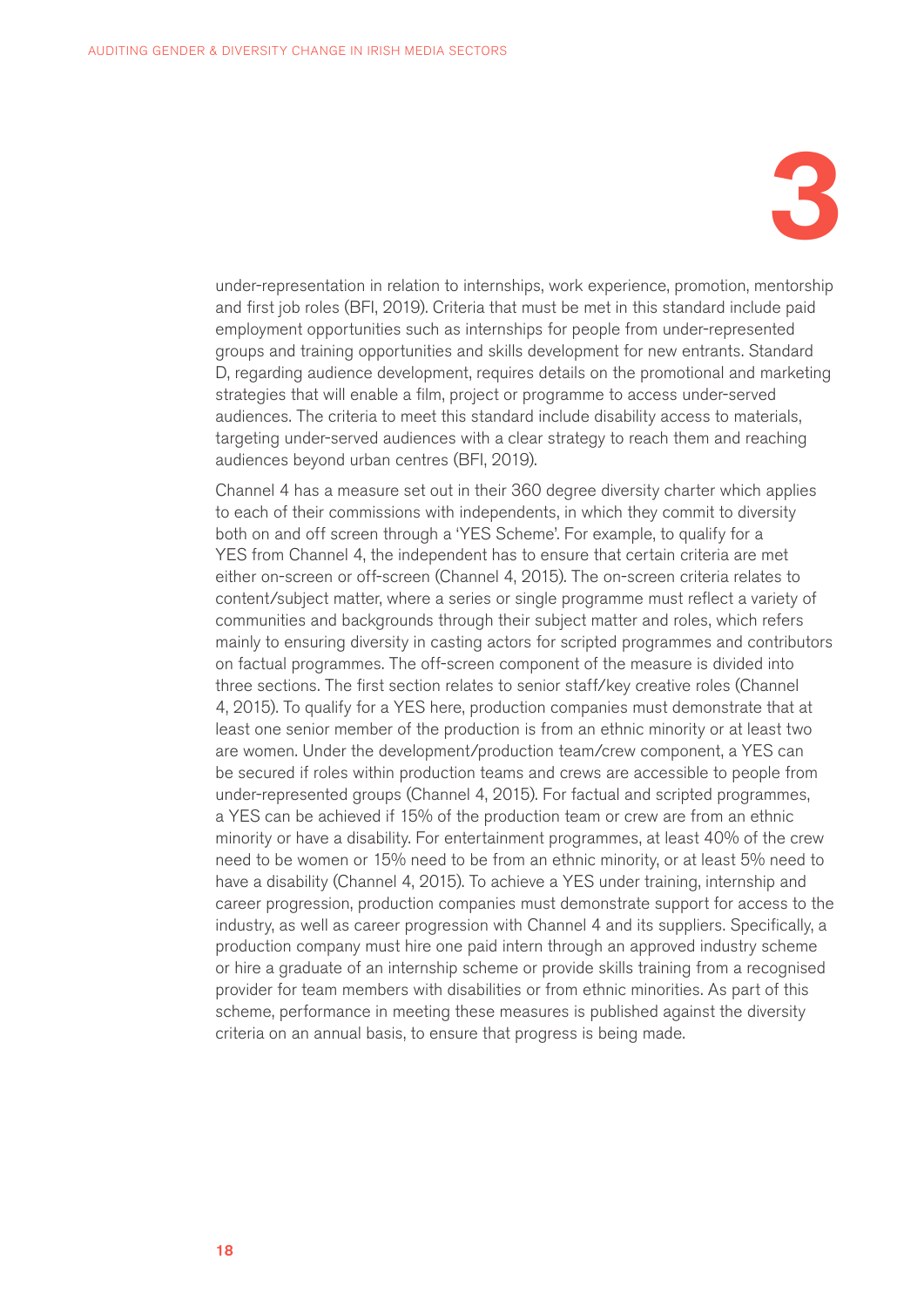

under-representation in relation to internships, work experience, promotion, mentorship and first job roles (BFI, 2019). Criteria that must be met in this standard include paid employment opportunities such as internships for people from under-represented groups and training opportunities and skills development for new entrants. Standard D, regarding audience development, requires details on the promotional and marketing strategies that will enable a film, project or programme to access under-served audiences. The criteria to meet this standard include disability access to materials, targeting under-served audiences with a clear strategy to reach them and reaching audiences beyond urban centres (BFI, 2019).

Channel 4 has a measure set out in their 360 degree diversity charter which applies to each of their commissions with independents, in which they commit to diversity both on and off screen through a 'YES Scheme'. For example, to qualify for a YES from Channel 4, the independent has to ensure that certain criteria are met either on-screen or off-screen (Channel 4, 2015). The on-screen criteria relates to content/subject matter, where a series or single programme must reflect a variety of communities and backgrounds through their subject matter and roles, which refers mainly to ensuring diversity in casting actors for scripted programmes and contributors on factual programmes. The off-screen component of the measure is divided into three sections. The first section relates to senior staff/key creative roles (Channel 4, 2015). To qualify for a YES here, production companies must demonstrate that at least one senior member of the production is from an ethnic minority or at least two are women. Under the development/production team/crew component, a YES can be secured if roles within production teams and crews are accessible to people from under-represented groups (Channel 4, 2015). For factual and scripted programmes, a YES can be achieved if 15% of the production team or crew are from an ethnic minority or have a disability. For entertainment programmes, at least 40% of the crew need to be women or 15% need to be from an ethnic minority, or at least 5% need to have a disability (Channel 4, 2015). To achieve a YES under training, internship and career progression, production companies must demonstrate support for access to the industry, as well as career progression with Channel 4 and its suppliers. Specifically, a production company must hire one paid intern through an approved industry scheme or hire a graduate of an internship scheme or provide skills training from a recognised provider for team members with disabilities or from ethnic minorities. As part of this scheme, performance in meeting these measures is published against the diversity criteria on an annual basis, to ensure that progress is being made.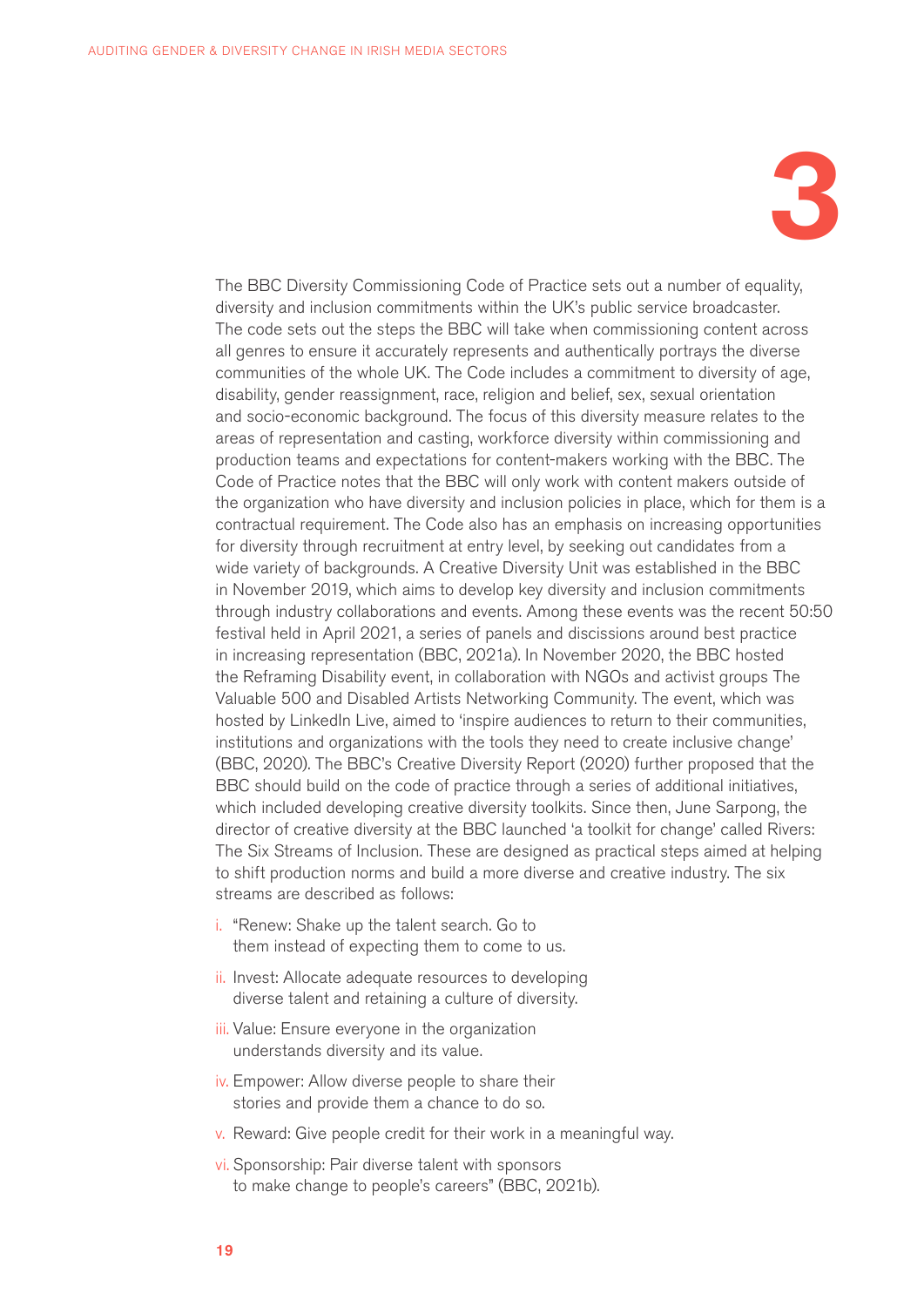

The BBC Diversity Commissioning Code of Practice sets out a number of equality, diversity and inclusion commitments within the UK's public service broadcaster. The code sets out the steps the BBC will take when commissioning content across all genres to ensure it accurately represents and authentically portrays the diverse communities of the whole UK. The Code includes a commitment to diversity of age, disability, gender reassignment, race, religion and belief, sex, sexual orientation and socio-economic background. The focus of this diversity measure relates to the areas of representation and casting, workforce diversity within commissioning and production teams and expectations for content-makers working with the BBC. The Code of Practice notes that the BBC will only work with content makers outside of the organization who have diversity and inclusion policies in place, which for them is a contractual requirement. The Code also has an emphasis on increasing opportunities for diversity through recruitment at entry level, by seeking out candidates from a wide variety of backgrounds. A Creative Diversity Unit was established in the BBC in November 2019, which aims to develop key diversity and inclusion commitments through industry collaborations and events. Among these events was the recent 50:50 festival held in April 2021, a series of panels and discissions around best practice in increasing representation (BBC, 2021a). In November 2020, the BBC hosted the Reframing Disability event, in collaboration with NGOs and activist groups The Valuable 500 and Disabled Artists Networking Community. The event, which was hosted by LinkedIn Live, aimed to 'inspire audiences to return to their communities, institutions and organizations with the tools they need to create inclusive change' (BBC, 2020). The BBC's Creative Diversity Report (2020) further proposed that the BBC should build on the code of practice through a series of additional initiatives, which included developing creative diversity toolkits. Since then, June Sarpong, the director of creative diversity at the BBC launched 'a toolkit for change' called Rivers: The Six Streams of Inclusion. These are designed as practical steps aimed at helping to shift production norms and build a more diverse and creative industry. The six streams are described as follows:

- i. "Renew: Shake up the talent search. Go to them instead of expecting them to come to us.
- ii. Invest: Allocate adequate resources to developing diverse talent and retaining a culture of diversity.
- iii. Value: Ensure everyone in the organization understands diversity and its value.
- iv. Empower: Allow diverse people to share their stories and provide them a chance to do so.
- v. Reward: Give people credit for their work in a meaningful way.
- vi. Sponsorship: Pair diverse talent with sponsors to make change to people's careers" (BBC, 2021b).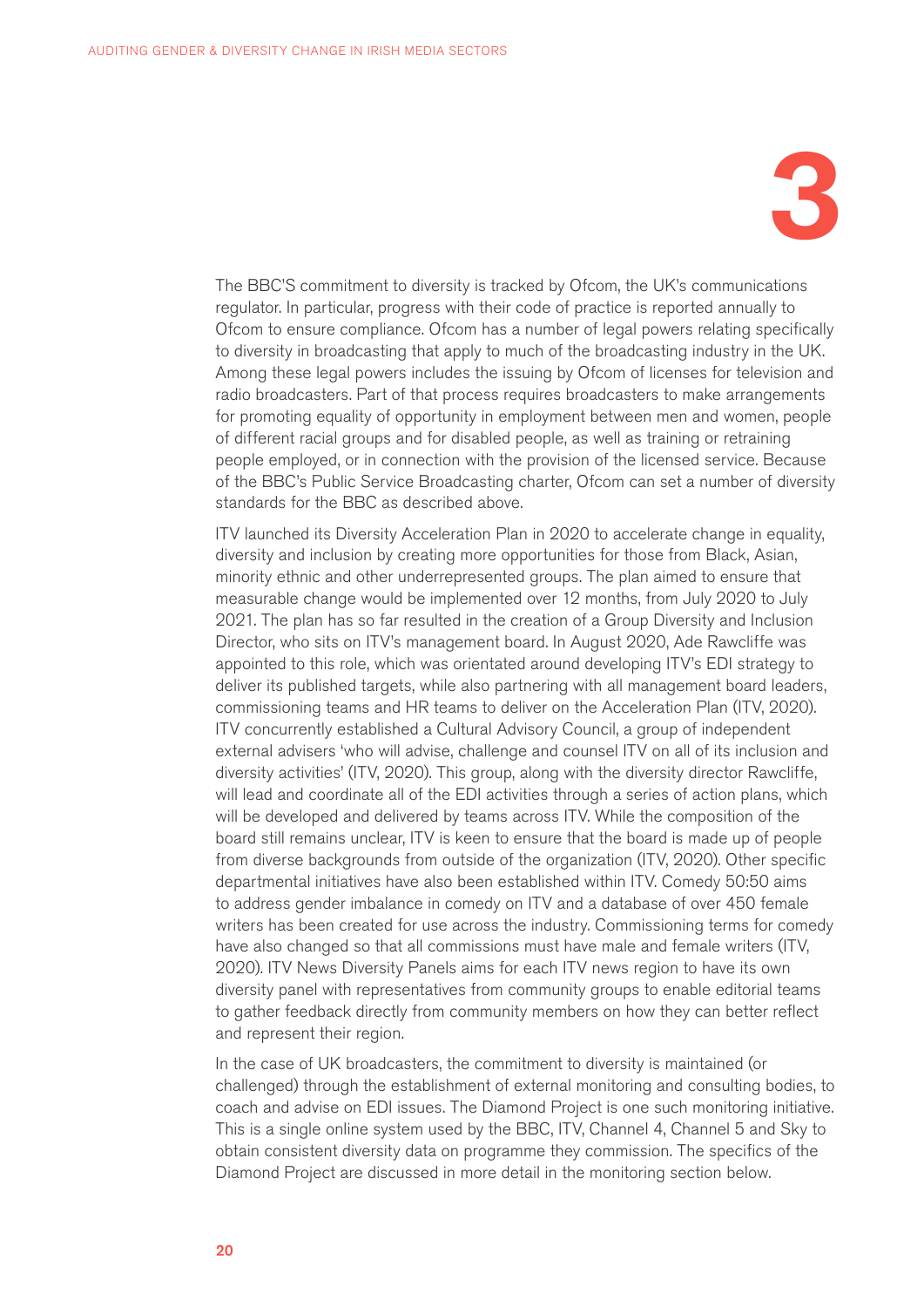

The BBC'S commitment to diversity is tracked by Ofcom, the UK's communications regulator. In particular, progress with their code of practice is reported annually to Ofcom to ensure compliance. Ofcom has a number of legal powers relating specifically to diversity in broadcasting that apply to much of the broadcasting industry in the UK. Among these legal powers includes the issuing by Ofcom of licenses for television and radio broadcasters. Part of that process requires broadcasters to make arrangements for promoting equality of opportunity in employment between men and women, people of different racial groups and for disabled people, as well as training or retraining people employed, or in connection with the provision of the licensed service. Because of the BBC's Public Service Broadcasting charter, Ofcom can set a number of diversity standards for the BBC as described above.

ITV launched its Diversity Acceleration Plan in 2020 to accelerate change in equality, diversity and inclusion by creating more opportunities for those from Black, Asian, minority ethnic and other underrepresented groups. The plan aimed to ensure that measurable change would be implemented over 12 months, from July 2020 to July 2021. The plan has so far resulted in the creation of a Group Diversity and Inclusion Director, who sits on ITV's management board. In August 2020, Ade Rawcliffe was appointed to this role, which was orientated around developing ITV's EDI strategy to deliver its published targets, while also partnering with all management board leaders, commissioning teams and HR teams to deliver on the Acceleration Plan (ITV, 2020). ITV concurrently established a Cultural Advisory Council, a group of independent external advisers 'who will advise, challenge and counsel ITV on all of its inclusion and diversity activities' (ITV, 2020). This group, along with the diversity director Rawcliffe, will lead and coordinate all of the EDI activities through a series of action plans, which will be developed and delivered by teams across ITV. While the composition of the board still remains unclear, ITV is keen to ensure that the board is made up of people from diverse backgrounds from outside of the organization (ITV, 2020). Other specific departmental initiatives have also been established within ITV. Comedy 50:50 aims to address gender imbalance in comedy on ITV and a database of over 450 female writers has been created for use across the industry. Commissioning terms for comedy have also changed so that all commissions must have male and female writers (ITV, 2020). ITV News Diversity Panels aims for each ITV news region to have its own diversity panel with representatives from community groups to enable editorial teams to gather feedback directly from community members on how they can better reflect and represent their region.

In the case of UK broadcasters, the commitment to diversity is maintained (or challenged) through the establishment of external monitoring and consulting bodies, to coach and advise on EDI issues. The Diamond Project is one such monitoring initiative. This is a single online system used by the BBC, ITV, Channel 4, Channel 5 and Sky to obtain consistent diversity data on programme they commission. The specifics of the Diamond Project are discussed in more detail in the monitoring section below.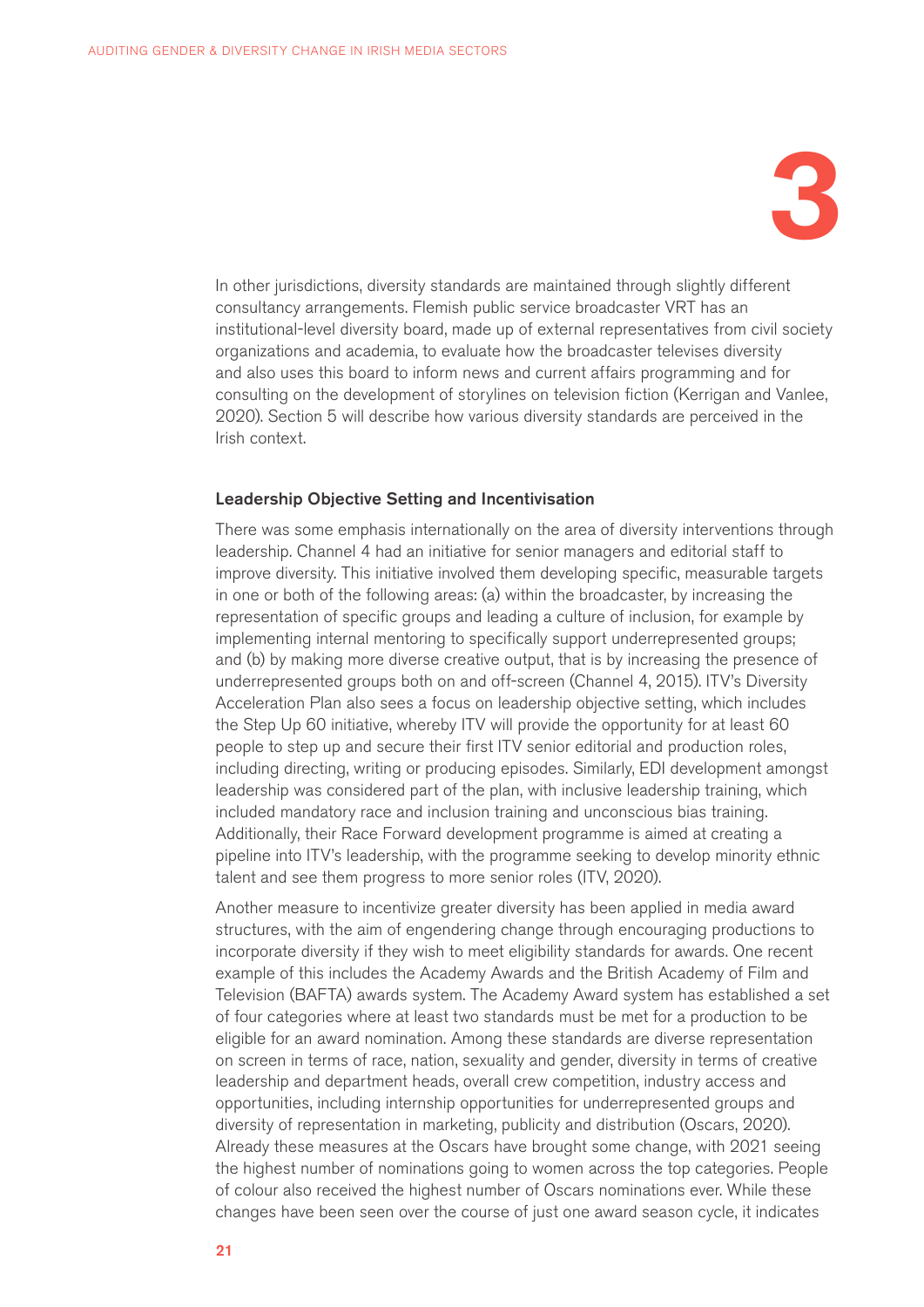

In other jurisdictions, diversity standards are maintained through slightly different consultancy arrangements. Flemish public service broadcaster VRT has an institutional-level diversity board, made up of external representatives from civil society organizations and academia, to evaluate how the broadcaster televises diversity and also uses this board to inform news and current affairs programming and for consulting on the development of storylines on television fiction (Kerrigan and Vanlee, 2020). Section 5 will describe how various diversity standards are perceived in the Irish context.

#### Leadership Objective Setting and Incentivisation

There was some emphasis internationally on the area of diversity interventions through leadership. Channel 4 had an initiative for senior managers and editorial staff to improve diversity. This initiative involved them developing specific, measurable targets in one or both of the following areas: (a) within the broadcaster, by increasing the representation of specific groups and leading a culture of inclusion, for example by implementing internal mentoring to specifically support underrepresented groups; and (b) by making more diverse creative output, that is by increasing the presence of underrepresented groups both on and off-screen (Channel 4, 2015). ITV's Diversity Acceleration Plan also sees a focus on leadership objective setting, which includes the Step Up 60 initiative, whereby ITV will provide the opportunity for at least 60 people to step up and secure their first ITV senior editorial and production roles, including directing, writing or producing episodes. Similarly, EDI development amongst leadership was considered part of the plan, with inclusive leadership training, which included mandatory race and inclusion training and unconscious bias training. Additionally, their Race Forward development programme is aimed at creating a pipeline into ITV's leadership, with the programme seeking to develop minority ethnic talent and see them progress to more senior roles (ITV, 2020).

Another measure to incentivize greater diversity has been applied in media award structures, with the aim of engendering change through encouraging productions to incorporate diversity if they wish to meet eligibility standards for awards. One recent example of this includes the Academy Awards and the British Academy of Film and Television (BAFTA) awards system. The Academy Award system has established a set of four categories where at least two standards must be met for a production to be eligible for an award nomination. Among these standards are diverse representation on screen in terms of race, nation, sexuality and gender, diversity in terms of creative leadership and department heads, overall crew competition, industry access and opportunities, including internship opportunities for underrepresented groups and diversity of representation in marketing, publicity and distribution (Oscars, 2020). Already these measures at the Oscars have brought some change, with 2021 seeing the highest number of nominations going to women across the top categories. People of colour also received the highest number of Oscars nominations ever. While these changes have been seen over the course of just one award season cycle, it indicates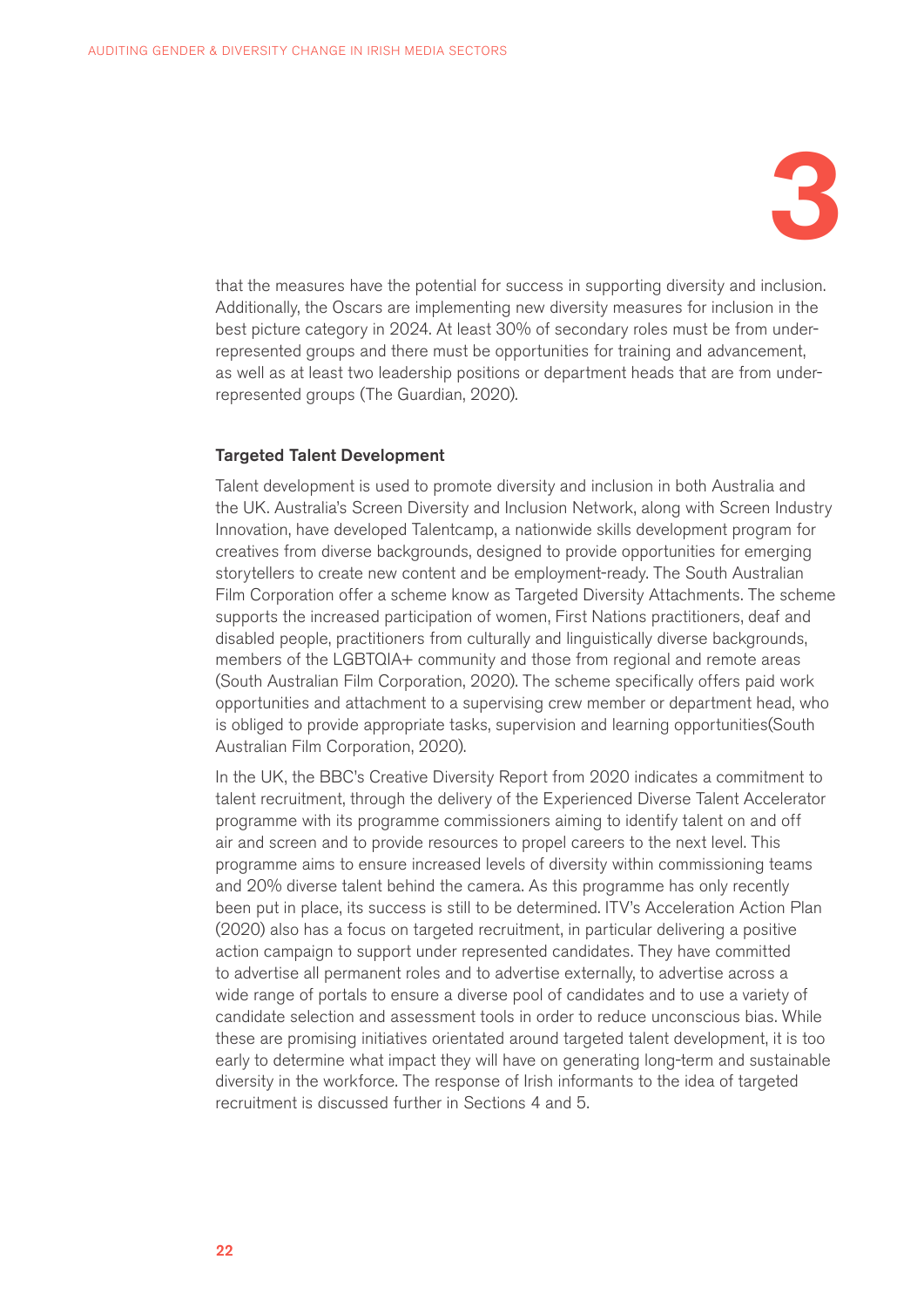

that the measures have the potential for success in supporting diversity and inclusion. Additionally, the Oscars are implementing new diversity measures for inclusion in the best picture category in 2024. At least 30% of secondary roles must be from underrepresented groups and there must be opportunities for training and advancement, as well as at least two leadership positions or department heads that are from underrepresented groups (The Guardian, 2020).

### Targeted Talent Development

Talent development is used to promote diversity and inclusion in both Australia and the UK. Australia's Screen Diversity and Inclusion Network, along with Screen Industry Innovation, have developed Talentcamp, a nationwide skills development program for creatives from diverse backgrounds, designed to provide opportunities for emerging storytellers to create new content and be employment-ready. The South Australian Film Corporation offer a scheme know as Targeted Diversity Attachments. The scheme supports the increased participation of women, First Nations practitioners, deaf and disabled people, practitioners from culturally and linguistically diverse backgrounds, members of the LGBTQIA+ community and those from regional and remote areas (South Australian Film Corporation, 2020). The scheme specifically offers paid work opportunities and attachment to a supervising crew member or department head, who is obliged to provide appropriate tasks, supervision and learning opportunities(South Australian Film Corporation, 2020).

In the UK, the BBC's Creative Diversity Report from 2020 indicates a commitment to talent recruitment, through the delivery of the Experienced Diverse Talent Accelerator programme with its programme commissioners aiming to identify talent on and off air and screen and to provide resources to propel careers to the next level. This programme aims to ensure increased levels of diversity within commissioning teams and 20% diverse talent behind the camera. As this programme has only recently been put in place, its success is still to be determined. ITV's Acceleration Action Plan (2020) also has a focus on targeted recruitment, in particular delivering a positive action campaign to support under represented candidates. They have committed to advertise all permanent roles and to advertise externally, to advertise across a wide range of portals to ensure a diverse pool of candidates and to use a variety of candidate selection and assessment tools in order to reduce unconscious bias. While these are promising initiatives orientated around targeted talent development, it is too early to determine what impact they will have on generating long-term and sustainable diversity in the workforce. The response of Irish informants to the idea of targeted recruitment is discussed further in Sections 4 and 5.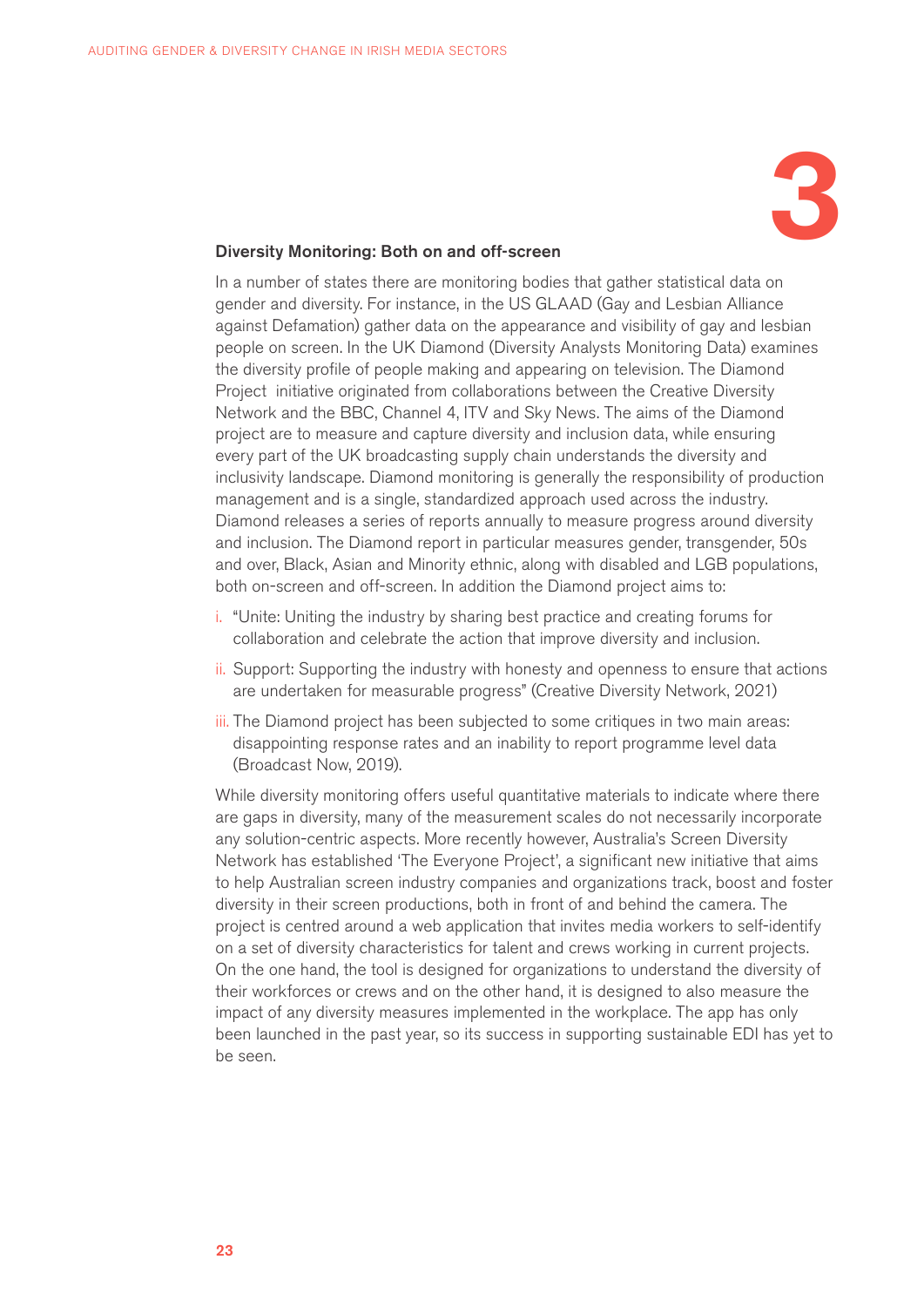

#### Diversity Monitoring: Both on and off-screen

In a number of states there are monitoring bodies that gather statistical data on gender and diversity. For instance, in the US GLAAD (Gay and Lesbian Alliance against Defamation) gather data on the appearance and visibility of gay and lesbian people on screen. In the UK Diamond (Diversity Analysts Monitoring Data) examines the diversity profile of people making and appearing on television. The Diamond Project initiative originated from collaborations between the Creative Diversity Network and the BBC, Channel 4, ITV and Sky News. The aims of the Diamond project are to measure and capture diversity and inclusion data, while ensuring every part of the UK broadcasting supply chain understands the diversity and inclusivity landscape. Diamond monitoring is generally the responsibility of production management and is a single, standardized approach used across the industry. Diamond releases a series of reports annually to measure progress around diversity and inclusion. The Diamond report in particular measures gender, transgender, 50s and over, Black, Asian and Minority ethnic, along with disabled and LGB populations, both on-screen and off-screen. In addition the Diamond project aims to:

- i. "Unite: Uniting the industry by sharing best practice and creating forums for collaboration and celebrate the action that improve diversity and inclusion.
- ii. Support: Supporting the industry with honesty and openness to ensure that actions are undertaken for measurable progress" (Creative Diversity Network, 2021)
- iii. The Diamond project has been subjected to some critiques in two main areas: disappointing response rates and an inability to report programme level data (Broadcast Now, 2019).

While diversity monitoring offers useful quantitative materials to indicate where there are gaps in diversity, many of the measurement scales do not necessarily incorporate any solution-centric aspects. More recently however, Australia's Screen Diversity Network has established 'The Everyone Project', a significant new initiative that aims to help Australian screen industry companies and organizations track, boost and foster diversity in their screen productions, both in front of and behind the camera. The project is centred around a web application that invites media workers to self-identify on a set of diversity characteristics for talent and crews working in current projects. On the one hand, the tool is designed for organizations to understand the diversity of their workforces or crews and on the other hand, it is designed to also measure the impact of any diversity measures implemented in the workplace. The app has only been launched in the past year, so its success in supporting sustainable EDI has yet to be seen.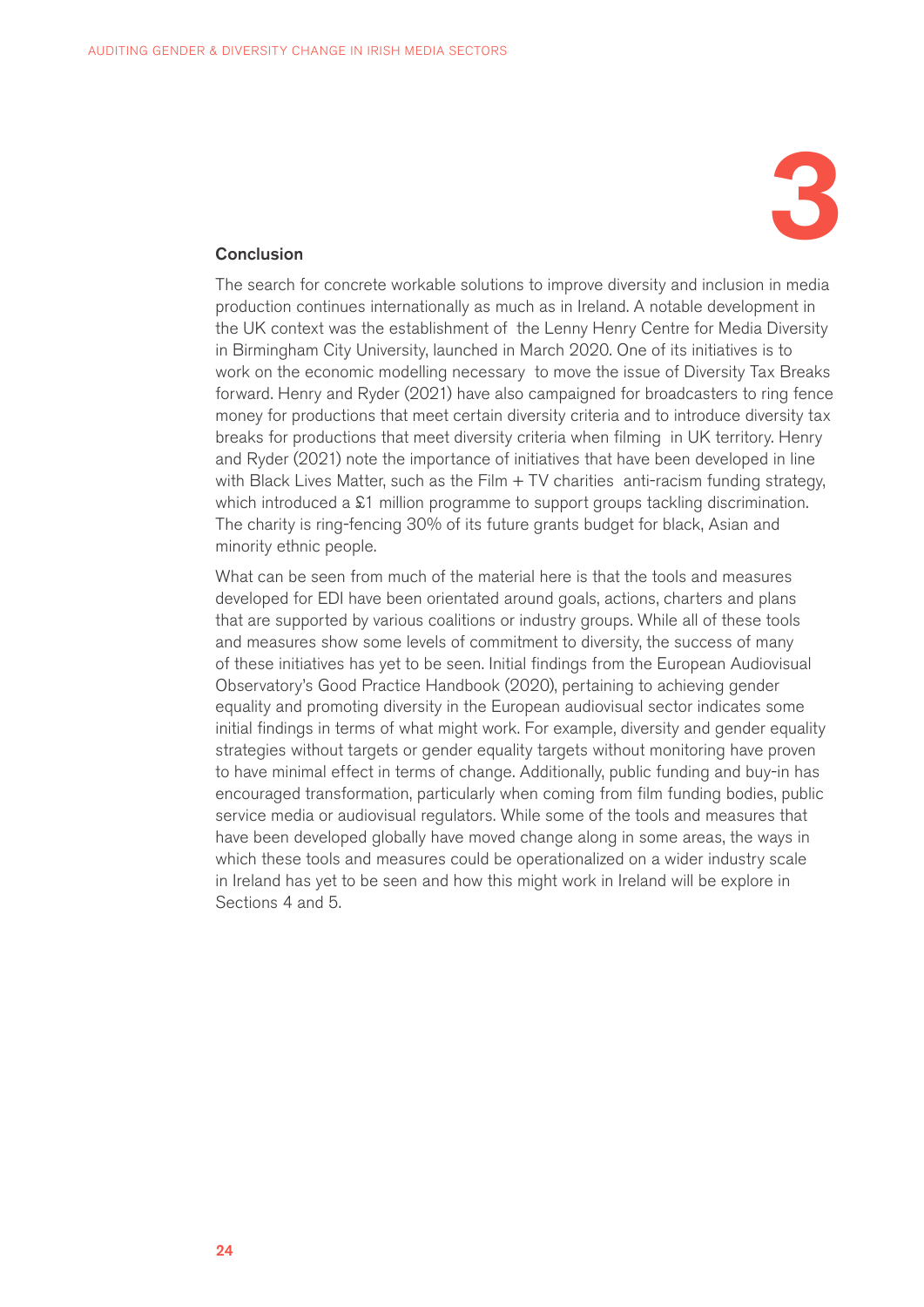

### Conclusion

The search for concrete workable solutions to improve diversity and inclusion in media production continues internationally as much as in Ireland. A notable development in the UK context was the establishment of the Lenny Henry Centre for Media Diversity in Birmingham City University, launched in March 2020. One of its initiatives is to work on the economic modelling necessary to move the issue of Diversity Tax Breaks forward. Henry and Ryder (2021) have also campaigned for broadcasters to ring fence money for productions that meet certain diversity criteria and to introduce diversity tax breaks for productions that meet diversity criteria when filming in UK territory. Henry and Ryder (2021) note the importance of initiatives that have been developed in line with Black Lives Matter, such as the Film  $+$  TV charities anti-racism funding strategy, which introduced a  $$1$  million programme to support groups tackling discrimination. The charity is ring-fencing 30% of its future grants budget for black, Asian and minority ethnic people.

What can be seen from much of the material here is that the tools and measures developed for EDI have been orientated around goals, actions, charters and plans that are supported by various coalitions or industry groups. While all of these tools and measures show some levels of commitment to diversity, the success of many of these initiatives has yet to be seen. Initial findings from the European Audiovisual Observatory's Good Practice Handbook (2020), pertaining to achieving gender equality and promoting diversity in the European audiovisual sector indicates some initial findings in terms of what might work. For example, diversity and gender equality strategies without targets or gender equality targets without monitoring have proven to have minimal effect in terms of change. Additionally, public funding and buy-in has encouraged transformation, particularly when coming from film funding bodies, public service media or audiovisual regulators. While some of the tools and measures that have been developed globally have moved change along in some areas, the ways in which these tools and measures could be operationalized on a wider industry scale in Ireland has yet to be seen and how this might work in Ireland will be explore in Sections 4 and 5.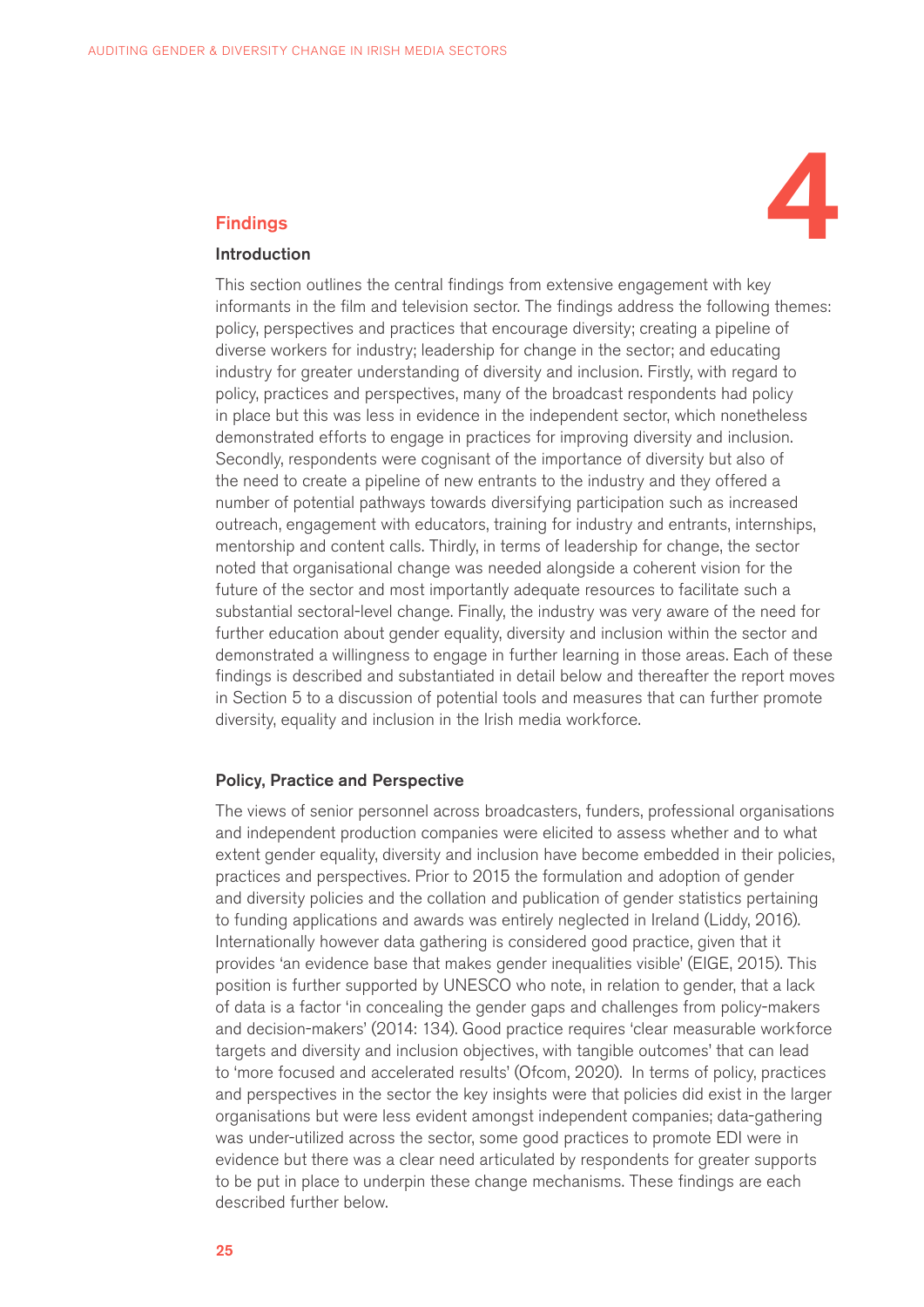

#### Introduction

This section outlines the central findings from extensive engagement with key informants in the film and television sector. The findings address the following themes: policy, perspectives and practices that encourage diversity; creating a pipeline of diverse workers for industry; leadership for change in the sector; and educating industry for greater understanding of diversity and inclusion. Firstly, with regard to policy, practices and perspectives, many of the broadcast respondents had policy in place but this was less in evidence in the independent sector, which nonetheless demonstrated efforts to engage in practices for improving diversity and inclusion. Secondly, respondents were cognisant of the importance of diversity but also of the need to create a pipeline of new entrants to the industry and they offered a number of potential pathways towards diversifying participation such as increased outreach, engagement with educators, training for industry and entrants, internships, mentorship and content calls. Thirdly, in terms of leadership for change, the sector noted that organisational change was needed alongside a coherent vision for the future of the sector and most importantly adequate resources to facilitate such a substantial sectoral-level change. Finally, the industry was very aware of the need for further education about gender equality, diversity and inclusion within the sector and demonstrated a willingness to engage in further learning in those areas. Each of these findings is described and substantiated in detail below and thereafter the report moves in Section 5 to a discussion of potential tools and measures that can further promote diversity, equality and inclusion in the Irish media workforce.

#### Policy, Practice and Perspective

The views of senior personnel across broadcasters, funders, professional organisations and independent production companies were elicited to assess whether and to what extent gender equality, diversity and inclusion have become embedded in their policies, practices and perspectives. Prior to 2015 the formulation and adoption of gender and diversity policies and the collation and publication of gender statistics pertaining to funding applications and awards was entirely neglected in Ireland (Liddy, 2016). Internationally however data gathering is considered good practice, given that it provides 'an evidence base that makes gender inequalities visible' (EIGE, 2015). This position is further supported by UNESCO who note, in relation to gender, that a lack of data is a factor 'in concealing the gender gaps and challenges from policy-makers and decision-makers' (2014: 134). Good practice requires 'clear measurable workforce targets and diversity and inclusion objectives, with tangible outcomes' that can lead to 'more focused and accelerated results' (Ofcom, 2020). In terms of policy, practices and perspectives in the sector the key insights were that policies did exist in the larger organisations but were less evident amongst independent companies; data-gathering was under-utilized across the sector, some good practices to promote EDI were in evidence but there was a clear need articulated by respondents for greater supports to be put in place to underpin these change mechanisms. These findings are each described further below.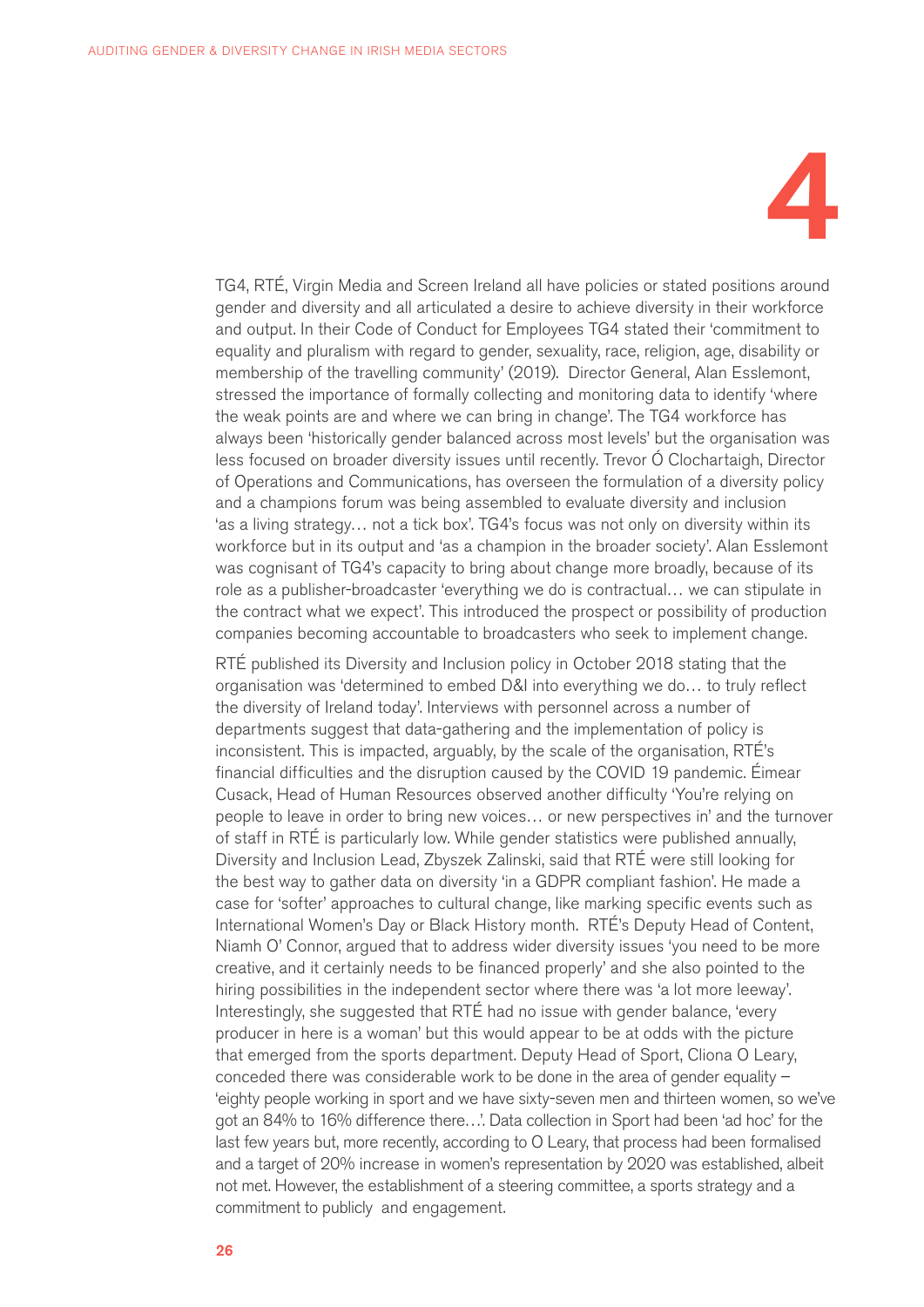

TG4, RTÉ, Virgin Media and Screen Ireland all have policies or stated positions around gender and diversity and all articulated a desire to achieve diversity in their workforce and output. In their Code of Conduct for Employees TG4 stated their 'commitment to equality and pluralism with regard to gender, sexuality, race, religion, age, disability or membership of the travelling community' (2019). Director General, Alan Esslemont, stressed the importance of formally collecting and monitoring data to identify 'where the weak points are and where we can bring in change'. The TG4 workforce has always been 'historically gender balanced across most levels' but the organisation was less focused on broader diversity issues until recently. Trevor Ó Clochartaigh, Director of Operations and Communications, has overseen the formulation of a diversity policy and a champions forum was being assembled to evaluate diversity and inclusion 'as a living strategy… not a tick box'. TG4's focus was not only on diversity within its workforce but in its output and 'as a champion in the broader society'. Alan Esslemont was cognisant of TG4's capacity to bring about change more broadly, because of its role as a publisher-broadcaster 'everything we do is contractual… we can stipulate in the contract what we expect'. This introduced the prospect or possibility of production companies becoming accountable to broadcasters who seek to implement change.

RTÉ published its Diversity and Inclusion policy in October 2018 stating that the organisation was 'determined to embed D&I into everything we do… to truly reflect the diversity of Ireland today'. Interviews with personnel across a number of departments suggest that data-gathering and the implementation of policy is inconsistent. This is impacted, arguably, by the scale of the organisation, RTÉ's financial difficulties and the disruption caused by the COVID 19 pandemic. Éimear Cusack, Head of Human Resources observed another difficulty 'You're relying on people to leave in order to bring new voices… or new perspectives in' and the turnover of staff in RTÉ is particularly low. While gender statistics were published annually, Diversity and Inclusion Lead, Zbyszek Zalinski, said that RTÉ were still looking for the best way to gather data on diversity 'in a GDPR compliant fashion'. He made a case for 'softer' approaches to cultural change, like marking specific events such as International Women's Day or Black History month. RTÉ's Deputy Head of Content, Niamh O' Connor, argued that to address wider diversity issues 'you need to be more creative, and it certainly needs to be financed properly' and she also pointed to the hiring possibilities in the independent sector where there was 'a lot more leeway'. Interestingly, she suggested that RTÉ had no issue with gender balance, 'every producer in here is a woman' but this would appear to be at odds with the picture that emerged from the sports department. Deputy Head of Sport, Cliona O Leary, conceded there was considerable work to be done in the area of gender equality – 'eighty people working in sport and we have sixty-seven men and thirteen women, so we've got an 84% to 16% difference there…'. Data collection in Sport had been 'ad hoc' for the last few years but, more recently, according to O Leary, that process had been formalised and a target of 20% increase in women's representation by 2020 was established, albeit not met. However, the establishment of a steering committee, a sports strategy and a commitment to publicly and engagement.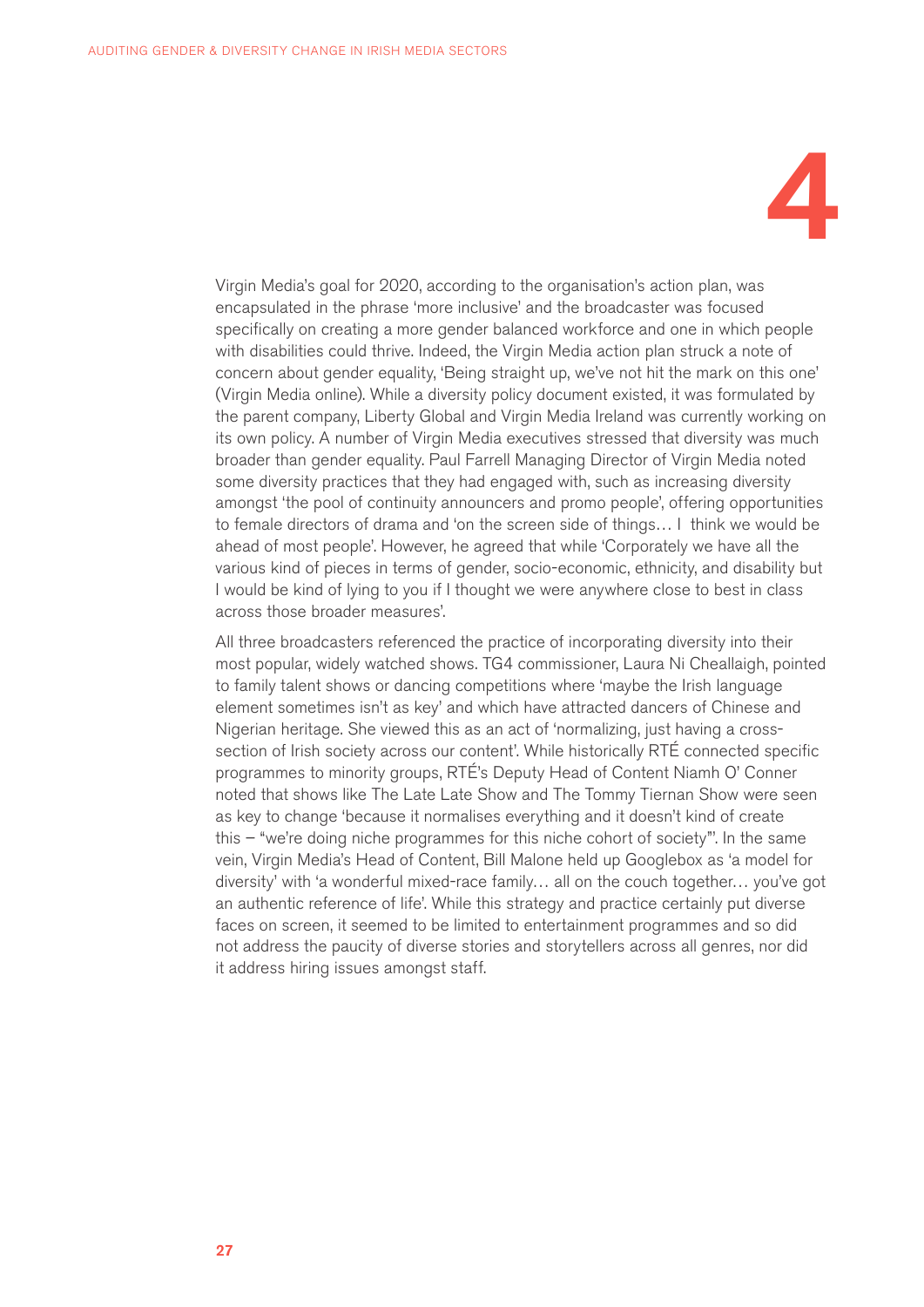

Virgin Media's goal for 2020, according to the organisation's action plan, was encapsulated in the phrase 'more inclusive' and the broadcaster was focused specifically on creating a more gender balanced workforce and one in which people with disabilities could thrive. Indeed, the Virgin Media action plan struck a note of concern about gender equality, 'Being straight up, we've not hit the mark on this one' (Virgin Media online). While a diversity policy document existed, it was formulated by the parent company, Liberty Global and Virgin Media Ireland was currently working on its own policy. A number of Virgin Media executives stressed that diversity was much broader than gender equality. Paul Farrell Managing Director of Virgin Media noted some diversity practices that they had engaged with, such as increasing diversity amongst 'the pool of continuity announcers and promo people', offering opportunities to female directors of drama and 'on the screen side of things… I think we would be ahead of most people'. However, he agreed that while 'Corporately we have all the various kind of pieces in terms of gender, socio-economic, ethnicity, and disability but I would be kind of lying to you if I thought we were anywhere close to best in class across those broader measures'.

All three broadcasters referenced the practice of incorporating diversity into their most popular, widely watched shows. TG4 commissioner, Laura Ni Cheallaigh, pointed to family talent shows or dancing competitions where 'maybe the Irish language element sometimes isn't as key' and which have attracted dancers of Chinese and Nigerian heritage. She viewed this as an act of 'normalizing, just having a crosssection of Irish society across our content'. While historically RTÉ connected specific programmes to minority groups, RTÉ's Deputy Head of Content Niamh O' Conner noted that shows like The Late Late Show and The Tommy Tiernan Show were seen as key to change 'because it normalises everything and it doesn't kind of create this – "we're doing niche programmes for this niche cohort of society"'. In the same vein, Virgin Media's Head of Content, Bill Malone held up Googlebox as 'a model for diversity' with 'a wonderful mixed-race family… all on the couch together… you've got an authentic reference of life'. While this strategy and practice certainly put diverse faces on screen, it seemed to be limited to entertainment programmes and so did not address the paucity of diverse stories and storytellers across all genres, nor did it address hiring issues amongst staff.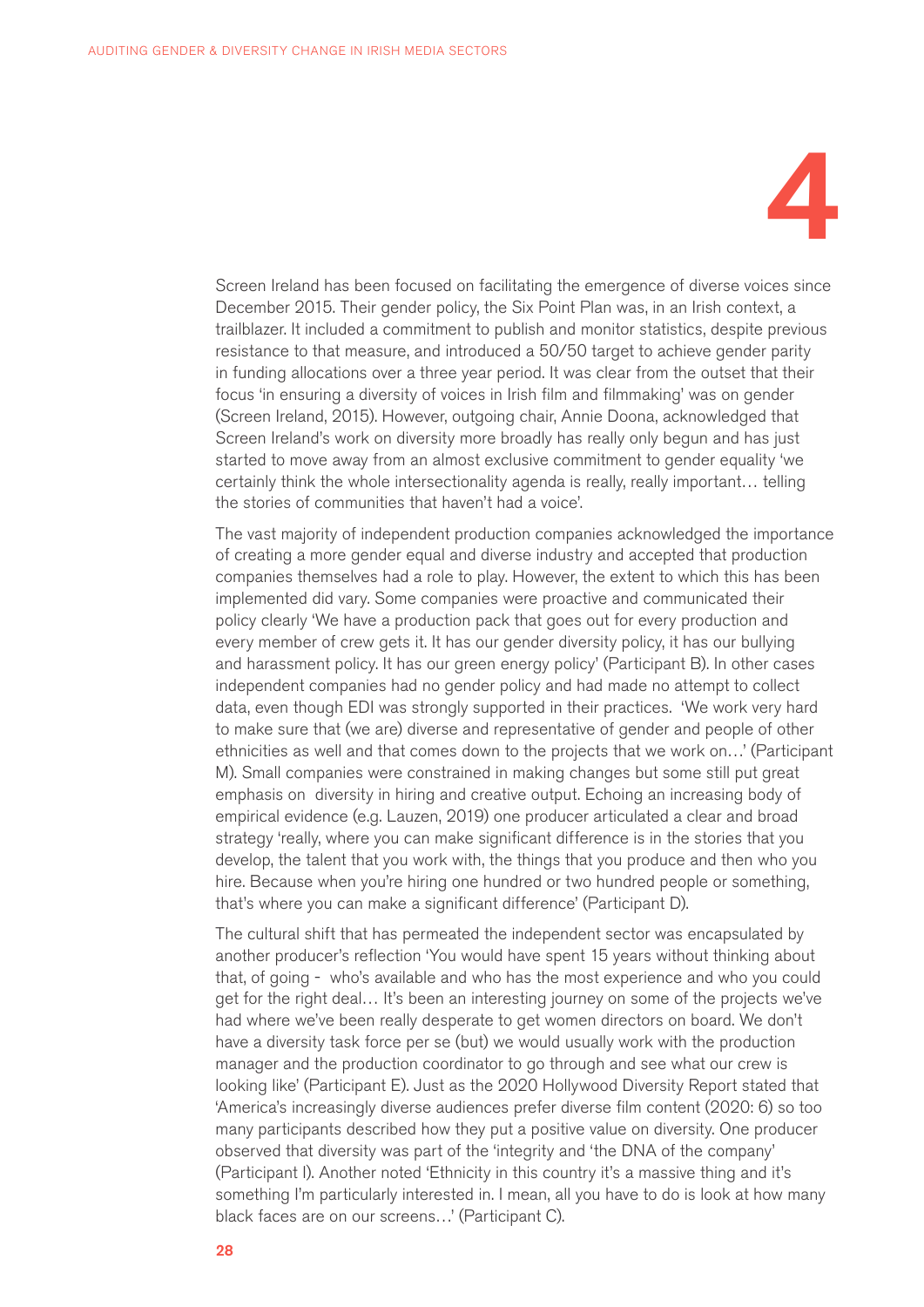

Screen Ireland has been focused on facilitating the emergence of diverse voices since December 2015. Their gender policy, the Six Point Plan was, in an Irish context, a trailblazer. It included a commitment to publish and monitor statistics, despite previous resistance to that measure, and introduced a 50/50 target to achieve gender parity in funding allocations over a three year period. It was clear from the outset that their focus 'in ensuring a diversity of voices in Irish film and filmmaking' was on gender (Screen Ireland, 2015). However, outgoing chair, Annie Doona, acknowledged that Screen Ireland's work on diversity more broadly has really only begun and has just started to move away from an almost exclusive commitment to gender equality 'we certainly think the whole intersectionality agenda is really, really important… telling the stories of communities that haven't had a voice'.

The vast majority of independent production companies acknowledged the importance of creating a more gender equal and diverse industry and accepted that production companies themselves had a role to play. However, the extent to which this has been implemented did vary. Some companies were proactive and communicated their policy clearly 'We have a production pack that goes out for every production and every member of crew gets it. It has our gender diversity policy, it has our bullying and harassment policy. It has our green energy policy' (Participant B). In other cases independent companies had no gender policy and had made no attempt to collect data, even though EDI was strongly supported in their practices. 'We work very hard to make sure that (we are) diverse and representative of gender and people of other ethnicities as well and that comes down to the projects that we work on…' (Participant M). Small companies were constrained in making changes but some still put great emphasis on diversity in hiring and creative output. Echoing an increasing body of empirical evidence (e.g. Lauzen, 2019) one producer articulated a clear and broad strategy 'really, where you can make significant difference is in the stories that you develop, the talent that you work with, the things that you produce and then who you hire. Because when you're hiring one hundred or two hundred people or something, that's where you can make a significant difference' (Participant D).

The cultural shift that has permeated the independent sector was encapsulated by another producer's reflection 'You would have spent 15 years without thinking about that, of going - who's available and who has the most experience and who you could get for the right deal… It's been an interesting journey on some of the projects we've had where we've been really desperate to get women directors on board. We don't have a diversity task force per se (but) we would usually work with the production manager and the production coordinator to go through and see what our crew is looking like' (Participant E). Just as the 2020 Hollywood Diversity Report stated that 'America's increasingly diverse audiences prefer diverse film content (2020: 6) so too many participants described how they put a positive value on diversity. One producer observed that diversity was part of the 'integrity and 'the DNA of the company' (Participant I). Another noted 'Ethnicity in this country it's a massive thing and it's something I'm particularly interested in. I mean, all you have to do is look at how many black faces are on our screens…' (Participant C).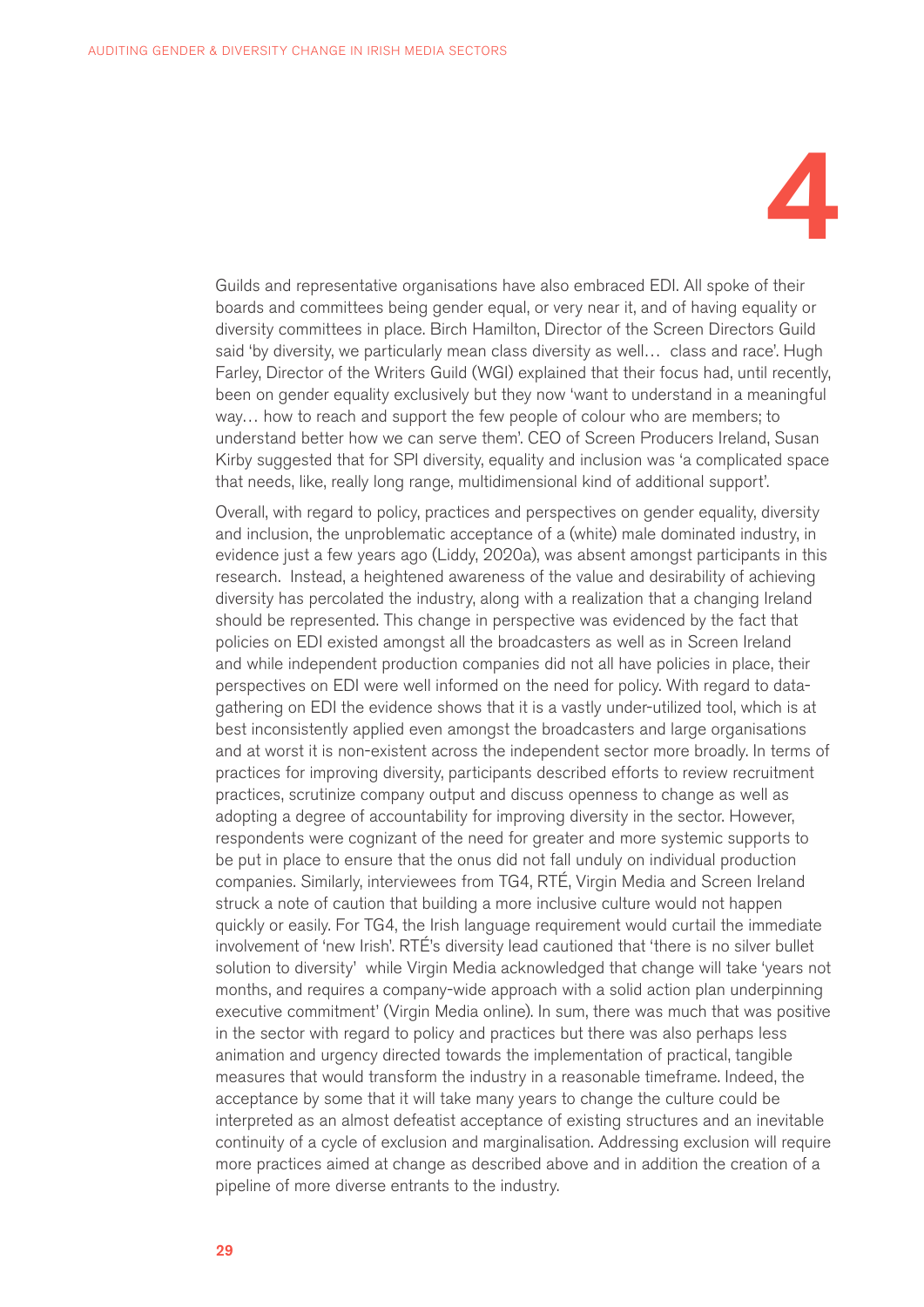

Guilds and representative organisations have also embraced EDI. All spoke of their boards and committees being gender equal, or very near it, and of having equality or diversity committees in place. Birch Hamilton, Director of the Screen Directors Guild said 'by diversity, we particularly mean class diversity as well… class and race'. Hugh Farley, Director of the Writers Guild (WGI) explained that their focus had, until recently, been on gender equality exclusively but they now 'want to understand in a meaningful way… how to reach and support the few people of colour who are members; to understand better how we can serve them'. CEO of Screen Producers Ireland, Susan Kirby suggested that for SPI diversity, equality and inclusion was 'a complicated space that needs, like, really long range, multidimensional kind of additional support'.

Overall, with regard to policy, practices and perspectives on gender equality, diversity and inclusion, the unproblematic acceptance of a (white) male dominated industry, in evidence just a few years ago (Liddy, 2020a), was absent amongst participants in this research. Instead, a heightened awareness of the value and desirability of achieving diversity has percolated the industry, along with a realization that a changing Ireland should be represented. This change in perspective was evidenced by the fact that policies on EDI existed amongst all the broadcasters as well as in Screen Ireland and while independent production companies did not all have policies in place, their perspectives on EDI were well informed on the need for policy. With regard to datagathering on EDI the evidence shows that it is a vastly under-utilized tool, which is at best inconsistently applied even amongst the broadcasters and large organisations and at worst it is non-existent across the independent sector more broadly. In terms of practices for improving diversity, participants described efforts to review recruitment practices, scrutinize company output and discuss openness to change as well as adopting a degree of accountability for improving diversity in the sector. However, respondents were cognizant of the need for greater and more systemic supports to be put in place to ensure that the onus did not fall unduly on individual production companies. Similarly, interviewees from TG4, RTÉ, Virgin Media and Screen Ireland struck a note of caution that building a more inclusive culture would not happen quickly or easily. For TG4, the Irish language requirement would curtail the immediate involvement of 'new Irish'. RTÉ's diversity lead cautioned that 'there is no silver bullet solution to diversity' while Virgin Media acknowledged that change will take 'years not months, and requires a company-wide approach with a solid action plan underpinning executive commitment' (Virgin Media online). In sum, there was much that was positive in the sector with regard to policy and practices but there was also perhaps less animation and urgency directed towards the implementation of practical, tangible measures that would transform the industry in a reasonable timeframe. Indeed, the acceptance by some that it will take many years to change the culture could be interpreted as an almost defeatist acceptance of existing structures and an inevitable continuity of a cycle of exclusion and marginalisation. Addressing exclusion will require more practices aimed at change as described above and in addition the creation of a pipeline of more diverse entrants to the industry.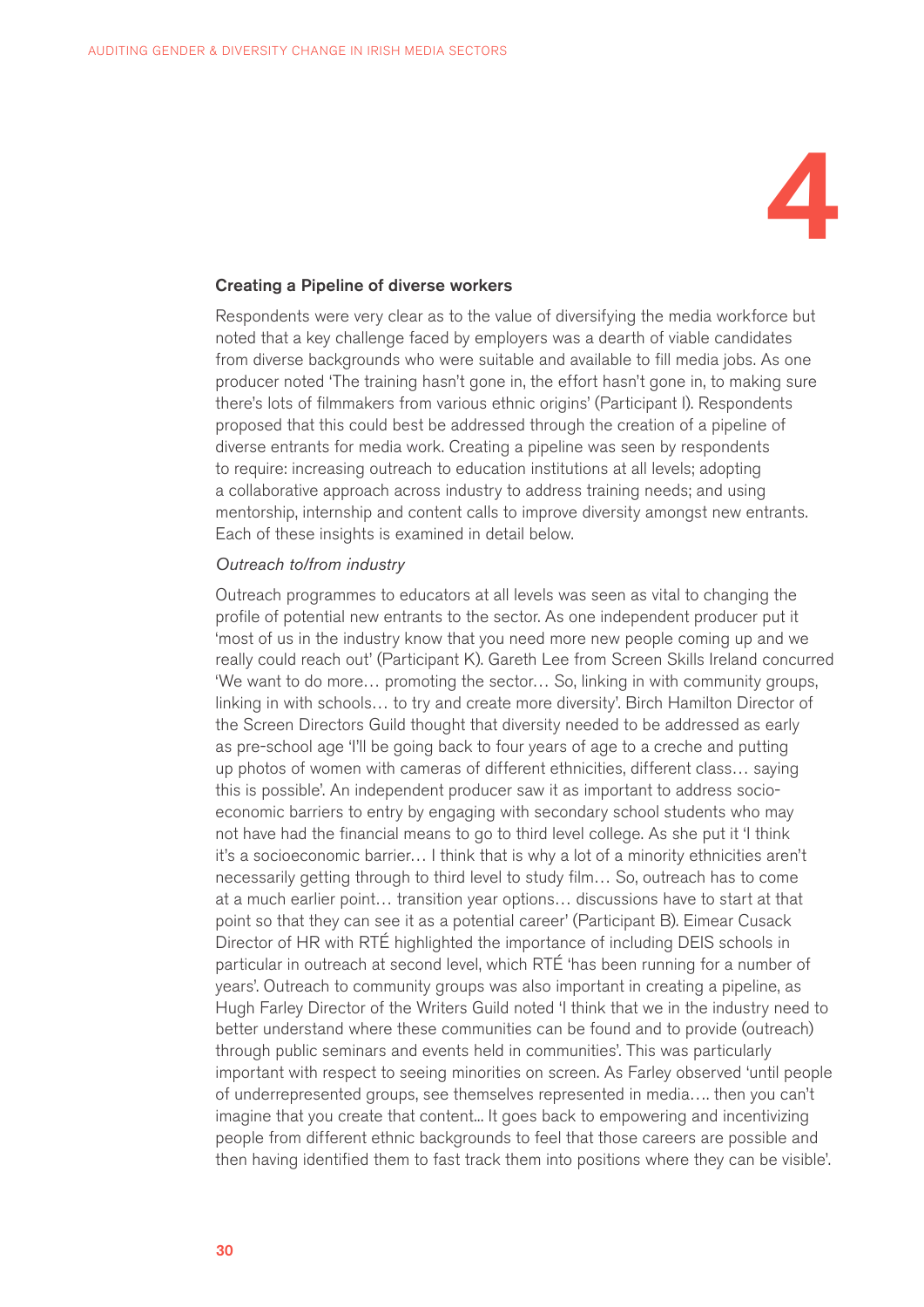

#### Creating a Pipeline of diverse workers

Respondents were very clear as to the value of diversifying the media workforce but noted that a key challenge faced by employers was a dearth of viable candidates from diverse backgrounds who were suitable and available to fill media jobs. As one producer noted 'The training hasn't gone in, the effort hasn't gone in, to making sure there's lots of filmmakers from various ethnic origins' (Participant I). Respondents proposed that this could best be addressed through the creation of a pipeline of diverse entrants for media work. Creating a pipeline was seen by respondents to require: increasing outreach to education institutions at all levels; adopting a collaborative approach across industry to address training needs; and using mentorship, internship and content calls to improve diversity amongst new entrants. Each of these insights is examined in detail below.

#### *Outreach to/from industry*

Outreach programmes to educators at all levels was seen as vital to changing the profile of potential new entrants to the sector. As one independent producer put it 'most of us in the industry know that you need more new people coming up and we really could reach out' (Participant K). Gareth Lee from Screen Skills Ireland concurred 'We want to do more… promoting the sector… So, linking in with community groups, linking in with schools… to try and create more diversity'. Birch Hamilton Director of the Screen Directors Guild thought that diversity needed to be addressed as early as pre-school age 'I'll be going back to four years of age to a creche and putting up photos of women with cameras of different ethnicities, different class… saying this is possible'. An independent producer saw it as important to address socioeconomic barriers to entry by engaging with secondary school students who may not have had the financial means to go to third level college. As she put it 'I think it's a socioeconomic barrier… I think that is why a lot of a minority ethnicities aren't necessarily getting through to third level to study film… So, outreach has to come at a much earlier point… transition year options… discussions have to start at that point so that they can see it as a potential career' (Participant B). Eimear Cusack Director of HR with RTÉ highlighted the importance of including DEIS schools in particular in outreach at second level, which RTÉ 'has been running for a number of years'. Outreach to community groups was also important in creating a pipeline, as Hugh Farley Director of the Writers Guild noted 'I think that we in the industry need to better understand where these communities can be found and to provide (outreach) through public seminars and events held in communities'. This was particularly important with respect to seeing minorities on screen. As Farley observed 'until people of underrepresented groups, see themselves represented in media…. then you can't imagine that you create that content... It goes back to empowering and incentivizing people from different ethnic backgrounds to feel that those careers are possible and then having identified them to fast track them into positions where they can be visible'.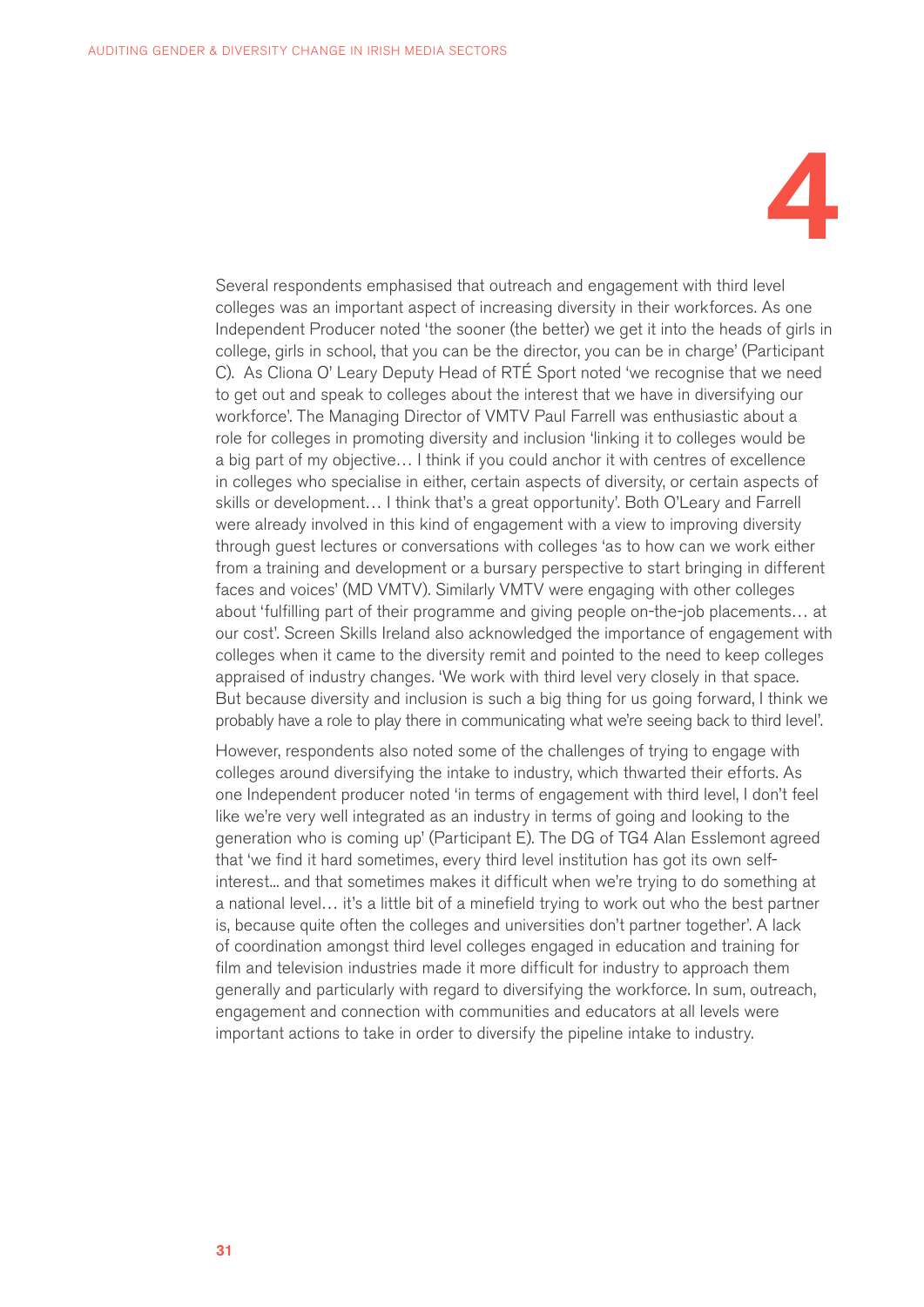

Several respondents emphasised that outreach and engagement with third level colleges was an important aspect of increasing diversity in their workforces. As one Independent Producer noted 'the sooner (the better) we get it into the heads of girls in college, girls in school, that you can be the director, you can be in charge' (Participant C). As Cliona O' Leary Deputy Head of RTÉ Sport noted 'we recognise that we need to get out and speak to colleges about the interest that we have in diversifying our workforce'. The Managing Director of VMTV Paul Farrell was enthusiastic about a role for colleges in promoting diversity and inclusion 'linking it to colleges would be a big part of my objective… I think if you could anchor it with centres of excellence in colleges who specialise in either, certain aspects of diversity, or certain aspects of skills or development… I think that's a great opportunity'. Both O'Leary and Farrell were already involved in this kind of engagement with a view to improving diversity through guest lectures or conversations with colleges 'as to how can we work either from a training and development or a bursary perspective to start bringing in different faces and voices' (MD VMTV). Similarly VMTV were engaging with other colleges about 'fulfilling part of their programme and giving people on-the-job placements… at our cost'. Screen Skills Ireland also acknowledged the importance of engagement with colleges when it came to the diversity remit and pointed to the need to keep colleges appraised of industry changes. 'We work with third level very closely in that space. But because diversity and inclusion is such a big thing for us going forward, I think we probably have a role to play there in communicating what we're seeing back to third level'.

However, respondents also noted some of the challenges of trying to engage with colleges around diversifying the intake to industry, which thwarted their efforts. As one Independent producer noted 'in terms of engagement with third level, I don't feel like we're very well integrated as an industry in terms of going and looking to the generation who is coming up' (Participant E). The DG of TG4 Alan Esslemont agreed that 'we find it hard sometimes, every third level institution has got its own selfinterest... and that sometimes makes it difficult when we're trying to do something at a national level… it's a little bit of a minefield trying to work out who the best partner is, because quite often the colleges and universities don't partner together'. A lack of coordination amongst third level colleges engaged in education and training for film and television industries made it more difficult for industry to approach them generally and particularly with regard to diversifying the workforce. In sum, outreach, engagement and connection with communities and educators at all levels were important actions to take in order to diversify the pipeline intake to industry.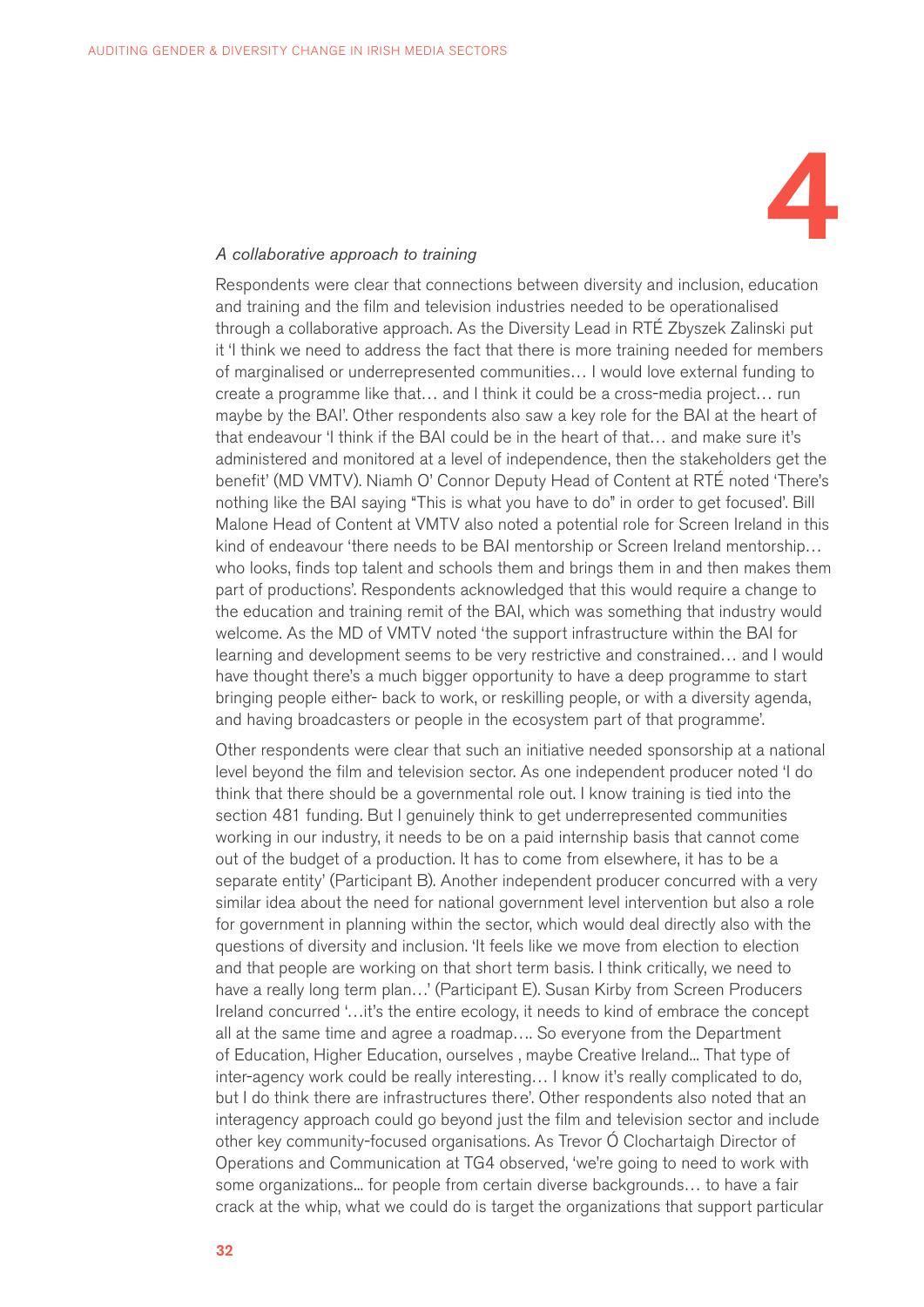

#### *A collaborative approach to training*

Respondents were clear that connections between diversity and inclusion, education and training and the film and television industries needed to be operationalised through a collaborative approach. As the Diversity Lead in RTÉ Zbyszek Zalinski put it 'I think we need to address the fact that there is more training needed for members of marginalised or underrepresented communities… I would love external funding to create a programme like that… and I think it could be a cross-media project… run maybe by the BAI'. Other respondents also saw a key role for the BAI at the heart of that endeavour 'I think if the BAI could be in the heart of that… and make sure it's administered and monitored at a level of independence, then the stakeholders get the benefit' (MD VMTV). Niamh O' Connor Deputy Head of Content at RTÉ noted 'There's nothing like the BAI saying "This is what you have to do" in order to get focused'. Bill Malone Head of Content at VMTV also noted a potential role for Screen Ireland in this kind of endeavour 'there needs to be BAI mentorship or Screen Ireland mentorship… who looks, finds top talent and schools them and brings them in and then makes them part of productions'. Respondents acknowledged that this would require a change to the education and training remit of the BAI, which was something that industry would welcome. As the MD of VMTV noted 'the support infrastructure within the BAI for learning and development seems to be very restrictive and constrained… and I would have thought there's a much bigger opportunity to have a deep programme to start bringing people either- back to work, or reskilling people, or with a diversity agenda, and having broadcasters or people in the ecosystem part of that programme'.

Other respondents were clear that such an initiative needed sponsorship at a national level beyond the film and television sector. As one independent producer noted 'I do think that there should be a governmental role out. I know training is tied into the section 481 funding. But I genuinely think to get underrepresented communities working in our industry, it needs to be on a paid internship basis that cannot come out of the budget of a production. It has to come from elsewhere, it has to be a separate entity' (Participant B). Another independent producer concurred with a very similar idea about the need for national government level intervention but also a role for government in planning within the sector, which would deal directly also with the questions of diversity and inclusion. 'It feels like we move from election to election and that people are working on that short term basis. I think critically, we need to have a really long term plan...' (Participant E). Susan Kirby from Screen Producers Ireland concurred '…it's the entire ecology, it needs to kind of embrace the concept all at the same time and agree a roadmap…. So everyone from the Department of Education, Higher Education, ourselves , maybe Creative Ireland... That type of inter-agency work could be really interesting… I know it's really complicated to do, but I do think there are infrastructures there'. Other respondents also noted that an interagency approach could go beyond just the film and television sector and include other key community-focused organisations. As Trevor Ó Clochartaigh Director of Operations and Communication at TG4 observed, 'we're going to need to work with some organizations... for people from certain diverse backgrounds… to have a fair crack at the whip, what we could do is target the organizations that support particular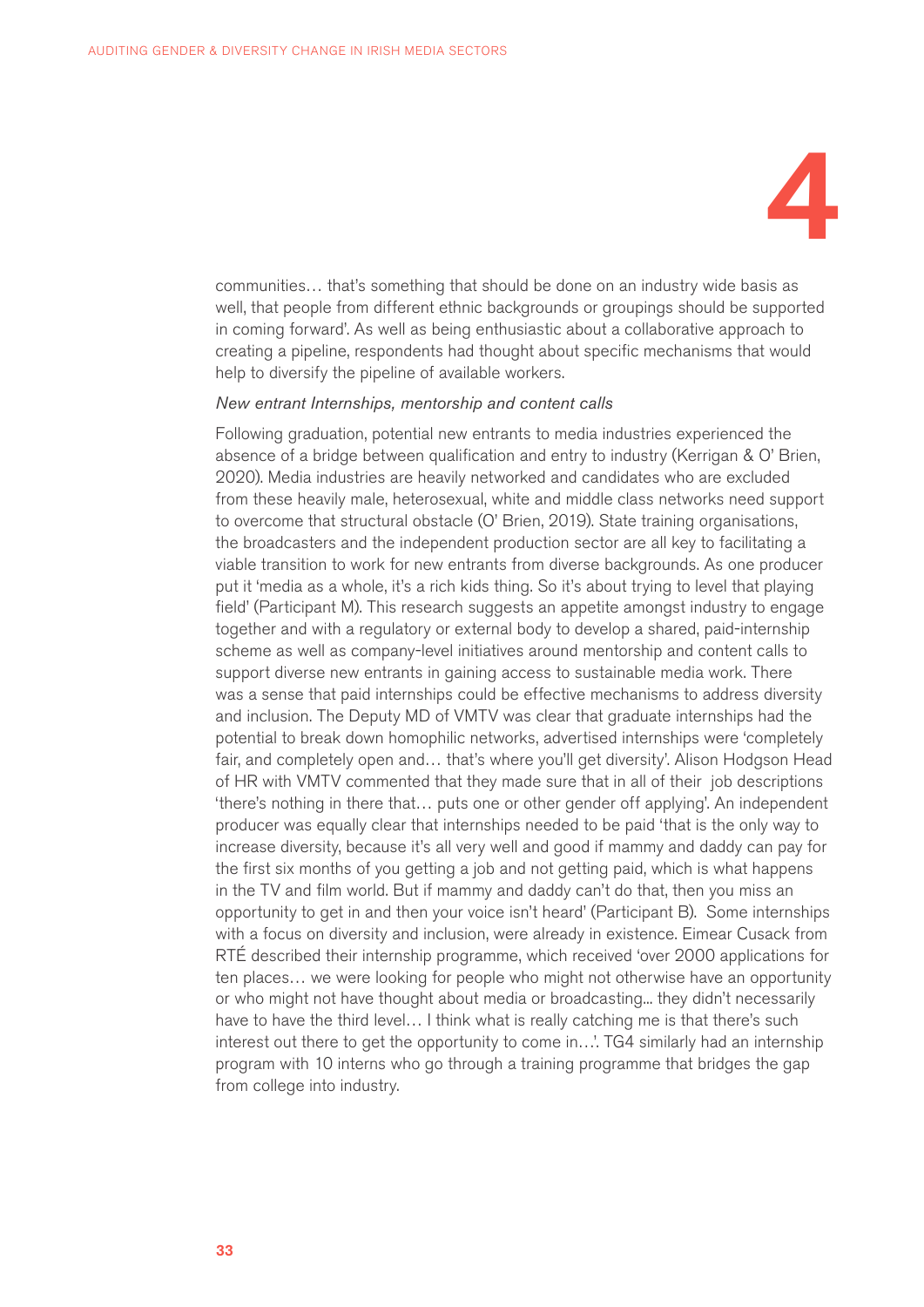

communities… that's something that should be done on an industry wide basis as well, that people from different ethnic backgrounds or groupings should be supported in coming forward'. As well as being enthusiastic about a collaborative approach to creating a pipeline, respondents had thought about specific mechanisms that would help to diversify the pipeline of available workers.

#### *New entrant Internships, mentorship and content calls*

Following graduation, potential new entrants to media industries experienced the absence of a bridge between qualification and entry to industry (Kerrigan & O' Brien, 2020). Media industries are heavily networked and candidates who are excluded from these heavily male, heterosexual, white and middle class networks need support to overcome that structural obstacle (O' Brien, 2019). State training organisations, the broadcasters and the independent production sector are all key to facilitating a viable transition to work for new entrants from diverse backgrounds. As one producer put it 'media as a whole, it's a rich kids thing. So it's about trying to level that playing field' (Participant M). This research suggests an appetite amongst industry to engage together and with a regulatory or external body to develop a shared, paid-internship scheme as well as company-level initiatives around mentorship and content calls to support diverse new entrants in gaining access to sustainable media work. There was a sense that paid internships could be effective mechanisms to address diversity and inclusion. The Deputy MD of VMTV was clear that graduate internships had the potential to break down homophilic networks, advertised internships were 'completely fair, and completely open and… that's where you'll get diversity'. Alison Hodgson Head of HR with VMTV commented that they made sure that in all of their job descriptions 'there's nothing in there that… puts one or other gender off applying'. An independent producer was equally clear that internships needed to be paid 'that is the only way to increase diversity, because it's all very well and good if mammy and daddy can pay for the first six months of you getting a job and not getting paid, which is what happens in the TV and film world. But if mammy and daddy can't do that, then you miss an opportunity to get in and then your voice isn't heard' (Participant B). Some internships with a focus on diversity and inclusion, were already in existence. Eimear Cusack from RTÉ described their internship programme, which received 'over 2000 applications for ten places… we were looking for people who might not otherwise have an opportunity or who might not have thought about media or broadcasting... they didn't necessarily have to have the third level… I think what is really catching me is that there's such interest out there to get the opportunity to come in...'. TG4 similarly had an internship program with 10 interns who go through a training programme that bridges the gap from college into industry.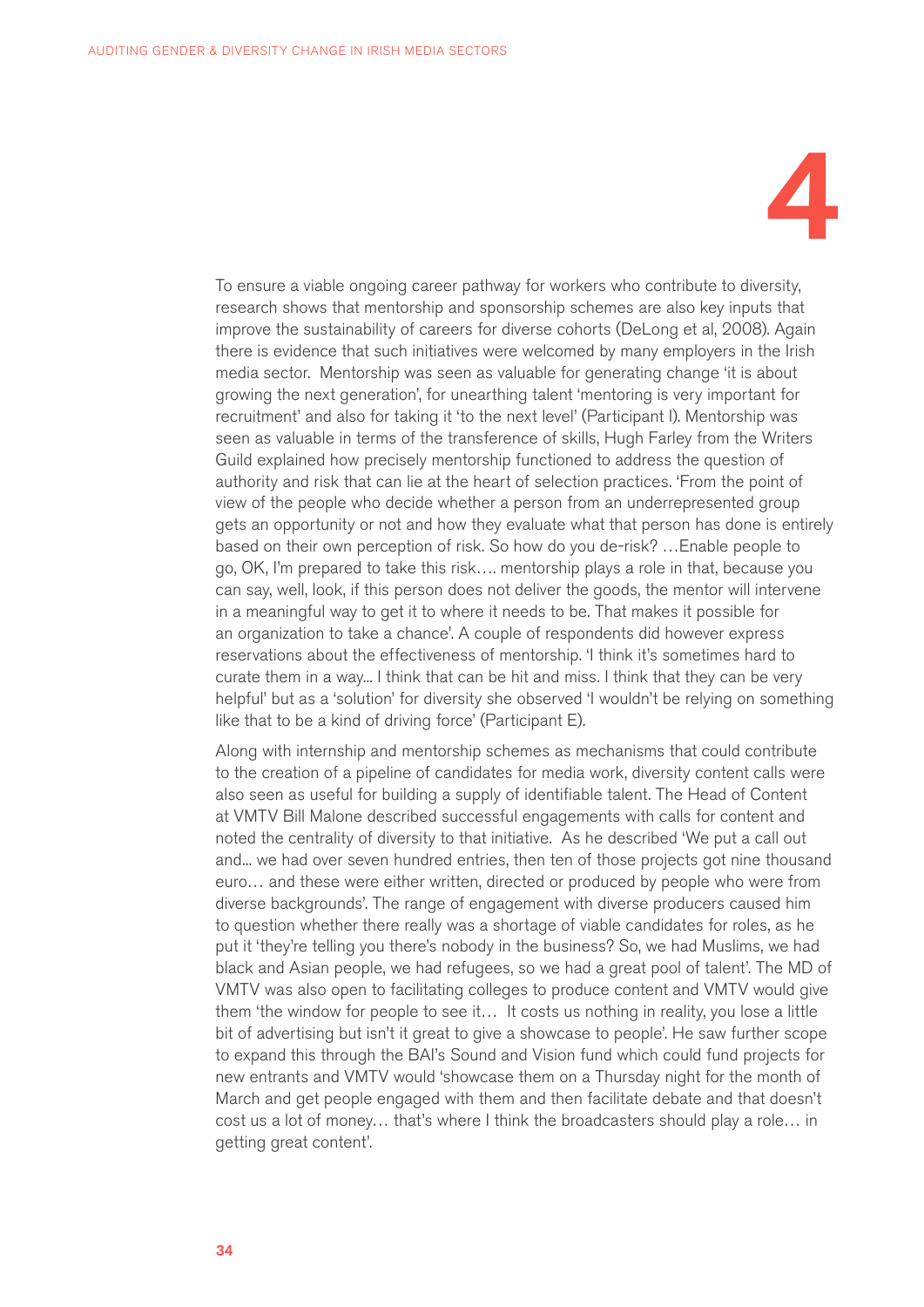

To ensure a viable ongoing career pathway for workers who contribute to diversity, research shows that mentorship and sponsorship schemes are also key inputs that improve the sustainability of careers for diverse cohorts (DeLong et al, 2008). Again there is evidence that such initiatives were welcomed by many employers in the Irish media sector. Mentorship was seen as valuable for generating change 'it is about growing the next generation', for unearthing talent 'mentoring is very important for recruitment' and also for taking it 'to the next level' (Participant I). Mentorship was seen as valuable in terms of the transference of skills, Hugh Farley from the Writers Guild explained how precisely mentorship functioned to address the question of authority and risk that can lie at the heart of selection practices. 'From the point of view of the people who decide whether a person from an underrepresented group gets an opportunity or not and how they evaluate what that person has done is entirely based on their own perception of risk. So how do you de-risk? …Enable people to go, OK, I'm prepared to take this risk…. mentorship plays a role in that, because you can say, well, look, if this person does not deliver the goods, the mentor will intervene in a meaningful way to get it to where it needs to be. That makes it possible for an organization to take a chance'. A couple of respondents did however express reservations about the effectiveness of mentorship. 'I think it's sometimes hard to curate them in a way... I think that can be hit and miss. I think that they can be very helpful' but as a 'solution' for diversity she observed 'I wouldn't be relying on something like that to be a kind of driving force' (Participant E).

Along with internship and mentorship schemes as mechanisms that could contribute to the creation of a pipeline of candidates for media work, diversity content calls were also seen as useful for building a supply of identifiable talent. The Head of Content at VMTV Bill Malone described successful engagements with calls for content and noted the centrality of diversity to that initiative. As he described 'We put a call out and... we had over seven hundred entries, then ten of those projects got nine thousand euro… and these were either written, directed or produced by people who were from diverse backgrounds'. The range of engagement with diverse producers caused him to question whether there really was a shortage of viable candidates for roles, as he put it 'they're telling you there's nobody in the business? So, we had Muslims, we had black and Asian people, we had refugees, so we had a great pool of talent'. The MD of VMTV was also open to facilitating colleges to produce content and VMTV would give them 'the window for people to see it… It costs us nothing in reality, you lose a little bit of advertising but isn't it great to give a showcase to people'. He saw further scope to expand this through the BAI's Sound and Vision fund which could fund projects for new entrants and VMTV would 'showcase them on a Thursday night for the month of March and get people engaged with them and then facilitate debate and that doesn't cost us a lot of money… that's where I think the broadcasters should play a role… in getting great content'.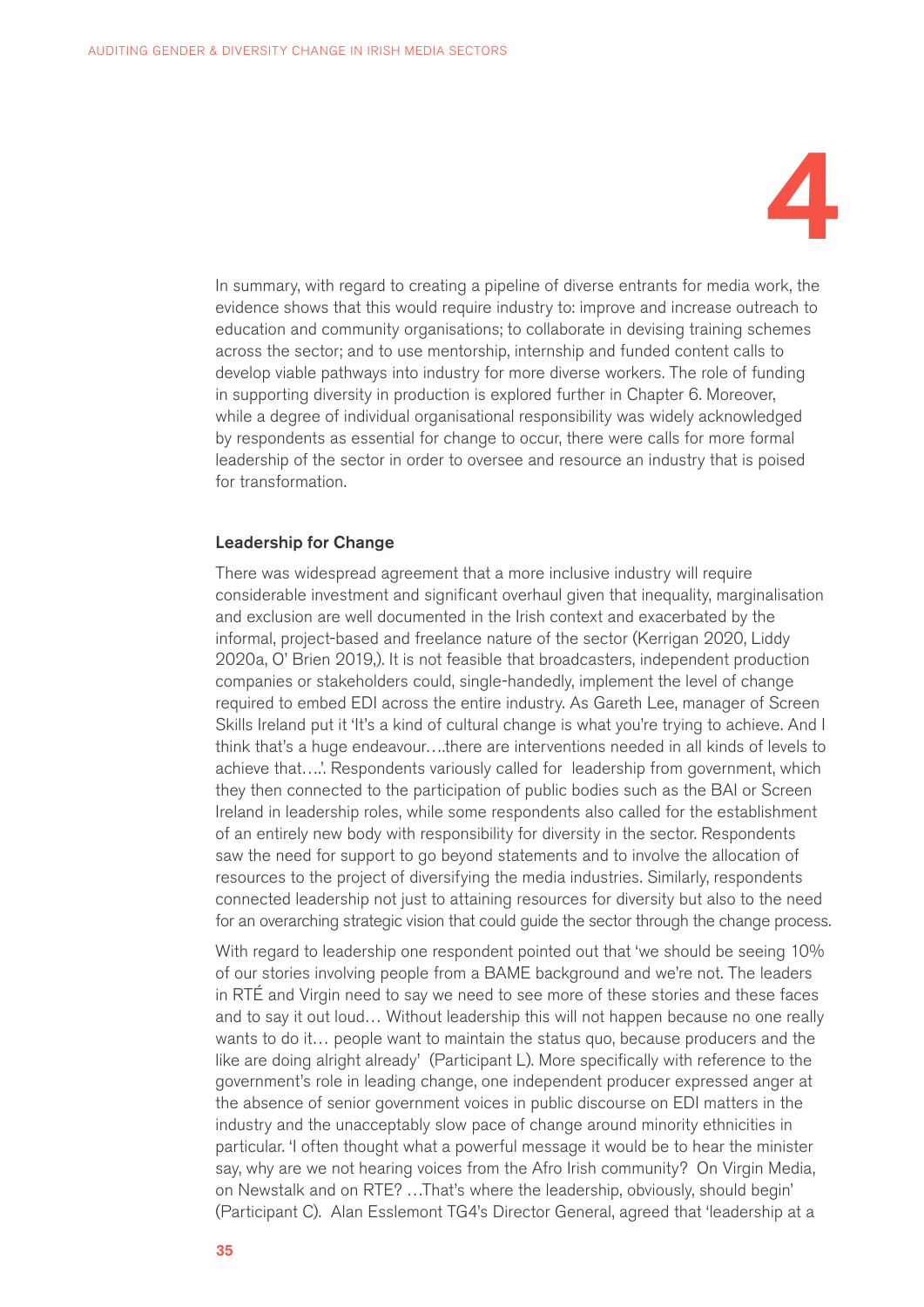

In summary, with regard to creating a pipeline of diverse entrants for media work, the evidence shows that this would require industry to: improve and increase outreach to education and community organisations; to collaborate in devising training schemes across the sector; and to use mentorship, internship and funded content calls to develop viable pathways into industry for more diverse workers. The role of funding in supporting diversity in production is explored further in Chapter 6. Moreover, while a degree of individual organisational responsibility was widely acknowledged by respondents as essential for change to occur, there were calls for more formal leadership of the sector in order to oversee and resource an industry that is poised for transformation.

#### Leadership for Change

There was widespread agreement that a more inclusive industry will require considerable investment and significant overhaul given that inequality, marginalisation and exclusion are well documented in the Irish context and exacerbated by the informal, project-based and freelance nature of the sector (Kerrigan 2020, Liddy 2020a, O' Brien 2019,). It is not feasible that broadcasters, independent production companies or stakeholders could, single-handedly, implement the level of change required to embed EDI across the entire industry. As Gareth Lee, manager of Screen Skills Ireland put it 'It's a kind of cultural change is what you're trying to achieve. And I think that's a huge endeavour….there are interventions needed in all kinds of levels to achieve that….'. Respondents variously called for leadership from government, which they then connected to the participation of public bodies such as the BAI or Screen Ireland in leadership roles, while some respondents also called for the establishment of an entirely new body with responsibility for diversity in the sector. Respondents saw the need for support to go beyond statements and to involve the allocation of resources to the project of diversifying the media industries. Similarly, respondents connected leadership not just to attaining resources for diversity but also to the need for an overarching strategic vision that could guide the sector through the change process.

With regard to leadership one respondent pointed out that 'we should be seeing 10% of our stories involving people from a BAME background and we're not. The leaders in RTÉ and Virgin need to say we need to see more of these stories and these faces and to say it out loud… Without leadership this will not happen because no one really wants to do it… people want to maintain the status quo, because producers and the like are doing alright already' (Participant L). More specifically with reference to the government's role in leading change, one independent producer expressed anger at the absence of senior government voices in public discourse on EDI matters in the industry and the unacceptably slow pace of change around minority ethnicities in particular. 'I often thought what a powerful message it would be to hear the minister say, why are we not hearing voices from the Afro Irish community? On Virgin Media, on Newstalk and on RTE? …That's where the leadership, obviously, should begin' (Participant C). Alan Esslemont TG4's Director General, agreed that 'leadership at a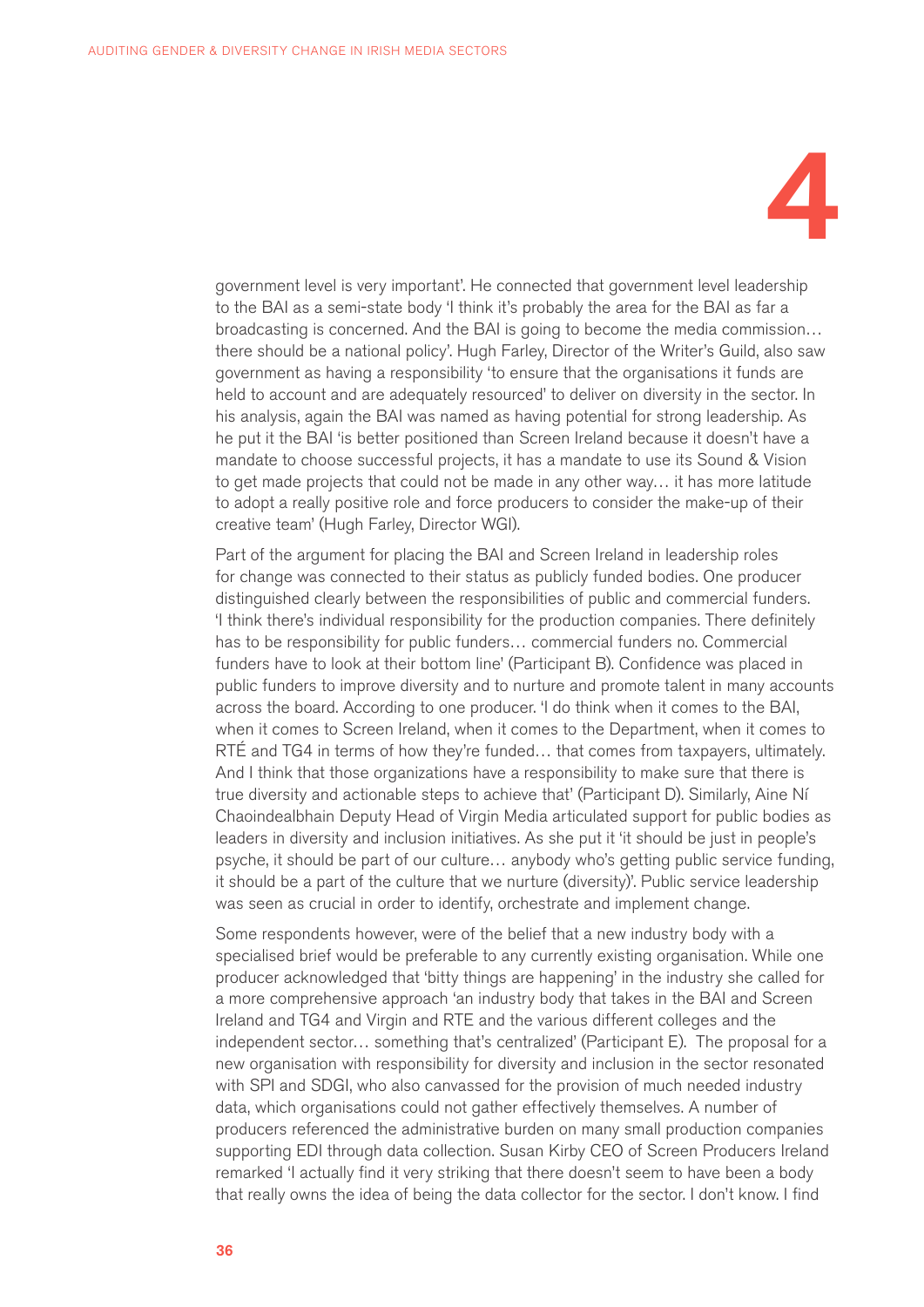

government level is very important'. He connected that government level leadership to the BAI as a semi-state body 'I think it's probably the area for the BAI as far a broadcasting is concerned. And the BAI is going to become the media commission… there should be a national policy'. Hugh Farley, Director of the Writer's Guild, also saw government as having a responsibility 'to ensure that the organisations it funds are held to account and are adequately resourced' to deliver on diversity in the sector. In his analysis, again the BAI was named as having potential for strong leadership. As he put it the BAI 'is better positioned than Screen Ireland because it doesn't have a mandate to choose successful projects, it has a mandate to use its Sound & Vision to get made projects that could not be made in any other way… it has more latitude to adopt a really positive role and force producers to consider the make-up of their creative team' (Hugh Farley, Director WGI).

Part of the argument for placing the BAI and Screen Ireland in leadership roles for change was connected to their status as publicly funded bodies. One producer distinguished clearly between the responsibilities of public and commercial funders. 'I think there's individual responsibility for the production companies. There definitely has to be responsibility for public funders… commercial funders no. Commercial funders have to look at their bottom line' (Participant B). Confidence was placed in public funders to improve diversity and to nurture and promote talent in many accounts across the board. According to one producer. 'I do think when it comes to the BAI, when it comes to Screen Ireland, when it comes to the Department, when it comes to RTÉ and TG4 in terms of how they're funded… that comes from taxpayers, ultimately. And I think that those organizations have a responsibility to make sure that there is true diversity and actionable steps to achieve that' (Participant D). Similarly, Aine Ní Chaoindealbhain Deputy Head of Virgin Media articulated support for public bodies as leaders in diversity and inclusion initiatives. As she put it 'it should be just in people's psyche, it should be part of our culture… anybody who's getting public service funding, it should be a part of the culture that we nurture (diversity)'. Public service leadership was seen as crucial in order to identify, orchestrate and implement change.

Some respondents however, were of the belief that a new industry body with a specialised brief would be preferable to any currently existing organisation. While one producer acknowledged that 'bitty things are happening' in the industry she called for a more comprehensive approach 'an industry body that takes in the BAI and Screen Ireland and TG4 and Virgin and RTE and the various different colleges and the independent sector… something that's centralized' (Participant E). The proposal for a new organisation with responsibility for diversity and inclusion in the sector resonated with SPI and SDGI, who also canvassed for the provision of much needed industry data, which organisations could not gather effectively themselves. A number of producers referenced the administrative burden on many small production companies supporting EDI through data collection. Susan Kirby CEO of Screen Producers Ireland remarked 'I actually find it very striking that there doesn't seem to have been a body that really owns the idea of being the data collector for the sector. I don't know. I find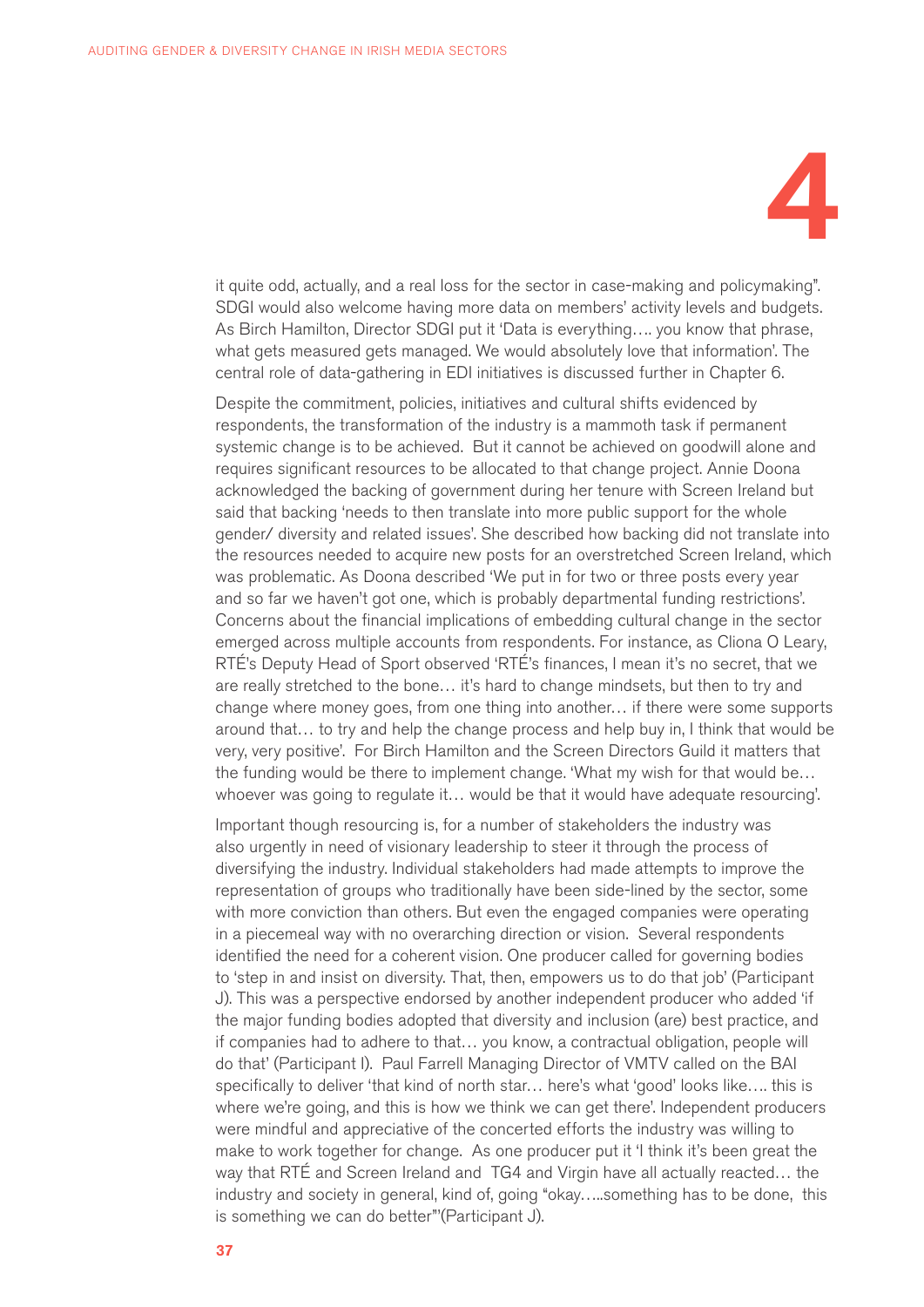

it quite odd, actually, and a real loss for the sector in case-making and policymaking". SDGI would also welcome having more data on members' activity levels and budgets. As Birch Hamilton, Director SDGI put it 'Data is everything…. you know that phrase, what gets measured gets managed. We would absolutely love that information'. The central role of data-gathering in EDI initiatives is discussed further in Chapter 6.

Despite the commitment, policies, initiatives and cultural shifts evidenced by respondents, the transformation of the industry is a mammoth task if permanent systemic change is to be achieved. But it cannot be achieved on goodwill alone and requires significant resources to be allocated to that change project. Annie Doona acknowledged the backing of government during her tenure with Screen Ireland but said that backing 'needs to then translate into more public support for the whole gender/ diversity and related issues'. She described how backing did not translate into the resources needed to acquire new posts for an overstretched Screen Ireland, which was problematic. As Doona described 'We put in for two or three posts every year and so far we haven't got one, which is probably departmental funding restrictions'. Concerns about the financial implications of embedding cultural change in the sector emerged across multiple accounts from respondents. For instance, as Cliona O Leary, RTÉ's Deputy Head of Sport observed 'RTÉ's finances, I mean it's no secret, that we are really stretched to the bone… it's hard to change mindsets, but then to try and change where money goes, from one thing into another… if there were some supports around that… to try and help the change process and help buy in, I think that would be very, very positive'. For Birch Hamilton and the Screen Directors Guild it matters that the funding would be there to implement change. 'What my wish for that would be… whoever was going to regulate it… would be that it would have adequate resourcing'.

Important though resourcing is, for a number of stakeholders the industry was also urgently in need of visionary leadership to steer it through the process of diversifying the industry. Individual stakeholders had made attempts to improve the representation of groups who traditionally have been side-lined by the sector, some with more conviction than others. But even the engaged companies were operating in a piecemeal way with no overarching direction or vision. Several respondents identified the need for a coherent vision. One producer called for governing bodies to 'step in and insist on diversity. That, then, empowers us to do that job' (Participant J). This was a perspective endorsed by another independent producer who added 'if the major funding bodies adopted that diversity and inclusion (are) best practice, and if companies had to adhere to that… you know, a contractual obligation, people will do that' (Participant I). Paul Farrell Managing Director of VMTV called on the BAI specifically to deliver 'that kind of north star… here's what 'good' looks like…. this is where we're going, and this is how we think we can get there'. Independent producers were mindful and appreciative of the concerted efforts the industry was willing to make to work together for change. As one producer put it 'I think it's been great the way that RTÉ and Screen Ireland and TG4 and Virgin have all actually reacted… the industry and society in general, kind of, going "okay…..something has to be done, this is something we can do better"'(Participant J).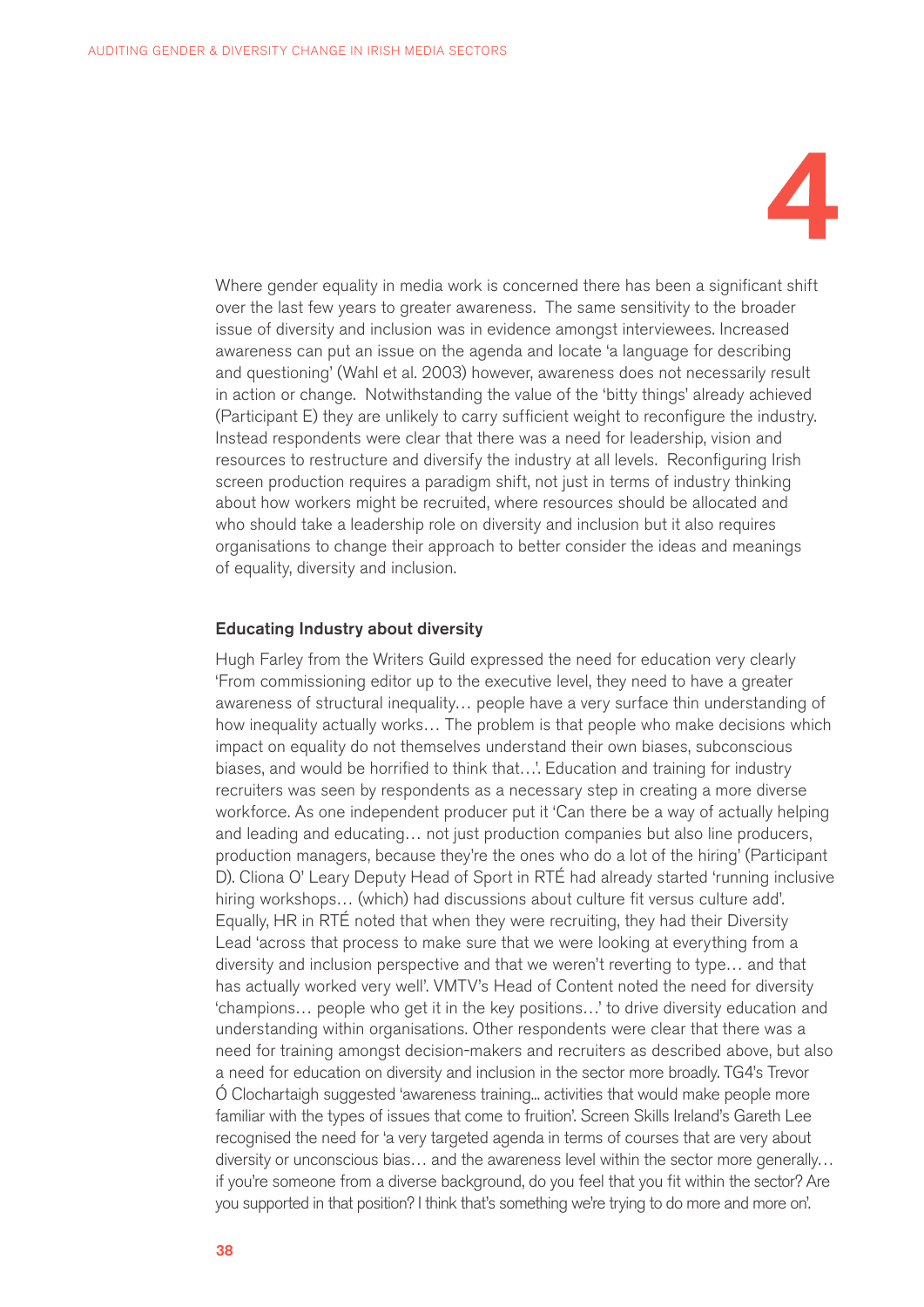

Where gender equality in media work is concerned there has been a significant shift over the last few years to greater awareness. The same sensitivity to the broader issue of diversity and inclusion was in evidence amongst interviewees. Increased awareness can put an issue on the agenda and locate 'a language for describing and questioning' (Wahl et al. 2003) however, awareness does not necessarily result in action or change. Notwithstanding the value of the 'bitty things' already achieved (Participant E) they are unlikely to carry sufficient weight to reconfigure the industry. Instead respondents were clear that there was a need for leadership, vision and resources to restructure and diversify the industry at all levels. Reconfiguring Irish screen production requires a paradigm shift, not just in terms of industry thinking about how workers might be recruited, where resources should be allocated and who should take a leadership role on diversity and inclusion but it also requires organisations to change their approach to better consider the ideas and meanings of equality, diversity and inclusion.

#### Educating Industry about diversity

Hugh Farley from the Writers Guild expressed the need for education very clearly 'From commissioning editor up to the executive level, they need to have a greater awareness of structural inequality… people have a very surface thin understanding of how inequality actually works… The problem is that people who make decisions which impact on equality do not themselves understand their own biases, subconscious biases, and would be horrified to think that…'. Education and training for industry recruiters was seen by respondents as a necessary step in creating a more diverse workforce. As one independent producer put it 'Can there be a way of actually helping and leading and educating… not just production companies but also line producers, production managers, because they're the ones who do a lot of the hiring' (Participant D). Cliona O' Leary Deputy Head of Sport in RTÉ had already started 'running inclusive hiring workshops… (which) had discussions about culture fit versus culture add'. Equally, HR in RTÉ noted that when they were recruiting, they had their Diversity Lead 'across that process to make sure that we were looking at everything from a diversity and inclusion perspective and that we weren't reverting to type… and that has actually worked very well'. VMTV's Head of Content noted the need for diversity 'champions… people who get it in the key positions…' to drive diversity education and understanding within organisations. Other respondents were clear that there was a need for training amongst decision-makers and recruiters as described above, but also a need for education on diversity and inclusion in the sector more broadly. TG4's Trevor Ó Clochartaigh suggested 'awareness training... activities that would make people more familiar with the types of issues that come to fruition'. Screen Skills Ireland's Gareth Lee recognised the need for 'a very targeted agenda in terms of courses that are very about diversity or unconscious bias… and the awareness level within the sector more generally… if you're someone from a diverse background, do you feel that you fit within the sector? Are you supported in that position? I think that's something we're trying to do more and more on'.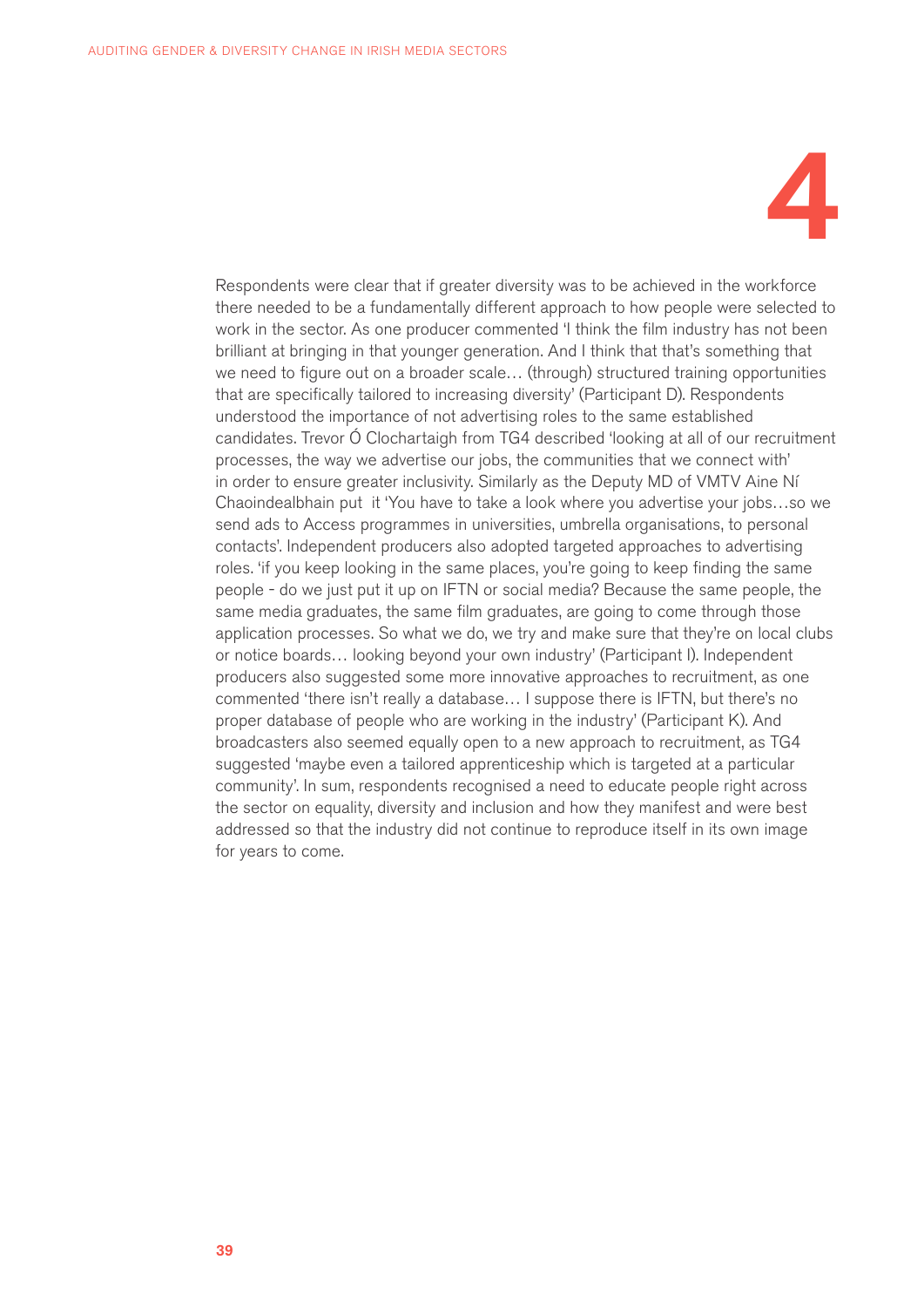

Respondents were clear that if greater diversity was to be achieved in the workforce there needed to be a fundamentally different approach to how people were selected to work in the sector. As one producer commented 'I think the film industry has not been brilliant at bringing in that younger generation. And I think that that's something that we need to figure out on a broader scale… (through) structured training opportunities that are specifically tailored to increasing diversity' (Participant D). Respondents understood the importance of not advertising roles to the same established candidates. Trevor Ó Clochartaigh from TG4 described 'looking at all of our recruitment processes, the way we advertise our jobs, the communities that we connect with' in order to ensure greater inclusivity. Similarly as the Deputy MD of VMTV Aine Ní Chaoindealbhain put it 'You have to take a look where you advertise your jobs…so we send ads to Access programmes in universities, umbrella organisations, to personal contacts'. Independent producers also adopted targeted approaches to advertising roles. 'if you keep looking in the same places, you're going to keep finding the same people - do we just put it up on IFTN or social media? Because the same people, the same media graduates, the same film graduates, are going to come through those application processes. So what we do, we try and make sure that they're on local clubs or notice boards… looking beyond your own industry' (Participant I). Independent producers also suggested some more innovative approaches to recruitment, as one commented 'there isn't really a database… I suppose there is IFTN, but there's no proper database of people who are working in the industry' (Participant K). And broadcasters also seemed equally open to a new approach to recruitment, as TG4 suggested 'maybe even a tailored apprenticeship which is targeted at a particular community'. In sum, respondents recognised a need to educate people right across the sector on equality, diversity and inclusion and how they manifest and were best addressed so that the industry did not continue to reproduce itself in its own image for years to come.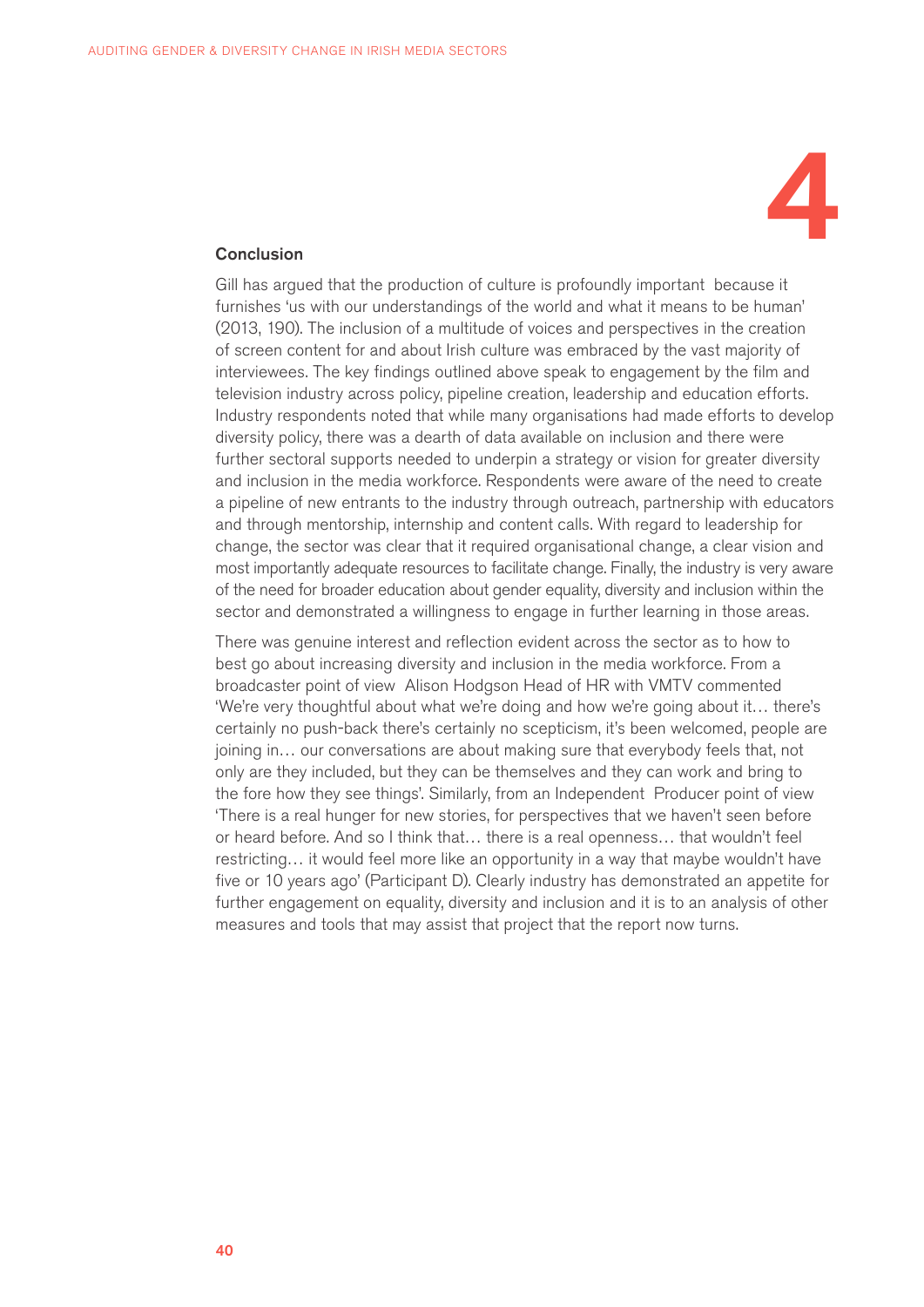

#### Conclusion

Gill has argued that the production of culture is profoundly important because it furnishes 'us with our understandings of the world and what it means to be human' (2013, 190). The inclusion of a multitude of voices and perspectives in the creation of screen content for and about Irish culture was embraced by the vast majority of interviewees. The key findings outlined above speak to engagement by the film and television industry across policy, pipeline creation, leadership and education efforts. Industry respondents noted that while many organisations had made efforts to develop diversity policy, there was a dearth of data available on inclusion and there were further sectoral supports needed to underpin a strategy or vision for greater diversity and inclusion in the media workforce. Respondents were aware of the need to create a pipeline of new entrants to the industry through outreach, partnership with educators and through mentorship, internship and content calls. With regard to leadership for change, the sector was clear that it required organisational change, a clear vision and most importantly adequate resources to facilitate change. Finally, the industry is very aware of the need for broader education about gender equality, diversity and inclusion within the sector and demonstrated a willingness to engage in further learning in those areas.

There was genuine interest and reflection evident across the sector as to how to best go about increasing diversity and inclusion in the media workforce. From a broadcaster point of view Alison Hodgson Head of HR with VMTV commented 'We're very thoughtful about what we're doing and how we're going about it… there's certainly no push-back there's certainly no scepticism, it's been welcomed, people are joining in… our conversations are about making sure that everybody feels that, not only are they included, but they can be themselves and they can work and bring to the fore how they see things'. Similarly, from an Independent Producer point of view 'There is a real hunger for new stories, for perspectives that we haven't seen before or heard before. And so I think that… there is a real openness… that wouldn't feel restricting… it would feel more like an opportunity in a way that maybe wouldn't have five or 10 years ago' (Participant D). Clearly industry has demonstrated an appetite for further engagement on equality, diversity and inclusion and it is to an analysis of other measures and tools that may assist that project that the report now turns.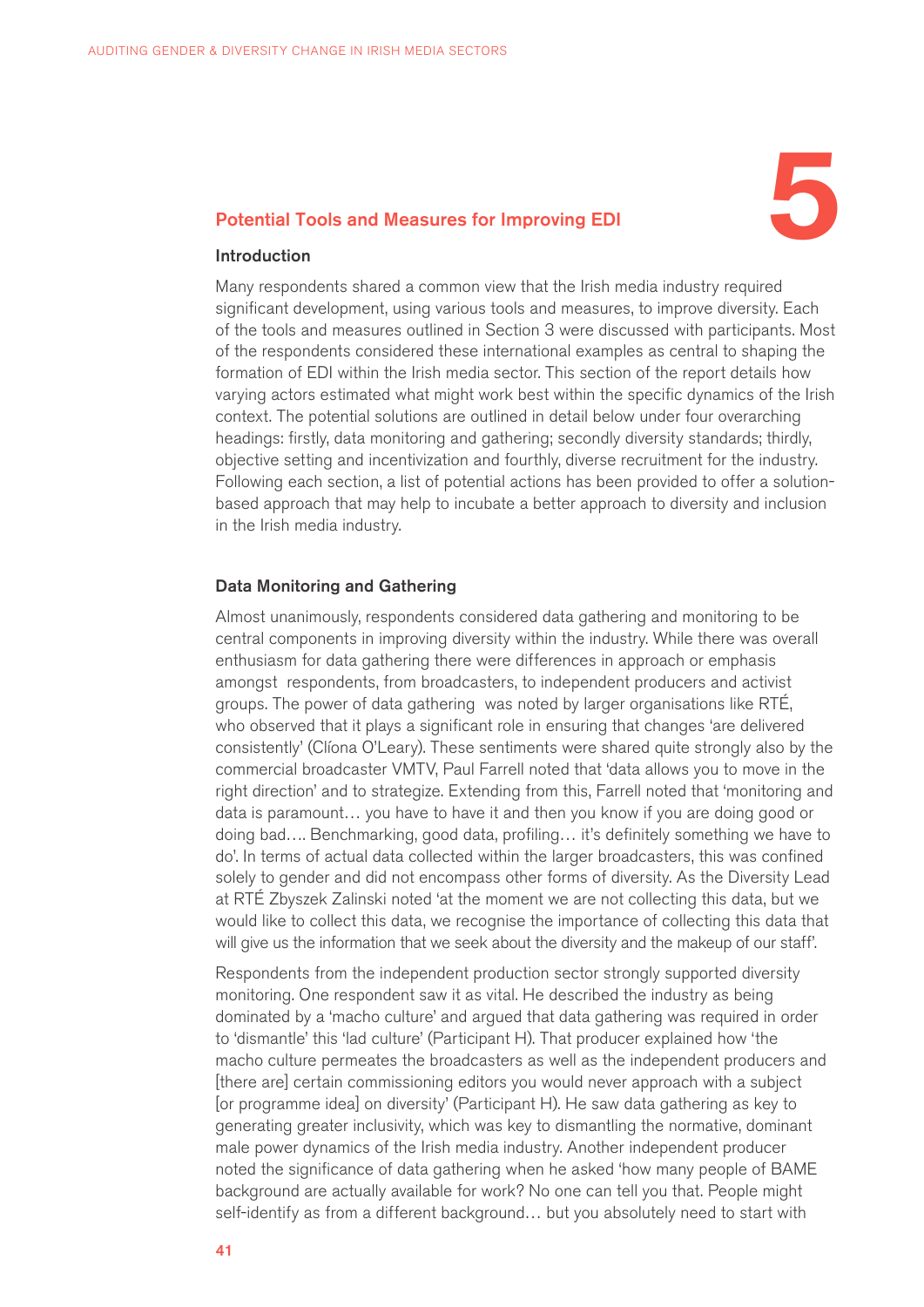

#### Introduction

Many respondents shared a common view that the Irish media industry required significant development, using various tools and measures, to improve diversity. Each of the tools and measures outlined in Section 3 were discussed with participants. Most of the respondents considered these international examples as central to shaping the formation of EDI within the Irish media sector. This section of the report details how varying actors estimated what might work best within the specific dynamics of the Irish context. The potential solutions are outlined in detail below under four overarching headings: firstly, data monitoring and gathering; secondly diversity standards; thirdly, objective setting and incentivization and fourthly, diverse recruitment for the industry. Following each section, a list of potential actions has been provided to offer a solutionbased approach that may help to incubate a better approach to diversity and inclusion in the Irish media industry.

#### Data Monitoring and Gathering

Almost unanimously, respondents considered data gathering and monitoring to be central components in improving diversity within the industry. While there was overall enthusiasm for data gathering there were differences in approach or emphasis amongst respondents, from broadcasters, to independent producers and activist groups. The power of data gathering was noted by larger organisations like RTÉ, who observed that it plays a significant role in ensuring that changes 'are delivered consistently' (Clíona O'Leary). These sentiments were shared quite strongly also by the commercial broadcaster VMTV, Paul Farrell noted that 'data allows you to move in the right direction' and to strategize. Extending from this, Farrell noted that 'monitoring and data is paramount… you have to have it and then you know if you are doing good or doing bad…. Benchmarking, good data, profiling… it's definitely something we have to do'. In terms of actual data collected within the larger broadcasters, this was confined solely to gender and did not encompass other forms of diversity. As the Diversity Lead at RTÉ Zbyszek Zalinski noted 'at the moment we are not collecting this data, but we would like to collect this data, we recognise the importance of collecting this data that will give us the information that we seek about the diversity and the makeup of our staff'.

Respondents from the independent production sector strongly supported diversity monitoring. One respondent saw it as vital. He described the industry as being dominated by a 'macho culture' and argued that data gathering was required in order to 'dismantle' this 'lad culture' (Participant H). That producer explained how 'the macho culture permeates the broadcasters as well as the independent producers and [there are] certain commissioning editors you would never approach with a subject [or programme idea] on diversity' (Participant H). He saw data gathering as key to generating greater inclusivity, which was key to dismantling the normative, dominant male power dynamics of the Irish media industry. Another independent producer noted the significance of data gathering when he asked 'how many people of BAME background are actually available for work? No one can tell you that. People might self-identify as from a different background… but you absolutely need to start with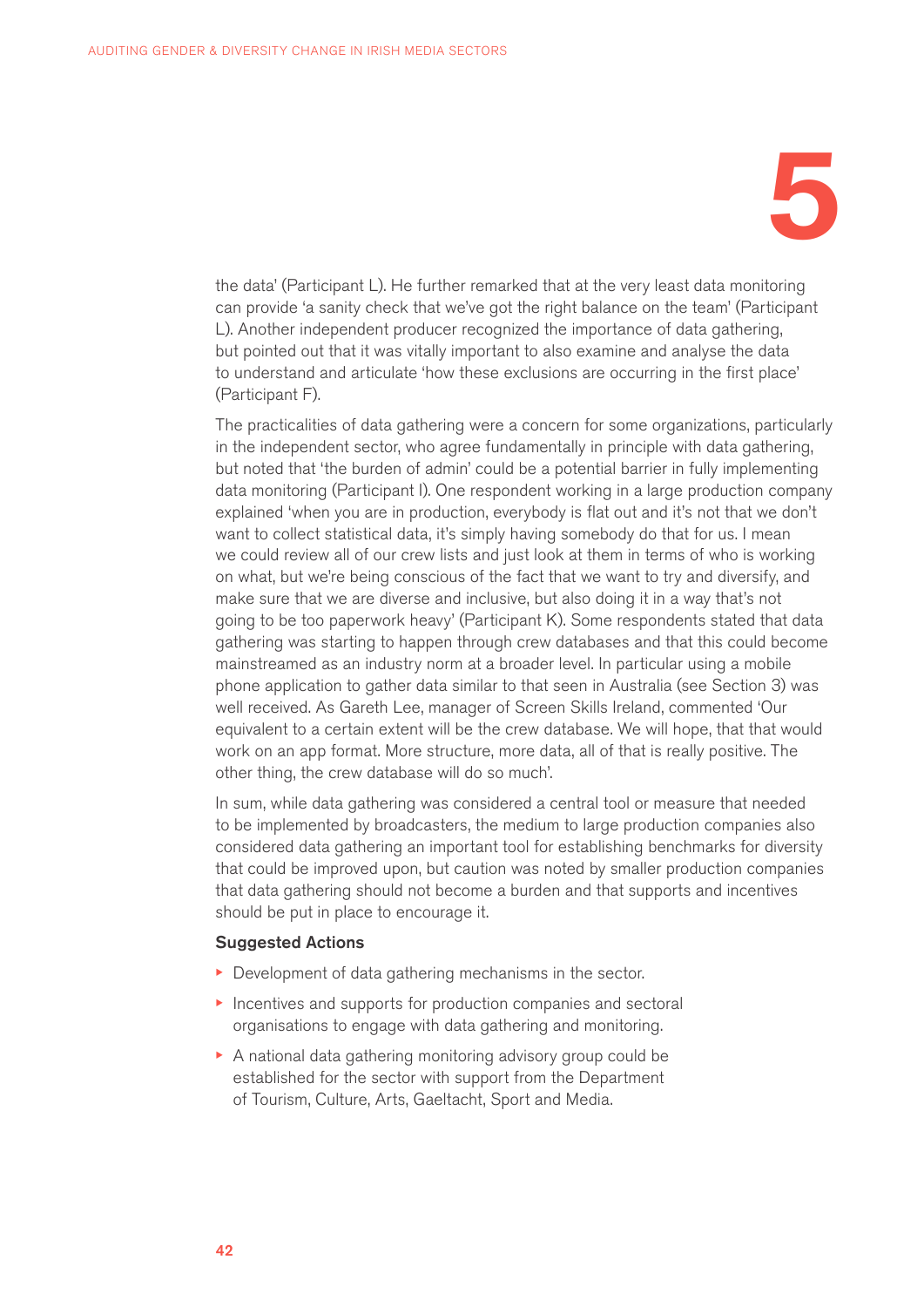

the data' (Participant L). He further remarked that at the very least data monitoring can provide 'a sanity check that we've got the right balance on the team' (Participant L). Another independent producer recognized the importance of data gathering, but pointed out that it was vitally important to also examine and analyse the data to understand and articulate 'how these exclusions are occurring in the first place' (Participant F).

The practicalities of data gathering were a concern for some organizations, particularly in the independent sector, who agree fundamentally in principle with data gathering, but noted that 'the burden of admin' could be a potential barrier in fully implementing data monitoring (Participant I). One respondent working in a large production company explained 'when you are in production, everybody is flat out and it's not that we don't want to collect statistical data, it's simply having somebody do that for us. I mean we could review all of our crew lists and just look at them in terms of who is working on what, but we're being conscious of the fact that we want to try and diversify, and make sure that we are diverse and inclusive, but also doing it in a way that's not going to be too paperwork heavy' (Participant K). Some respondents stated that data gathering was starting to happen through crew databases and that this could become mainstreamed as an industry norm at a broader level. In particular using a mobile phone application to gather data similar to that seen in Australia (see Section 3) was well received. As Gareth Lee, manager of Screen Skills Ireland, commented 'Our equivalent to a certain extent will be the crew database. We will hope, that that would work on an app format. More structure, more data, all of that is really positive. The other thing, the crew database will do so much'.

In sum, while data gathering was considered a central tool or measure that needed to be implemented by broadcasters, the medium to large production companies also considered data gathering an important tool for establishing benchmarks for diversity that could be improved upon, but caution was noted by smaller production companies that data gathering should not become a burden and that supports and incentives should be put in place to encourage it.

### Suggested Actions

- Development of data gathering mechanisms in the sector.
- Incentives and supports for production companies and sectoral organisations to engage with data gathering and monitoring.
- A national data gathering monitoring advisory group could be established for the sector with support from the Department of Tourism, Culture, Arts, Gaeltacht, Sport and Media.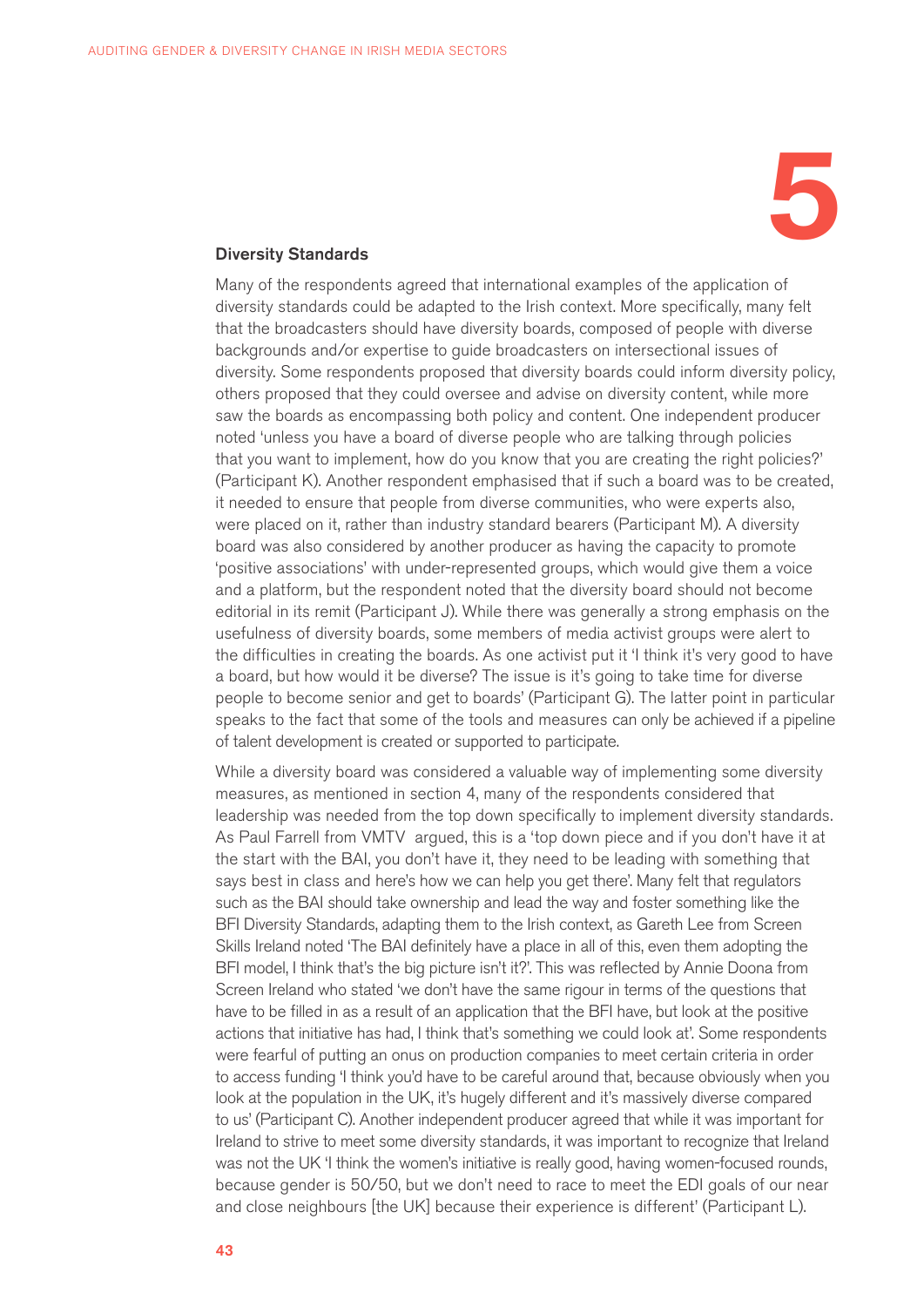

#### Diversity Standards

Many of the respondents agreed that international examples of the application of diversity standards could be adapted to the Irish context. More specifically, many felt that the broadcasters should have diversity boards, composed of people with diverse backgrounds and/or expertise to guide broadcasters on intersectional issues of diversity. Some respondents proposed that diversity boards could inform diversity policy, others proposed that they could oversee and advise on diversity content, while more saw the boards as encompassing both policy and content. One independent producer noted 'unless you have a board of diverse people who are talking through policies that you want to implement, how do you know that you are creating the right policies?' (Participant K). Another respondent emphasised that if such a board was to be created, it needed to ensure that people from diverse communities, who were experts also, were placed on it, rather than industry standard bearers (Participant M). A diversity board was also considered by another producer as having the capacity to promote 'positive associations' with under-represented groups, which would give them a voice and a platform, but the respondent noted that the diversity board should not become editorial in its remit (Participant J). While there was generally a strong emphasis on the usefulness of diversity boards, some members of media activist groups were alert to the difficulties in creating the boards. As one activist put it 'I think it's very good to have a board, but how would it be diverse? The issue is it's going to take time for diverse people to become senior and get to boards' (Participant G). The latter point in particular speaks to the fact that some of the tools and measures can only be achieved if a pipeline of talent development is created or supported to participate.

While a diversity board was considered a valuable way of implementing some diversity measures, as mentioned in section 4, many of the respondents considered that leadership was needed from the top down specifically to implement diversity standards. As Paul Farrell from VMTV argued, this is a 'top down piece and if you don't have it at the start with the BAI, you don't have it, they need to be leading with something that says best in class and here's how we can help you get there'. Many felt that regulators such as the BAI should take ownership and lead the way and foster something like the BFI Diversity Standards, adapting them to the Irish context, as Gareth Lee from Screen Skills Ireland noted 'The BAI definitely have a place in all of this, even them adopting the BFI model, I think that's the big picture isn't it?'. This was reflected by Annie Doona from Screen Ireland who stated 'we don't have the same rigour in terms of the questions that have to be filled in as a result of an application that the BFI have, but look at the positive actions that initiative has had, I think that's something we could look at'. Some respondents were fearful of putting an onus on production companies to meet certain criteria in order to access funding 'I think you'd have to be careful around that, because obviously when you look at the population in the UK, it's hugely different and it's massively diverse compared to us' (Participant C). Another independent producer agreed that while it was important for Ireland to strive to meet some diversity standards, it was important to recognize that Ireland was not the UK 'I think the women's initiative is really good, having women-focused rounds, because gender is 50/50, but we don't need to race to meet the EDI goals of our near and close neighbours [the UK] because their experience is different' (Participant L).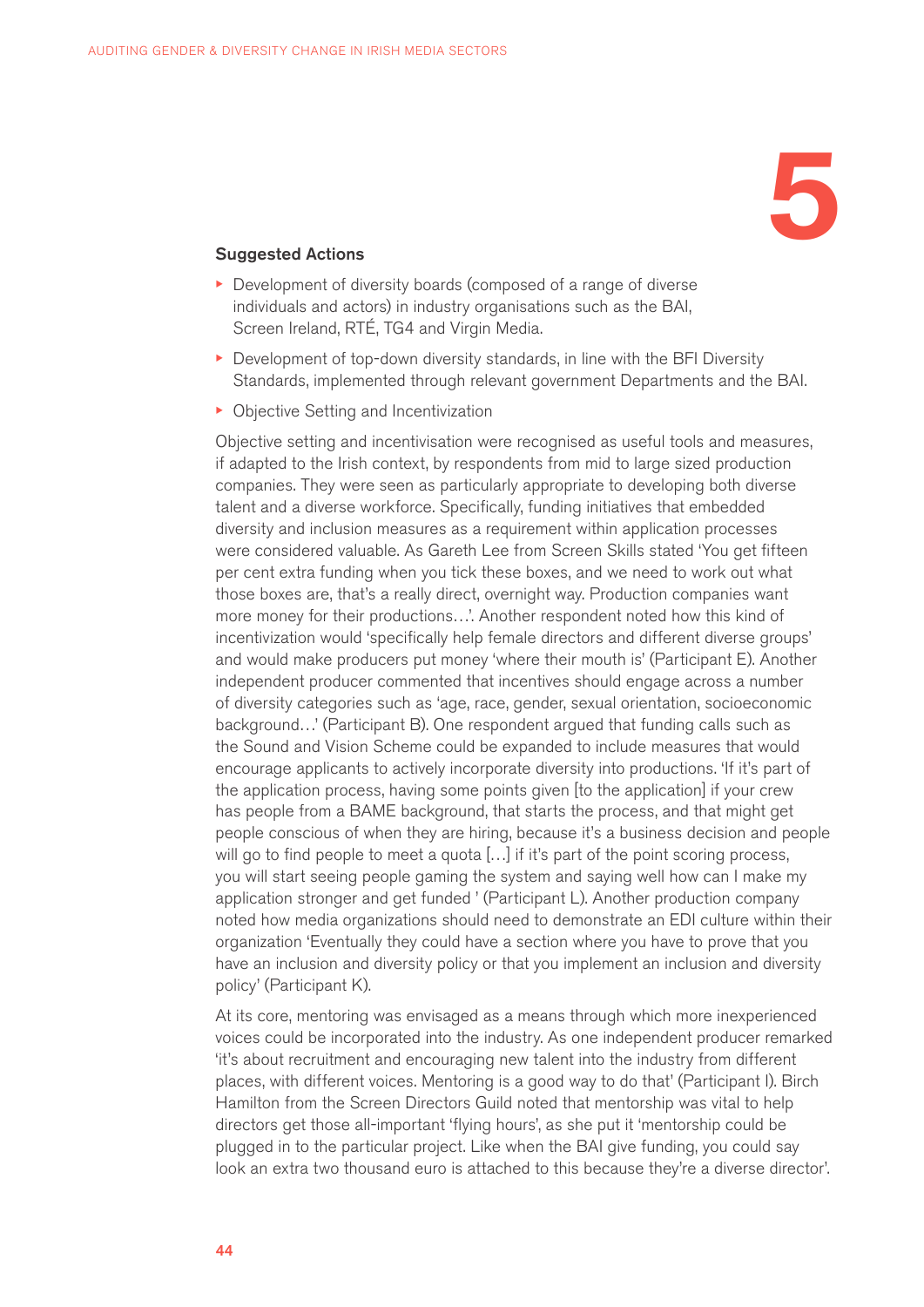# 5

#### Suggested Actions

- Development of diversity boards (composed of a range of diverse individuals and actors) in industry organisations such as the BAI, Screen Ireland, RTÉ, TG4 and Virgin Media.
- Development of top-down diversity standards, in line with the BFI Diversity Standards, implemented through relevant government Departments and the BAI.
- Objective Setting and Incentivization

Objective setting and incentivisation were recognised as useful tools and measures, if adapted to the Irish context, by respondents from mid to large sized production companies. They were seen as particularly appropriate to developing both diverse talent and a diverse workforce. Specifically, funding initiatives that embedded diversity and inclusion measures as a requirement within application processes were considered valuable. As Gareth Lee from Screen Skills stated 'You get fifteen per cent extra funding when you tick these boxes, and we need to work out what those boxes are, that's a really direct, overnight way. Production companies want more money for their productions…'. Another respondent noted how this kind of incentivization would 'specifically help female directors and different diverse groups' and would make producers put money 'where their mouth is' (Participant E). Another independent producer commented that incentives should engage across a number of diversity categories such as 'age, race, gender, sexual orientation, socioeconomic background…' (Participant B). One respondent argued that funding calls such as the Sound and Vision Scheme could be expanded to include measures that would encourage applicants to actively incorporate diversity into productions. 'If it's part of the application process, having some points given [to the application] if your crew has people from a BAME background, that starts the process, and that might get people conscious of when they are hiring, because it's a business decision and people will go to find people to meet a quota […] if it's part of the point scoring process, you will start seeing people gaming the system and saying well how can I make my application stronger and get funded ' (Participant L). Another production company noted how media organizations should need to demonstrate an EDI culture within their organization 'Eventually they could have a section where you have to prove that you have an inclusion and diversity policy or that you implement an inclusion and diversity policy' (Participant K).

At its core, mentoring was envisaged as a means through which more inexperienced voices could be incorporated into the industry. As one independent producer remarked 'it's about recruitment and encouraging new talent into the industry from different places, with different voices. Mentoring is a good way to do that' (Participant I). Birch Hamilton from the Screen Directors Guild noted that mentorship was vital to help directors get those all-important 'flying hours', as she put it 'mentorship could be plugged in to the particular project. Like when the BAI give funding, you could say look an extra two thousand euro is attached to this because they're a diverse director'.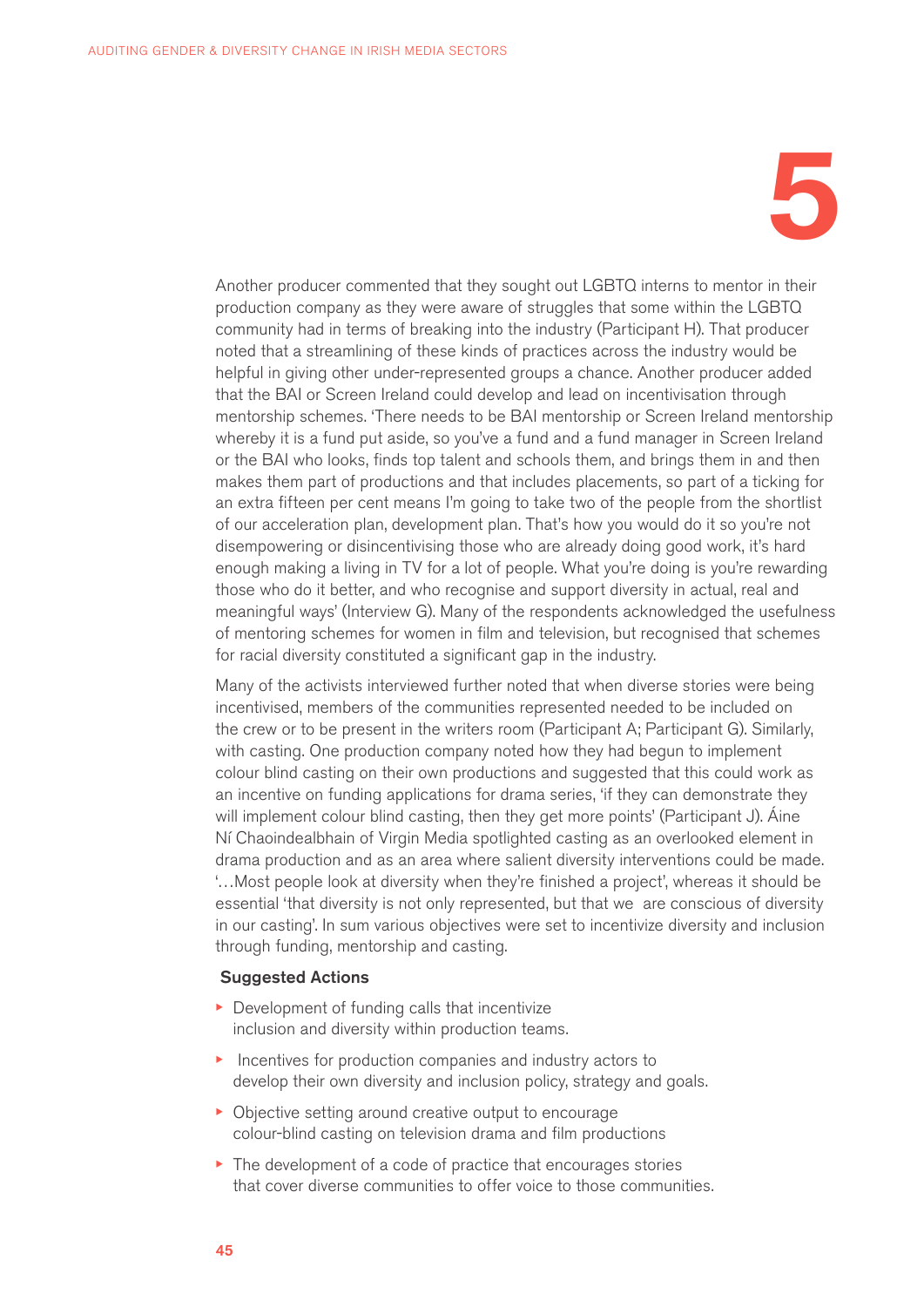# 5

Another producer commented that they sought out LGBTQ interns to mentor in their production company as they were aware of struggles that some within the LGBTQ community had in terms of breaking into the industry (Participant H). That producer noted that a streamlining of these kinds of practices across the industry would be helpful in giving other under-represented groups a chance. Another producer added that the BAI or Screen Ireland could develop and lead on incentivisation through mentorship schemes. 'There needs to be BAI mentorship or Screen Ireland mentorship whereby it is a fund put aside, so you've a fund and a fund manager in Screen Ireland or the BAI who looks, finds top talent and schools them, and brings them in and then makes them part of productions and that includes placements, so part of a ticking for an extra fifteen per cent means I'm going to take two of the people from the shortlist of our acceleration plan, development plan. That's how you would do it so you're not disempowering or disincentivising those who are already doing good work, it's hard enough making a living in TV for a lot of people. What you're doing is you're rewarding those who do it better, and who recognise and support diversity in actual, real and meaningful ways' (Interview G). Many of the respondents acknowledged the usefulness of mentoring schemes for women in film and television, but recognised that schemes for racial diversity constituted a significant gap in the industry.

Many of the activists interviewed further noted that when diverse stories were being incentivised, members of the communities represented needed to be included on the crew or to be present in the writers room (Participant A; Participant G). Similarly, with casting. One production company noted how they had begun to implement colour blind casting on their own productions and suggested that this could work as an incentive on funding applications for drama series, 'if they can demonstrate they will implement colour blind casting, then they get more points' (Participant J). Áine Ní Chaoindealbhain of Virgin Media spotlighted casting as an overlooked element in drama production and as an area where salient diversity interventions could be made. '…Most people look at diversity when they're finished a project', whereas it should be essential 'that diversity is not only represented, but that we are conscious of diversity in our casting'. In sum various objectives were set to incentivize diversity and inclusion through funding, mentorship and casting.

### Suggested Actions

- Development of funding calls that incentivize inclusion and diversity within production teams.
- Incentives for production companies and industry actors to develop their own diversity and inclusion policy, strategy and goals.
- Objective setting around creative output to encourage colour-blind casting on television drama and film productions
- The development of a code of practice that encourages stories that cover diverse communities to offer voice to those communities.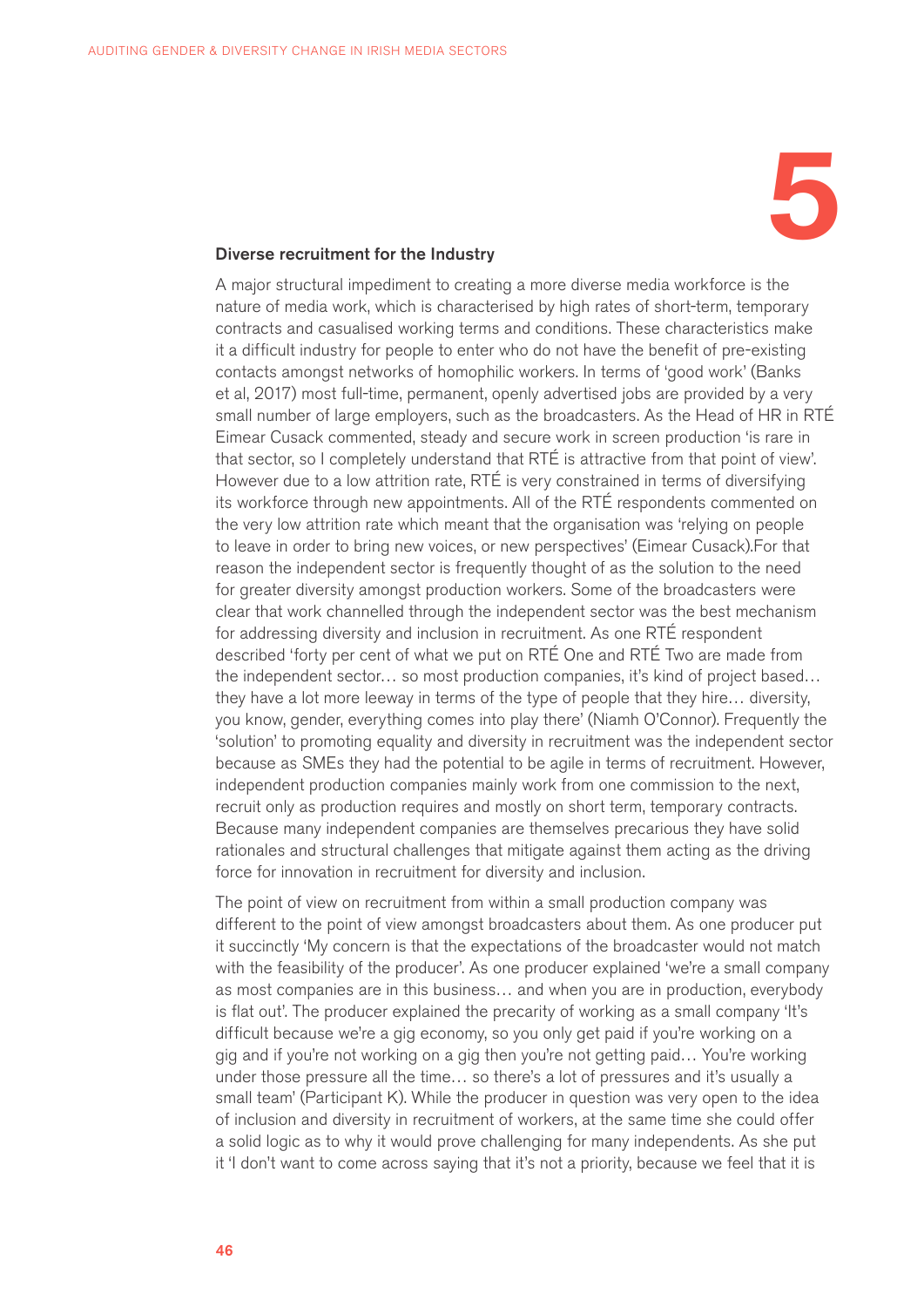

#### Diverse recruitment for the Industry

A major structural impediment to creating a more diverse media workforce is the nature of media work, which is characterised by high rates of short-term, temporary contracts and casualised working terms and conditions. These characteristics make it a difficult industry for people to enter who do not have the benefit of pre-existing contacts amongst networks of homophilic workers. In terms of 'good work' (Banks et al, 2017) most full-time, permanent, openly advertised jobs are provided by a very small number of large employers, such as the broadcasters. As the Head of HR in RTÉ Eimear Cusack commented, steady and secure work in screen production 'is rare in that sector, so I completely understand that RTÉ is attractive from that point of view'. However due to a low attrition rate, RTÉ is very constrained in terms of diversifying its workforce through new appointments. All of the RTÉ respondents commented on the very low attrition rate which meant that the organisation was 'relying on people to leave in order to bring new voices, or new perspectives' (Eimear Cusack).For that reason the independent sector is frequently thought of as the solution to the need for greater diversity amongst production workers. Some of the broadcasters were clear that work channelled through the independent sector was the best mechanism for addressing diversity and inclusion in recruitment. As one RTÉ respondent described 'forty per cent of what we put on RTÉ One and RTÉ Two are made from the independent sector… so most production companies, it's kind of project based… they have a lot more leeway in terms of the type of people that they hire… diversity, you know, gender, everything comes into play there' (Niamh O'Connor). Frequently the 'solution' to promoting equality and diversity in recruitment was the independent sector because as SMEs they had the potential to be agile in terms of recruitment. However, independent production companies mainly work from one commission to the next, recruit only as production requires and mostly on short term, temporary contracts. Because many independent companies are themselves precarious they have solid rationales and structural challenges that mitigate against them acting as the driving force for innovation in recruitment for diversity and inclusion.

The point of view on recruitment from within a small production company was different to the point of view amongst broadcasters about them. As one producer put it succinctly 'My concern is that the expectations of the broadcaster would not match with the feasibility of the producer'. As one producer explained 'we're a small company as most companies are in this business… and when you are in production, everybody is flat out'. The producer explained the precarity of working as a small company 'It's difficult because we're a gig economy, so you only get paid if you're working on a gig and if you're not working on a gig then you're not getting paid… You're working under those pressure all the time… so there's a lot of pressures and it's usually a small team' (Participant K). While the producer in question was very open to the idea of inclusion and diversity in recruitment of workers, at the same time she could offer a solid logic as to why it would prove challenging for many independents. As she put it 'I don't want to come across saying that it's not a priority, because we feel that it is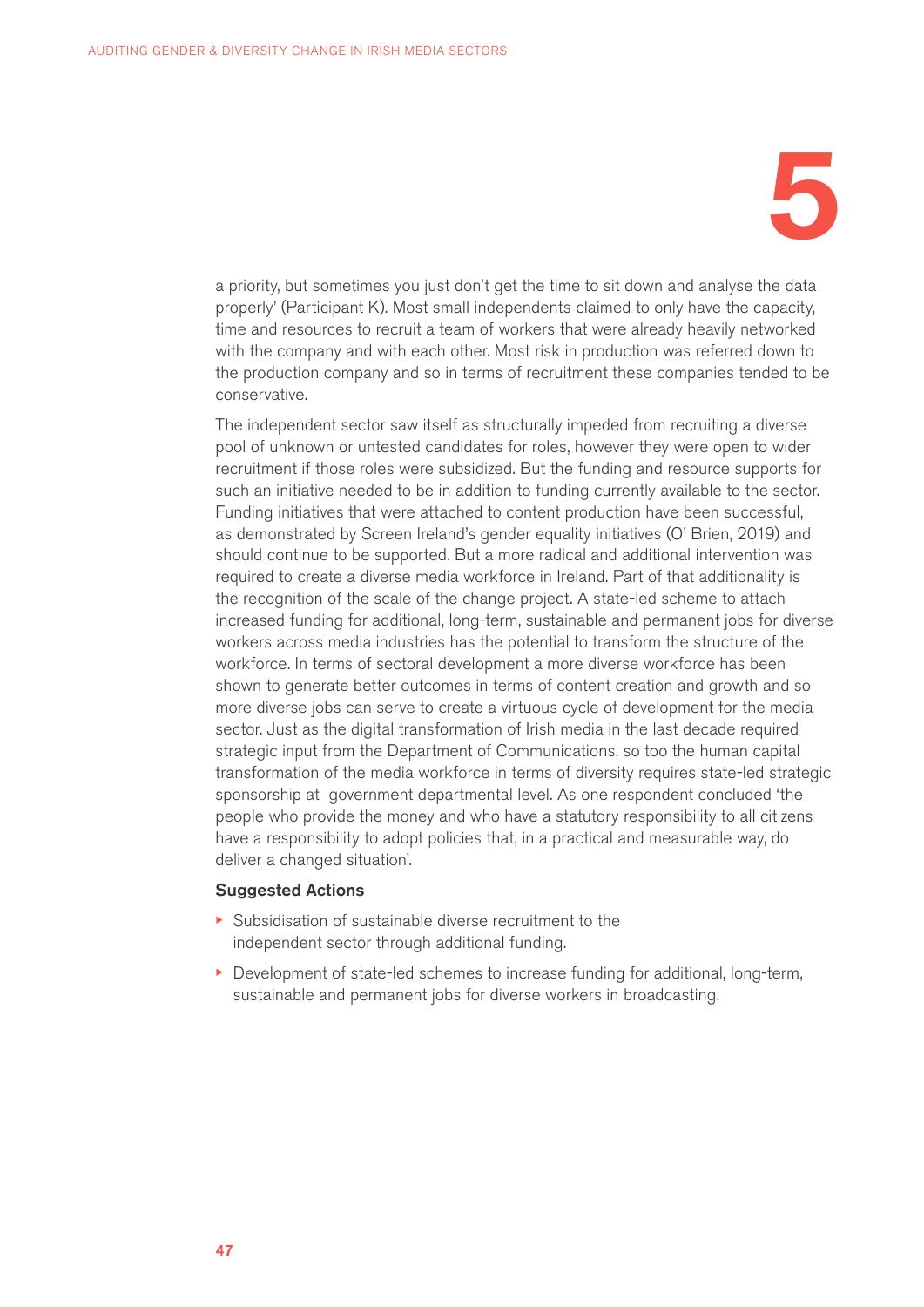# 5

a priority, but sometimes you just don't get the time to sit down and analyse the data properly' (Participant K). Most small independents claimed to only have the capacity, time and resources to recruit a team of workers that were already heavily networked with the company and with each other. Most risk in production was referred down to the production company and so in terms of recruitment these companies tended to be conservative.

The independent sector saw itself as structurally impeded from recruiting a diverse pool of unknown or untested candidates for roles, however they were open to wider recruitment if those roles were subsidized. But the funding and resource supports for such an initiative needed to be in addition to funding currently available to the sector. Funding initiatives that were attached to content production have been successful, as demonstrated by Screen Ireland's gender equality initiatives (O' Brien, 2019) and should continue to be supported. But a more radical and additional intervention was required to create a diverse media workforce in Ireland. Part of that additionality is the recognition of the scale of the change project. A state-led scheme to attach increased funding for additional, long-term, sustainable and permanent jobs for diverse workers across media industries has the potential to transform the structure of the workforce. In terms of sectoral development a more diverse workforce has been shown to generate better outcomes in terms of content creation and growth and so more diverse jobs can serve to create a virtuous cycle of development for the media sector. Just as the digital transformation of Irish media in the last decade required strategic input from the Department of Communications, so too the human capital transformation of the media workforce in terms of diversity requires state-led strategic sponsorship at government departmental level. As one respondent concluded 'the people who provide the money and who have a statutory responsibility to all citizens have a responsibility to adopt policies that, in a practical and measurable way, do deliver a changed situation'.

### Suggested Actions

- Subsidisation of sustainable diverse recruitment to the independent sector through additional funding.
- Development of state-led schemes to increase funding for additional, long-term, sustainable and permanent jobs for diverse workers in broadcasting.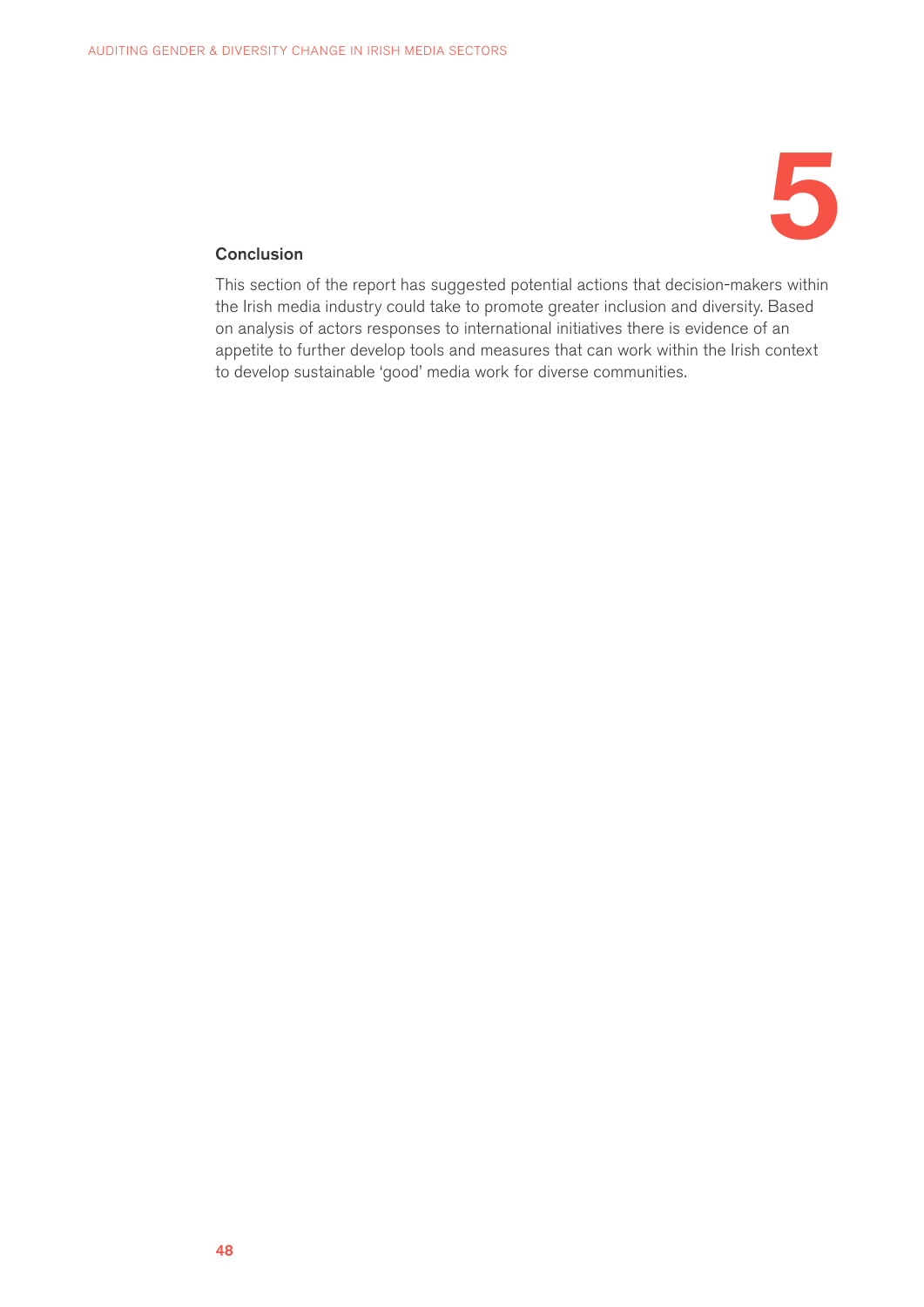

### **Conclusion**

This section of the report has suggested potential actions that decision-makers within the Irish media industry could take to promote greater inclusion and diversity. Based on analysis of actors responses to international initiatives there is evidence of an appetite to further develop tools and measures that can work within the Irish context to develop sustainable 'good' media work for diverse communities.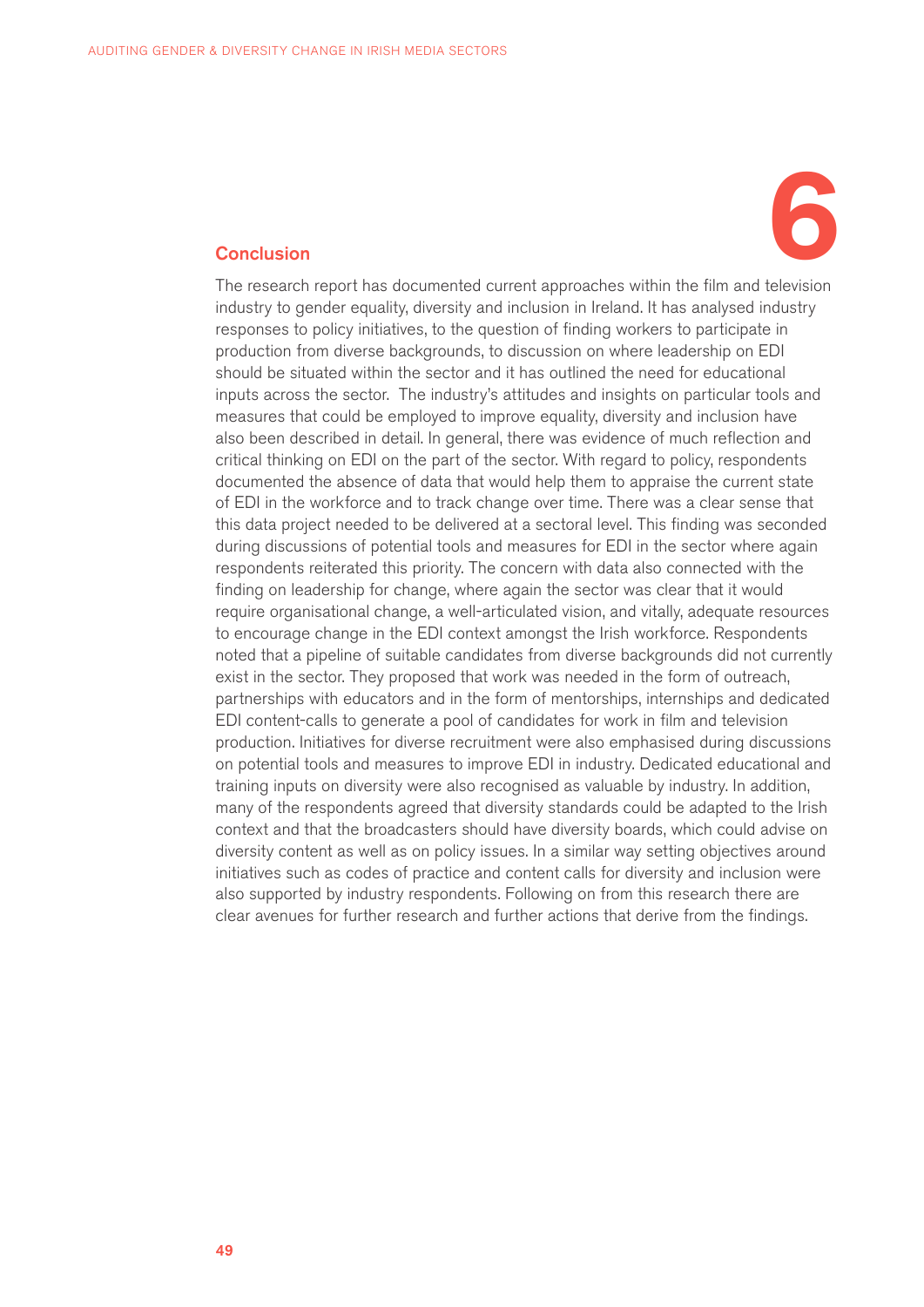

The research report has documented current approaches within the film and television industry to gender equality, diversity and inclusion in Ireland. It has analysed industry responses to policy initiatives, to the question of finding workers to participate in production from diverse backgrounds, to discussion on where leadership on EDI should be situated within the sector and it has outlined the need for educational inputs across the sector. The industry's attitudes and insights on particular tools and measures that could be employed to improve equality, diversity and inclusion have also been described in detail. In general, there was evidence of much reflection and critical thinking on EDI on the part of the sector. With regard to policy, respondents documented the absence of data that would help them to appraise the current state of EDI in the workforce and to track change over time. There was a clear sense that this data project needed to be delivered at a sectoral level. This finding was seconded during discussions of potential tools and measures for EDI in the sector where again respondents reiterated this priority. The concern with data also connected with the finding on leadership for change, where again the sector was clear that it would require organisational change, a well-articulated vision, and vitally, adequate resources to encourage change in the EDI context amongst the Irish workforce. Respondents noted that a pipeline of suitable candidates from diverse backgrounds did not currently exist in the sector. They proposed that work was needed in the form of outreach, partnerships with educators and in the form of mentorships, internships and dedicated EDI content-calls to generate a pool of candidates for work in film and television production. Initiatives for diverse recruitment were also emphasised during discussions on potential tools and measures to improve EDI in industry. Dedicated educational and training inputs on diversity were also recognised as valuable by industry. In addition, many of the respondents agreed that diversity standards could be adapted to the Irish context and that the broadcasters should have diversity boards, which could advise on diversity content as well as on policy issues. In a similar way setting objectives around initiatives such as codes of practice and content calls for diversity and inclusion were also supported by industry respondents. Following on from this research there are clear avenues for further research and further actions that derive from the findings.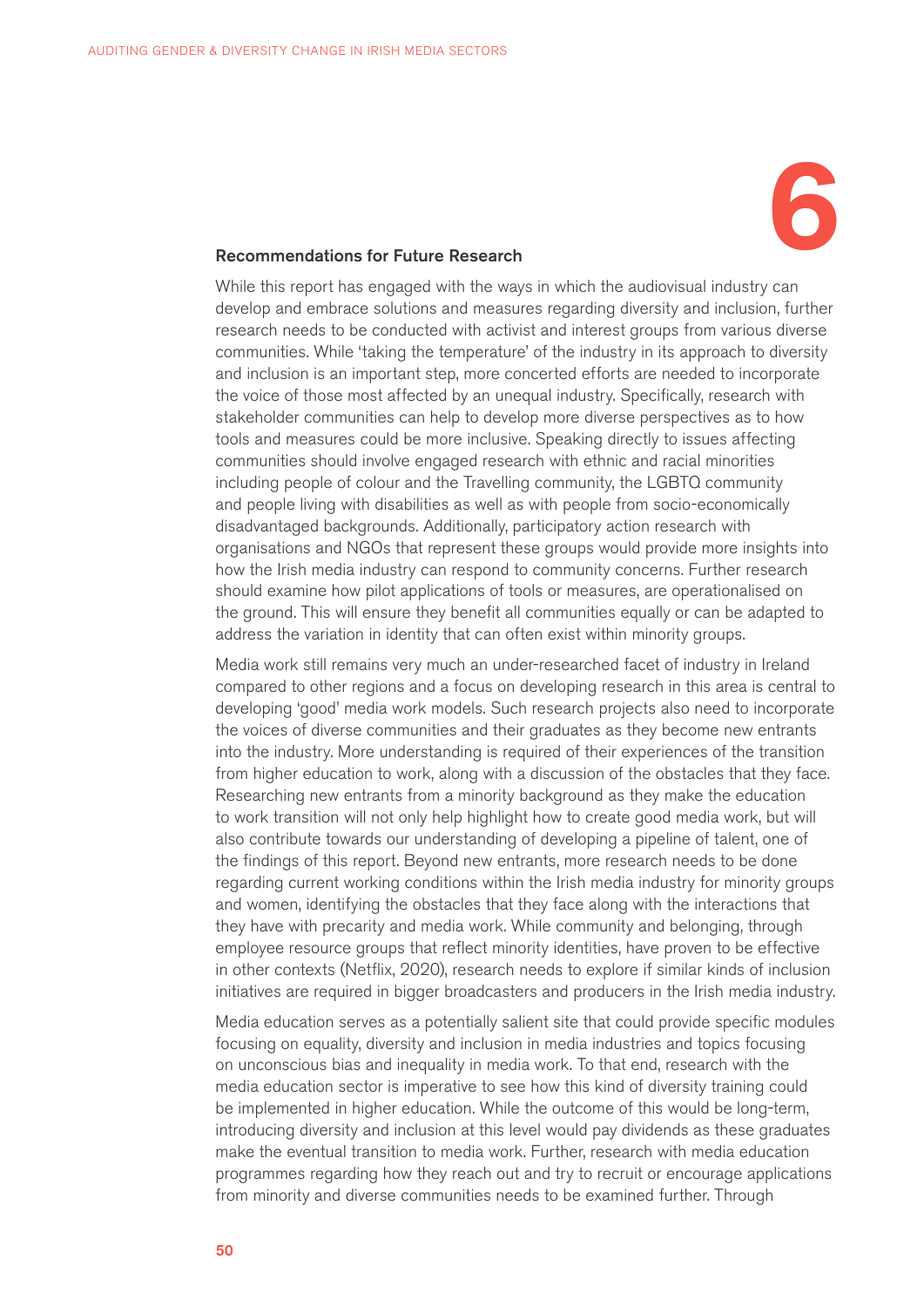

#### Recommendations for Future Research

While this report has engaged with the ways in which the audiovisual industry can develop and embrace solutions and measures regarding diversity and inclusion, further research needs to be conducted with activist and interest groups from various diverse communities. While 'taking the temperature' of the industry in its approach to diversity and inclusion is an important step, more concerted efforts are needed to incorporate the voice of those most affected by an unequal industry. Specifically, research with stakeholder communities can help to develop more diverse perspectives as to how tools and measures could be more inclusive. Speaking directly to issues affecting communities should involve engaged research with ethnic and racial minorities including people of colour and the Travelling community, the LGBTQ community and people living with disabilities as well as with people from socio-economically disadvantaged backgrounds. Additionally, participatory action research with organisations and NGOs that represent these groups would provide more insights into how the Irish media industry can respond to community concerns. Further research should examine how pilot applications of tools or measures, are operationalised on the ground. This will ensure they benefit all communities equally or can be adapted to address the variation in identity that can often exist within minority groups.

Media work still remains very much an under-researched facet of industry in Ireland compared to other regions and a focus on developing research in this area is central to developing 'good' media work models. Such research projects also need to incorporate the voices of diverse communities and their graduates as they become new entrants into the industry. More understanding is required of their experiences of the transition from higher education to work, along with a discussion of the obstacles that they face. Researching new entrants from a minority background as they make the education to work transition will not only help highlight how to create good media work, but will also contribute towards our understanding of developing a pipeline of talent, one of the findings of this report. Beyond new entrants, more research needs to be done regarding current working conditions within the Irish media industry for minority groups and women, identifying the obstacles that they face along with the interactions that they have with precarity and media work. While community and belonging, through employee resource groups that reflect minority identities, have proven to be effective in other contexts (Netflix, 2020), research needs to explore if similar kinds of inclusion initiatives are required in bigger broadcasters and producers in the Irish media industry.

Media education serves as a potentially salient site that could provide specific modules focusing on equality, diversity and inclusion in media industries and topics focusing on unconscious bias and inequality in media work. To that end, research with the media education sector is imperative to see how this kind of diversity training could be implemented in higher education. While the outcome of this would be long-term, introducing diversity and inclusion at this level would pay dividends as these graduates make the eventual transition to media work. Further, research with media education programmes regarding how they reach out and try to recruit or encourage applications from minority and diverse communities needs to be examined further. Through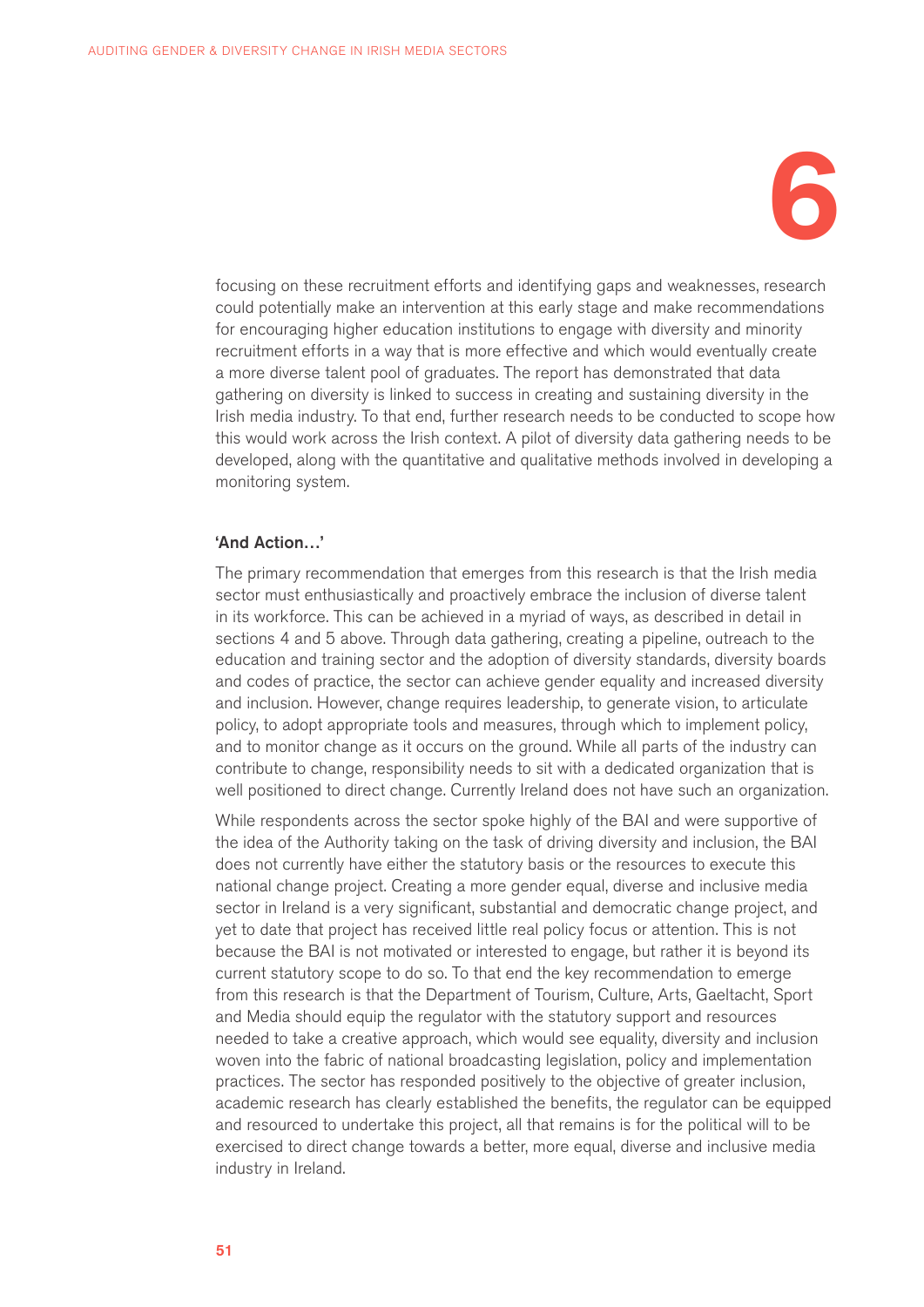

focusing on these recruitment efforts and identifying gaps and weaknesses, research could potentially make an intervention at this early stage and make recommendations for encouraging higher education institutions to engage with diversity and minority recruitment efforts in a way that is more effective and which would eventually create a more diverse talent pool of graduates. The report has demonstrated that data gathering on diversity is linked to success in creating and sustaining diversity in the Irish media industry. To that end, further research needs to be conducted to scope how this would work across the Irish context. A pilot of diversity data gathering needs to be developed, along with the quantitative and qualitative methods involved in developing a monitoring system.

#### 'And Action…'

The primary recommendation that emerges from this research is that the Irish media sector must enthusiastically and proactively embrace the inclusion of diverse talent in its workforce. This can be achieved in a myriad of ways, as described in detail in sections 4 and 5 above. Through data gathering, creating a pipeline, outreach to the education and training sector and the adoption of diversity standards, diversity boards and codes of practice, the sector can achieve gender equality and increased diversity and inclusion. However, change requires leadership, to generate vision, to articulate policy, to adopt appropriate tools and measures, through which to implement policy, and to monitor change as it occurs on the ground. While all parts of the industry can contribute to change, responsibility needs to sit with a dedicated organization that is well positioned to direct change. Currently Ireland does not have such an organization.

While respondents across the sector spoke highly of the BAI and were supportive of the idea of the Authority taking on the task of driving diversity and inclusion, the BAI does not currently have either the statutory basis or the resources to execute this national change project. Creating a more gender equal, diverse and inclusive media sector in Ireland is a very significant, substantial and democratic change project, and yet to date that project has received little real policy focus or attention. This is not because the BAI is not motivated or interested to engage, but rather it is beyond its current statutory scope to do so. To that end the key recommendation to emerge from this research is that the Department of Tourism, Culture, Arts, Gaeltacht, Sport and Media should equip the regulator with the statutory support and resources needed to take a creative approach, which would see equality, diversity and inclusion woven into the fabric of national broadcasting legislation, policy and implementation practices. The sector has responded positively to the objective of greater inclusion, academic research has clearly established the benefits, the regulator can be equipped and resourced to undertake this project, all that remains is for the political will to be exercised to direct change towards a better, more equal, diverse and inclusive media industry in Ireland.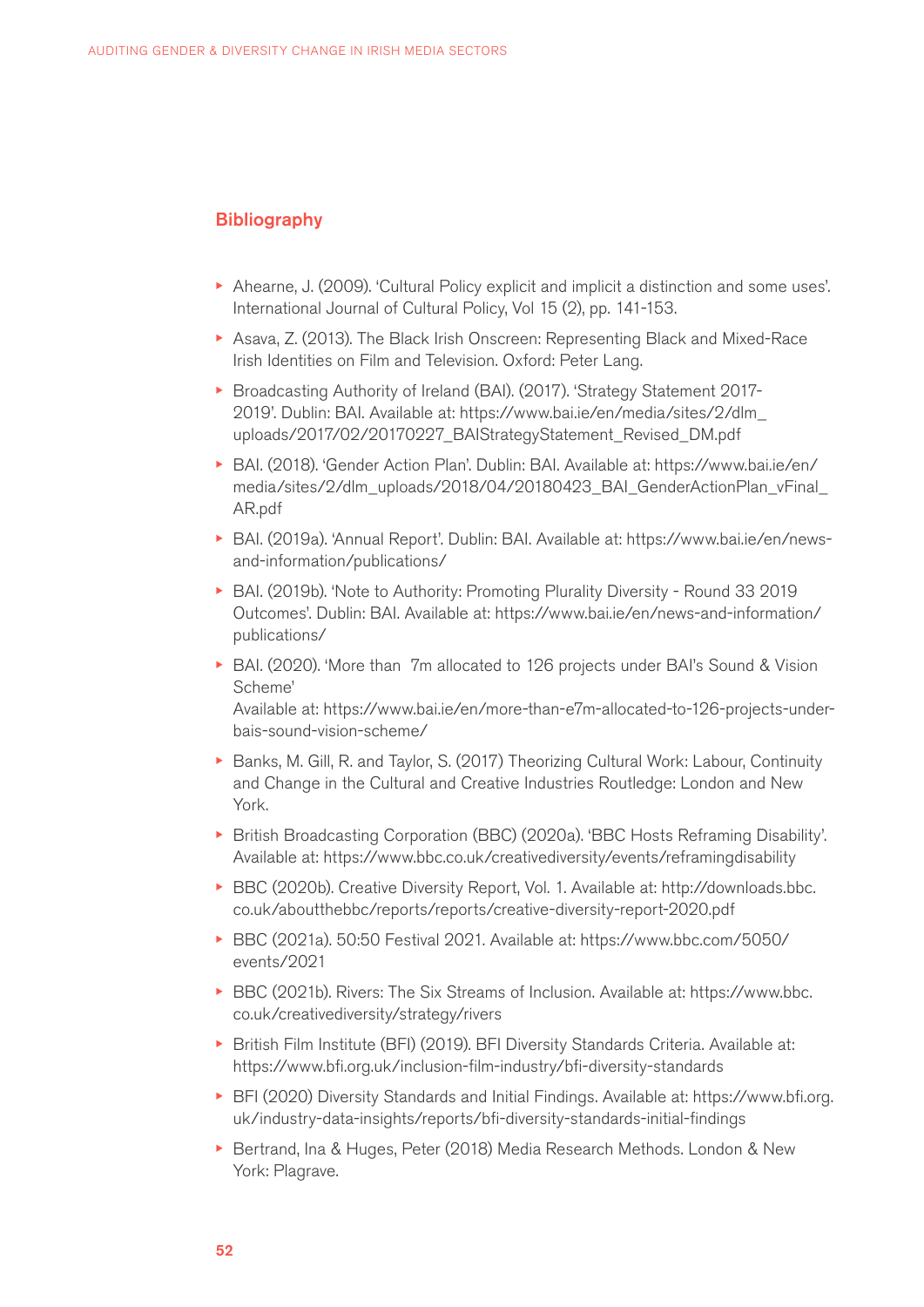### **Bibliography**

- Ahearne, J. (2009). 'Cultural Policy explicit and implicit a distinction and some uses'. International Journal of Cultural Policy, Vol 15 (2), pp. 141-153.
- Asava, Z. (2013). The Black Irish Onscreen: Representing Black and Mixed-Race Irish Identities on Film and Television. Oxford: Peter Lang.
- Broadcasting Authority of Ireland (BAI). (2017). 'Strategy Statement 2017- 2019'. Dublin: BAI. Available at: https://www.bai.ie/en/media/sites/2/dlm\_ uploads/2017/02/20170227\_BAIStrategyStatement\_Revised\_DM.pdf
- BAI. (2018). 'Gender Action Plan'. Dublin: BAI. Available at: https://www.bai.ie/en/ media/sites/2/dlm\_uploads/2018/04/20180423\_BAI\_GenderActionPlan\_vFinal\_ AR.pdf
- BAI. (2019a). 'Annual Report'. Dublin: BAI. Available at: https://www.bai.ie/en/newsand-information/publications/
- BAI. (2019b). 'Note to Authority: Promoting Plurality Diversity Round 33 2019 Outcomes'. Dublin: BAI. Available at: https://www.bai.ie/en/news-and-information/ publications/
- ► BAI. (2020). 'More than 7m allocated to 126 projects under BAI's Sound & Vision Scheme' Available at: https://www.bai.ie/en/more-than-e7m-allocated-to-126-projects-underbais-sound-vision-scheme/
- Banks, M. Gill, R. and Taylor, S. (2017) Theorizing Cultural Work: Labour, Continuity and Change in the Cultural and Creative Industries Routledge: London and New York.
- British Broadcasting Corporation (BBC) (2020a). 'BBC Hosts Reframing Disability'. Available at: https://www.bbc.co.uk/creativediversity/events/reframingdisability
- BBC (2020b). Creative Diversity Report, Vol. 1. Available at: http://downloads.bbc. co.uk/aboutthebbc/reports/reports/creative-diversity-report-2020.pdf
- BBC (2021a). 50:50 Festival 2021. Available at: https://www.bbc.com/5050/ events/2021
- BBC (2021b). Rivers: The Six Streams of Inclusion. Available at: https://www.bbc. co.uk/creativediversity/strategy/rivers
- British Film Institute (BFI) (2019). BFI Diversity Standards Criteria. Available at: https://www.bfi.org.uk/inclusion-film-industry/bfi-diversity-standards
- BFI (2020) Diversity Standards and Initial Findings. Available at: https://www.bfi.org. uk/industry-data-insights/reports/bfi-diversity-standards-initial-findings
- Bertrand, Ina & Huges, Peter (2018) Media Research Methods. London & New York: Plagrave.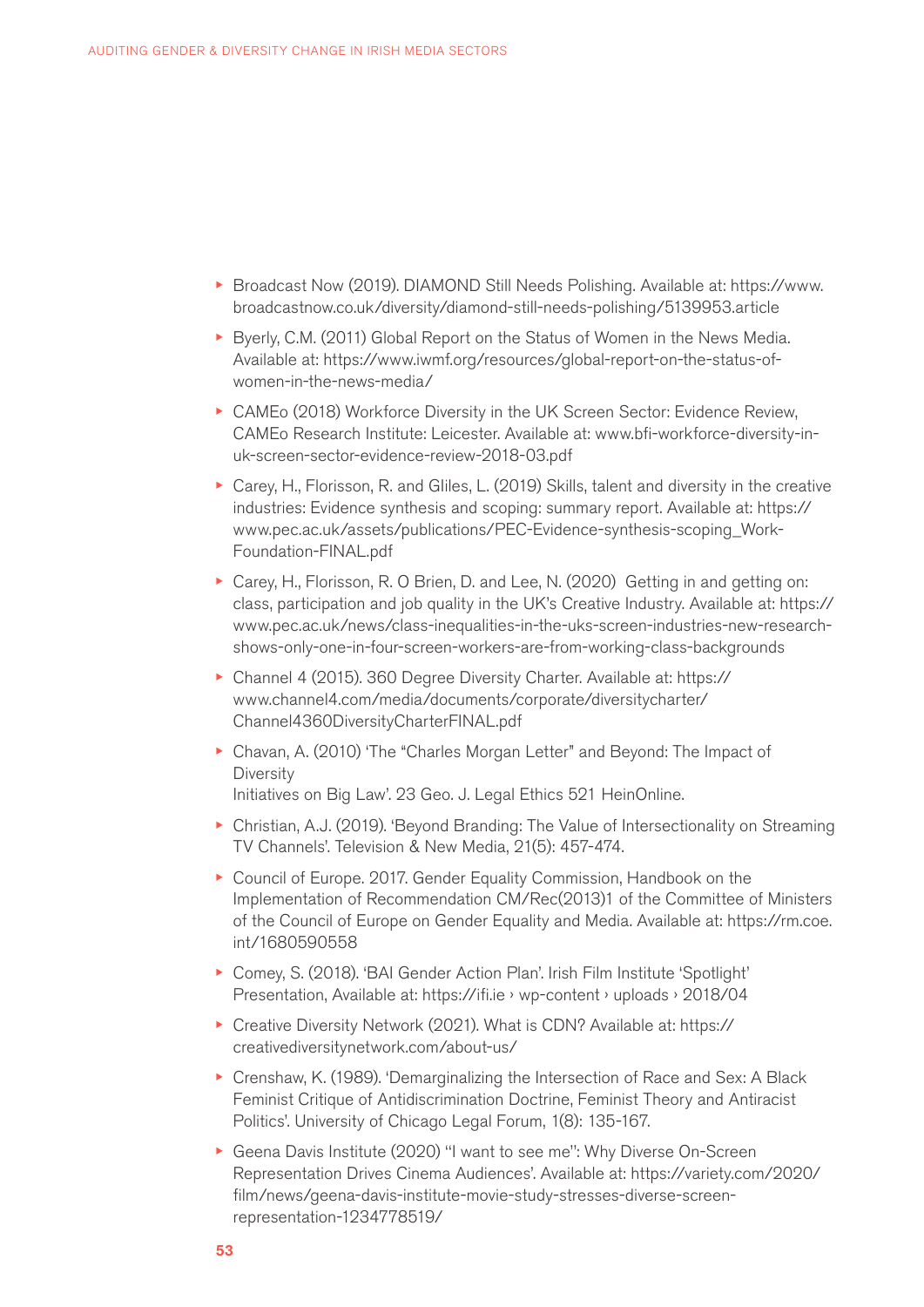- Broadcast Now (2019). DIAMOND Still Needs Polishing. Available at: https://www. broadcastnow.co.uk/diversity/diamond-still-needs-polishing/5139953.article
- Byerly, C.M. (2011) Global Report on the Status of Women in the News Media. Available at: https://www.iwmf.org/resources/global-report-on-the-status-ofwomen-in-the-news-media/
- CAMEo (2018) Workforce Diversity in the UK Screen Sector: Evidence Review, CAMEo Research Institute: Leicester. Available at: www.bfi-workforce-diversity-inuk-screen-sector-evidence-review-2018-03.pdf
- Carey, H., Florisson, R. and GIiles, L. (2019) Skills, talent and diversity in the creative industries: Evidence synthesis and scoping: summary report. Available at: https:// www.pec.ac.uk/assets/publications/PEC-Evidence-synthesis-scoping\_Work-Foundation-FINAL.pdf
- Carey, H., Florisson, R. O Brien, D. and Lee, N. (2020) Getting in and getting on: class, participation and job quality in the UK's Creative Industry. Available at: https:// www.pec.ac.uk/news/class-inequalities-in-the-uks-screen-industries-new-researchshows-only-one-in-four-screen-workers-are-from-working-class-backgrounds
- Channel 4 (2015). 360 Degree Diversity Charter. Available at: https:// www.channel4.com/media/documents/corporate/diversitycharter/ Channel4360DiversityCharterFINAL.pdf
- Chavan, A. (2010) 'The "Charles Morgan Letter" and Beyond: The Impact of Diversity Initiatives on Big Law'. 23 Geo. J. Legal Ethics 521 HeinOnline.
- Christian, A.J. (2019). 'Beyond Branding: The Value of Intersectionality on Streaming TV Channels'. Television & New Media, 21(5): 457-474.
- Council of Europe. 2017. Gender Equality Commission, Handbook on the Implementation of Recommendation CM/Rec(2013)1 of the Committee of Ministers of the Council of Europe on Gender Equality and Media. Available at: https://rm.coe. int/1680590558
- Comey, S. (2018). 'BAI Gender Action Plan'. Irish Film Institute 'Spotlight' Presentation, Available at: https://ifi.ie › wp-content › uploads › 2018/04
- Creative Diversity Network (2021). What is CDN? Available at: https:// creativediversitynetwork.com/about-us/
- Crenshaw, K. (1989). 'Demarginalizing the Intersection of Race and Sex: A Black Feminist Critique of Antidiscrimination Doctrine, Feminist Theory and Antiracist Politics'. University of Chicago Legal Forum, 1(8): 135-167.
- Geena Davis Institute (2020) ''I want to see me'': Why Diverse On-Screen Representation Drives Cinema Audiences'. Available at: https://variety.com/2020/ film/news/geena-davis-institute-movie-study-stresses-diverse-screenrepresentation-1234778519/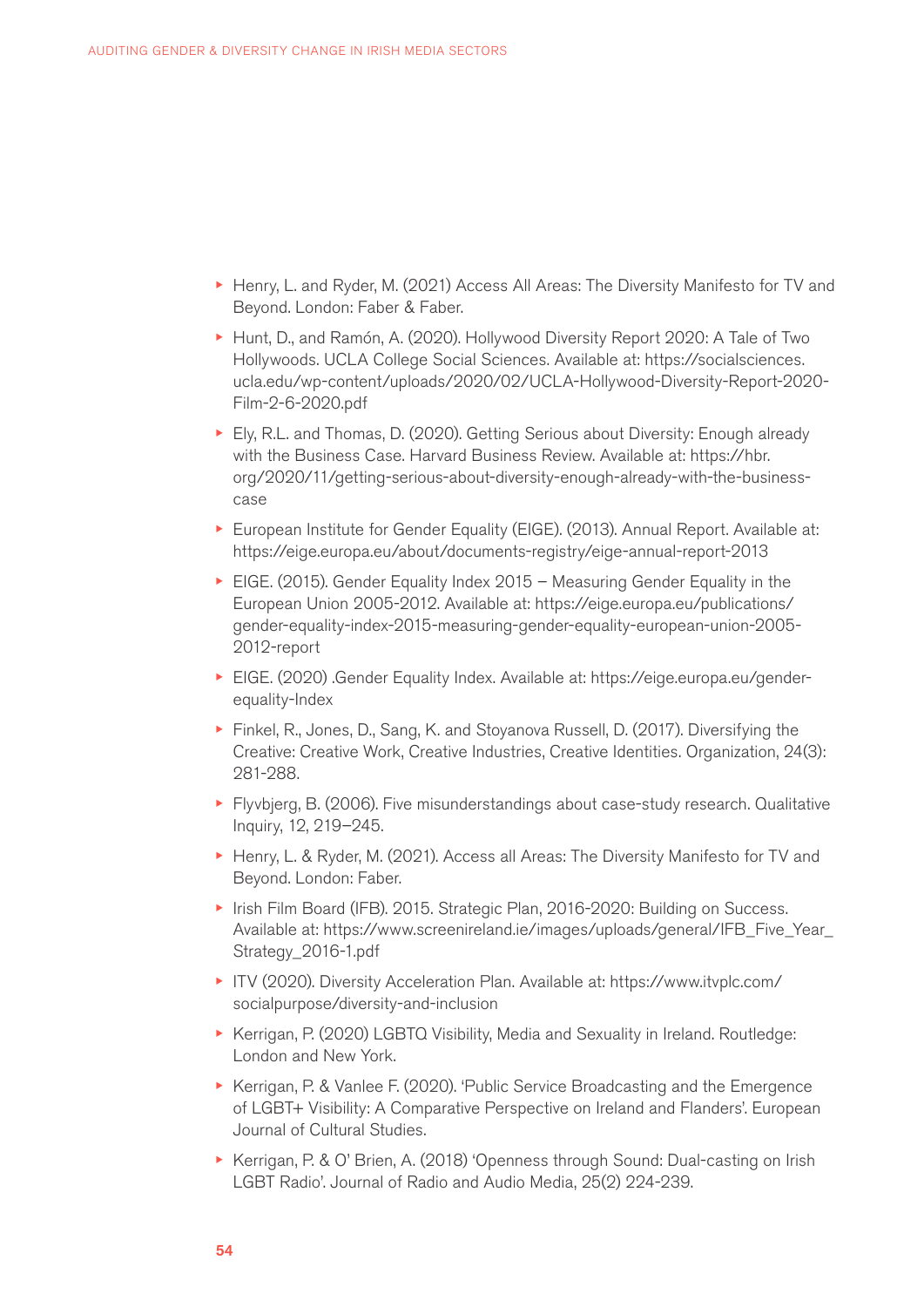- Henry, L. and Ryder, M. (2021) Access All Areas: The Diversity Manifesto for TV and Beyond. London: Faber & Faber.
- Hunt, D., and Ramón, A. (2020). Hollywood Diversity Report 2020: A Tale of Two Hollywoods. UCLA College Social Sciences. Available at: https://socialsciences. ucla.edu/wp-content/uploads/2020/02/UCLA-Hollywood-Diversity-Report-2020- Film-2-6-2020.pdf
- Ely, R.L. and Thomas, D. (2020). Getting Serious about Diversity: Enough already with the Business Case. Harvard Business Review. Available at: https://hbr. org/2020/11/getting-serious-about-diversity-enough-already-with-the-businesscase
- European Institute for Gender Equality (EIGE). (2013). Annual Report. Available at: https://eige.europa.eu/about/documents-registry/eige-annual-report-2013
- EIGE. (2015). Gender Equality Index 2015 Measuring Gender Equality in the European Union 2005-2012. Available at: https://eige.europa.eu/publications/ gender-equality-index-2015-measuring-gender-equality-european-union-2005- 2012-report
- EIGE. (2020) .Gender Equality Index. Available at: https://eige.europa.eu/genderequality-Index
- Finkel, R., Jones, D., Sang, K. and Stoyanova Russell, D. (2017). Diversifying the Creative: Creative Work, Creative Industries, Creative Identities. Organization, 24(3): 281-288.
- Flyvbjerg, B. (2006). Five misunderstandings about case-study research. Qualitative Inquiry, 12, 219–245.
- Henry, L. & Ryder, M. (2021). Access all Areas: The Diversity Manifesto for TV and Beyond. London: Faber.
- Irish Film Board (IFB). 2015. Strategic Plan, 2016-2020: Building on Success. Available at: https://www.screenireland.ie/images/uploads/general/IFB\_Five\_Year\_ Strategy\_2016-1.pdf
- ITV (2020). Diversity Acceleration Plan. Available at: https://www.itvplc.com/ socialpurpose/diversity-and-inclusion
- Kerrigan, P. (2020) LGBTQ Visibility, Media and Sexuality in Ireland. Routledge: London and New York.
- Kerrigan, P. & Vanlee F. (2020). 'Public Service Broadcasting and the Emergence of LGBT+ Visibility: A Comparative Perspective on Ireland and Flanders'. European Journal of Cultural Studies.
- Kerrigan, P. & O' Brien, A. (2018) 'Openness through Sound: Dual-casting on Irish LGBT Radio'. Journal of Radio and Audio Media, 25(2) 224-239.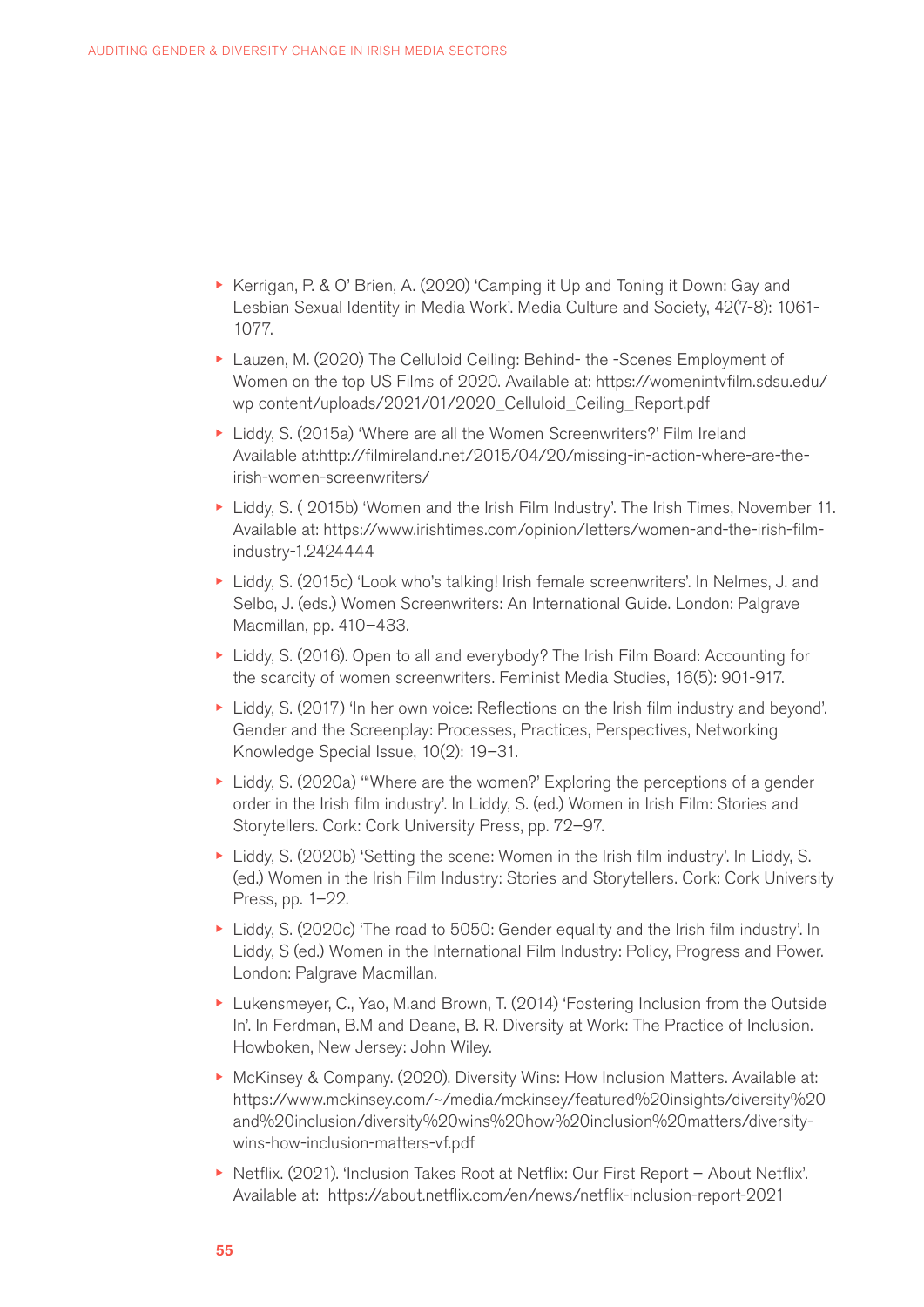- Kerrigan, P. & O' Brien, A. (2020) 'Camping it Up and Toning it Down: Gay and Lesbian Sexual Identity in Media Work'. Media Culture and Society, 42(7-8): 1061- 1077.
- Lauzen, M. (2020) The Celluloid Ceiling: Behind- the -Scenes Employment of Women on the top US Films of 2020. Available at: https://womenintvfilm.sdsu.edu/ wp content/uploads/2021/01/2020\_Celluloid\_Ceiling\_Report.pdf
- Liddy, S. (2015a) 'Where are all the Women Screenwriters?' Film Ireland Available at:http://filmireland.net/2015/04/20/missing-in-action-where-are-theirish-women-screenwriters/
- Liddy, S. ( 2015b) 'Women and the Irish Film Industry'. The Irish Times, November 11. Available at: https://www.irishtimes.com/opinion/letters/women-and-the-irish-filmindustry-1.2424444
- Liddy, S. (2015c) 'Look who's talking! Irish female screenwriters'. In Nelmes, J. and Selbo, J. (eds.) Women Screenwriters: An International Guide. London: Palgrave Macmillan, pp. 410–433.
- Liddy, S. (2016). Open to all and everybody? The Irish Film Board: Accounting for the scarcity of women screenwriters. Feminist Media Studies, 16(5): 901-917.
- Liddy, S. (2017) 'In her own voice: Reflections on the Irish film industry and beyond'. Gender and the Screenplay: Processes, Practices, Perspectives, Networking Knowledge Special Issue, 10(2): 19–31.
- Liddy, S. (2020a) '"Where are the women?' Exploring the perceptions of a gender order in the Irish film industry'. In Liddy, S. (ed.) Women in Irish Film: Stories and Storytellers. Cork: Cork University Press, pp. 72–97.
- Liddy, S. (2020b) 'Setting the scene: Women in the Irish film industry'. In Liddy, S. (ed.) Women in the Irish Film Industry: Stories and Storytellers. Cork: Cork University Press, pp. 1–22.
- Liddy, S. (2020c) 'The road to 5050: Gender equality and the Irish film industry'. In Liddy, S (ed.) Women in the International Film Industry: Policy, Progress and Power. London: Palgrave Macmillan.
- Lukensmeyer, C., Yao, M.and Brown, T. (2014) 'Fostering Inclusion from the Outside In'. In Ferdman, B.M and Deane, B. R. Diversity at Work: The Practice of Inclusion. Howboken, New Jersey: John Wiley.
- McKinsey & Company. (2020). Diversity Wins: How Inclusion Matters. Available at: https://www.mckinsey.com/~/media/mckinsey/featured%20insights/diversity%20 and%20inclusion/diversity%20wins%20how%20inclusion%20matters/diversitywins-how-inclusion-matters-vf.pdf
- Netflix. (2021). 'Inclusion Takes Root at Netflix: Our First Report About Netflix'. Available at: https://about.netflix.com/en/news/netflix-inclusion-report-2021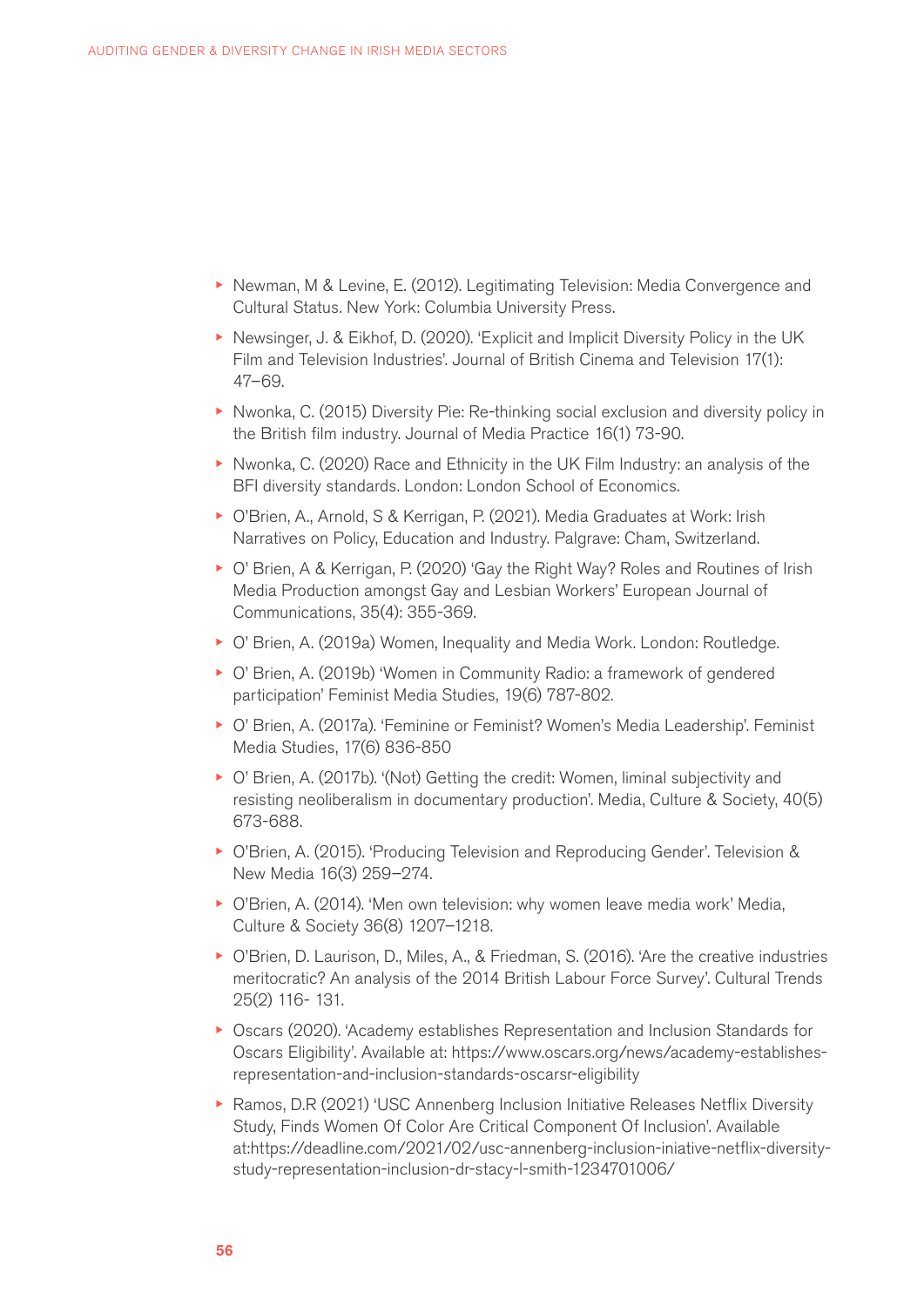- Newman, M & Levine, E. (2012). Legitimating Television: Media Convergence and Cultural Status. New York: Columbia University Press.
- Newsinger, J. & Eikhof, D. (2020). 'Explicit and Implicit Diversity Policy in the UK Film and Television Industries'. Journal of British Cinema and Television 17(1): 47–69.
- Nwonka, C. (2015) Diversity Pie: Re-thinking social exclusion and diversity policy in the British film industry. Journal of Media Practice 16(1) 73-90.
- Nwonka, C. (2020) Race and Ethnicity in the UK Film Industry: an analysis of the BFI diversity standards. London: London School of Economics.
- O'Brien, A., Arnold, S & Kerrigan, P. (2021). Media Graduates at Work: Irish Narratives on Policy, Education and Industry. Palgrave: Cham, Switzerland.
- O' Brien, A & Kerrigan, P. (2020) 'Gay the Right Way? Roles and Routines of Irish Media Production amongst Gay and Lesbian Workers' European Journal of Communications, 35(4): 355-369.
- O' Brien, A. (2019a) Women, Inequality and Media Work. London: Routledge.
- O' Brien, A. (2019b) 'Women in Community Radio: a framework of gendered participation' Feminist Media Studies, 19(6) 787-802.
- O' Brien, A. (2017a). 'Feminine or Feminist? Women's Media Leadership'. Feminist Media Studies, 17(6) 836-850
- O' Brien, A. (2017b). '(Not) Getting the credit: Women, liminal subjectivity and resisting neoliberalism in documentary production'. Media, Culture & Society, 40(5) 673-688.
- O'Brien, A. (2015). 'Producing Television and Reproducing Gender'. Television & New Media 16(3) 259–274.
- O'Brien, A. (2014). 'Men own television: why women leave media work' Media, Culture & Society 36(8) 1207–1218.
- O'Brien, D. Laurison, D., Miles, A., & Friedman, S. (2016). 'Are the creative industries meritocratic? An analysis of the 2014 British Labour Force Survey'. Cultural Trends 25(2) 116- 131.
- Oscars (2020). 'Academy establishes Representation and Inclusion Standards for Oscars Eligibility'. Available at: https://www.oscars.org/news/academy-establishesrepresentation-and-inclusion-standards-oscarsr-eligibility
- Ramos, D.R (2021) 'USC Annenberg Inclusion Initiative Releases Netflix Diversity Study, Finds Women Of Color Are Critical Component Of Inclusion'. Available at:https://deadline.com/2021/02/usc-annenberg-inclusion-iniative-netflix-diversitystudy-representation-inclusion-dr-stacy-l-smith-1234701006/